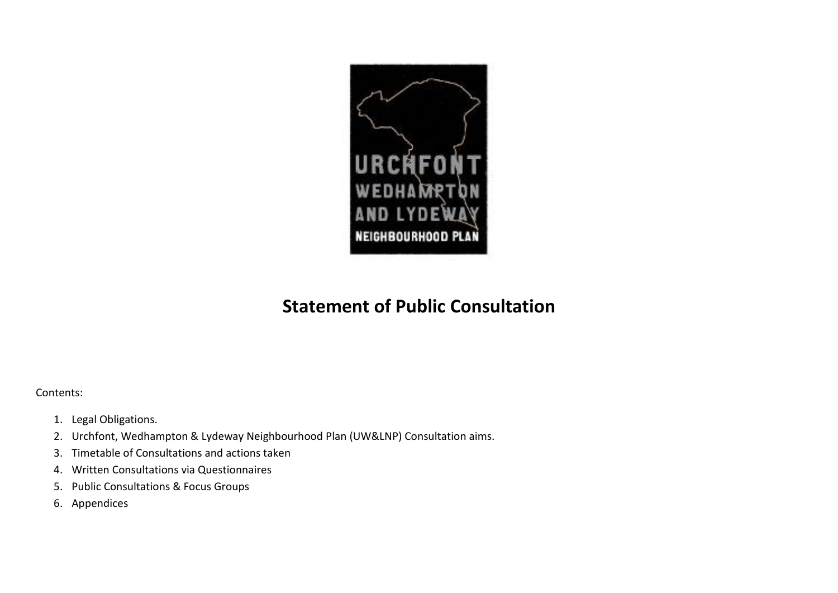

## **Statement of Public Consultation**

Contents:

- 1. Legal Obligations.
- 2. Urchfont, Wedhampton & Lydeway Neighbourhood Plan (UW&LNP) Consultation aims.
- 3. Timetable of Consultations and actions taken
- 4. Written Consultations via Questionnaires
- 5. Public Consultations & Focus Groups
- 6. Appendices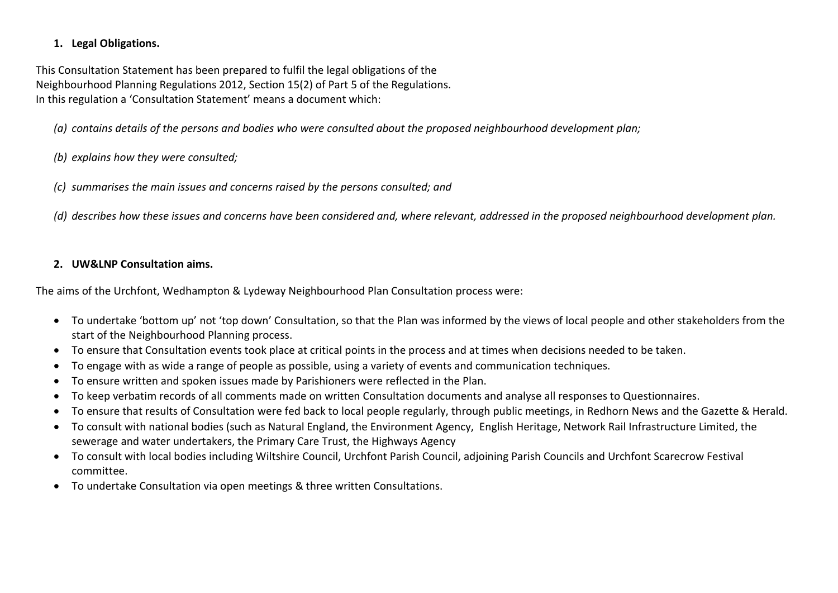## **1. Legal Obligations.**

This Consultation Statement has been prepared to fulfil the legal obligations of the Neighbourhood Planning Regulations 2012, Section 15(2) of Part 5 of the Regulations. In this regulation a 'Consultation Statement' means a document which:

*(a) contains details of the persons and bodies who were consulted about the proposed neighbourhood development plan;*

*(b) explains how they were consulted;*

*(c) summarises the main issues and concerns raised by the persons consulted; and*

*(d) describes how these issues and concerns have been considered and, where relevant, addressed in the proposed neighbourhood development plan.*

## **2. UW&LNP Consultation aims.**

The aims of the Urchfont, Wedhampton & Lydeway Neighbourhood Plan Consultation process were:

- To undertake 'bottom up' not 'top down' Consultation, so that the Plan was informed by the views of local people and other stakeholders from the start of the Neighbourhood Planning process.
- To ensure that Consultation events took place at critical points in the process and at times when decisions needed to be taken.
- To engage with as wide a range of people as possible, using a variety of events and communication techniques.
- To ensure written and spoken issues made by Parishioners were reflected in the Plan.
- To keep verbatim records of all comments made on written Consultation documents and analyse all responses to Questionnaires.
- To ensure that results of Consultation were fed back to local people regularly, through public meetings, in Redhorn News and the Gazette & Herald.
- To consult with national bodies (such as Natural England, the Environment Agency, English Heritage, Network Rail Infrastructure Limited, the sewerage and water undertakers, the Primary Care Trust, the Highways Agency
- To consult with local bodies including Wiltshire Council, Urchfont Parish Council, adjoining Parish Councils and Urchfont Scarecrow Festival committee.
- To undertake Consultation via open meetings & three written Consultations.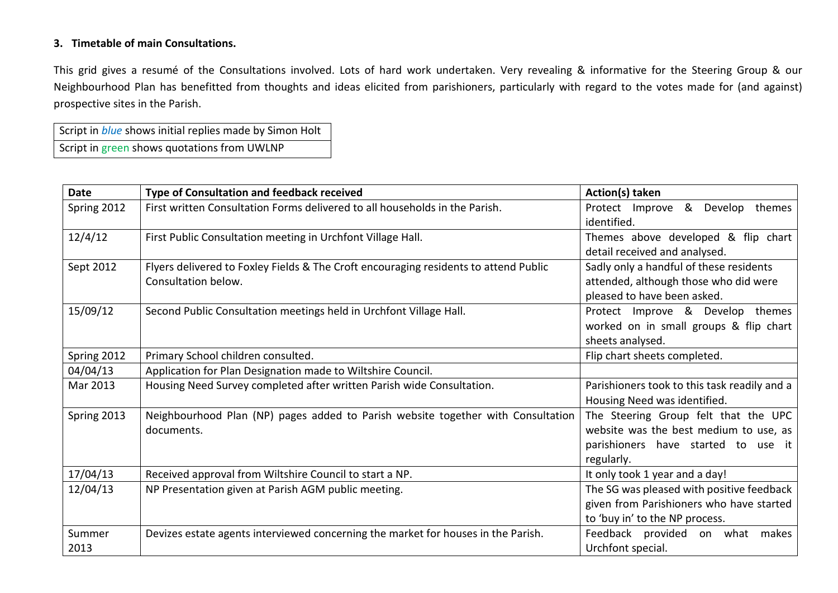## **3. Timetable of main Consultations.**

This grid gives a resumé of the Consultations involved. Lots of hard work undertaken. Very revealing & informative for the Steering Group & our Neighbourhood Plan has benefitted from thoughts and ideas elicited from parishioners, particularly with regard to the votes made for (and against) prospective sites in the Parish.

Script in *blue* shows initial replies made by Simon Holt Script in green shows quotations from UWLNP

| <b>Date</b> | Type of Consultation and feedback received                                           | Action(s) taken                              |
|-------------|--------------------------------------------------------------------------------------|----------------------------------------------|
| Spring 2012 | First written Consultation Forms delivered to all households in the Parish.          | Protect Improve & Develop themes             |
|             |                                                                                      | identified.                                  |
| 12/4/12     | First Public Consultation meeting in Urchfont Village Hall.                          | Themes above developed & flip chart          |
|             |                                                                                      | detail received and analysed.                |
| Sept 2012   | Flyers delivered to Foxley Fields & The Croft encouraging residents to attend Public | Sadly only a handful of these residents      |
|             | Consultation below.                                                                  | attended, although those who did were        |
|             |                                                                                      | pleased to have been asked.                  |
| 15/09/12    | Second Public Consultation meetings held in Urchfont Village Hall.                   | Protect Improve & Develop themes             |
|             |                                                                                      | worked on in small groups & flip chart       |
|             |                                                                                      | sheets analysed.                             |
| Spring 2012 | Primary School children consulted.                                                   | Flip chart sheets completed.                 |
| 04/04/13    | Application for Plan Designation made to Wiltshire Council.                          |                                              |
| Mar 2013    | Housing Need Survey completed after written Parish wide Consultation.                | Parishioners took to this task readily and a |
|             |                                                                                      | Housing Need was identified.                 |
| Spring 2013 | Neighbourhood Plan (NP) pages added to Parish website together with Consultation     | The Steering Group felt that the UPC         |
|             | documents.                                                                           | website was the best medium to use, as       |
|             |                                                                                      | parishioners have started to use it          |
|             |                                                                                      | regularly.                                   |
| 17/04/13    | Received approval from Wiltshire Council to start a NP.                              | It only took 1 year and a day!               |
| 12/04/13    | NP Presentation given at Parish AGM public meeting.                                  | The SG was pleased with positive feedback    |
|             |                                                                                      | given from Parishioners who have started     |
|             |                                                                                      | to 'buy in' to the NP process.               |
| Summer      | Devizes estate agents interviewed concerning the market for houses in the Parish.    | Feedback provided on what makes              |
| 2013        |                                                                                      | Urchfont special.                            |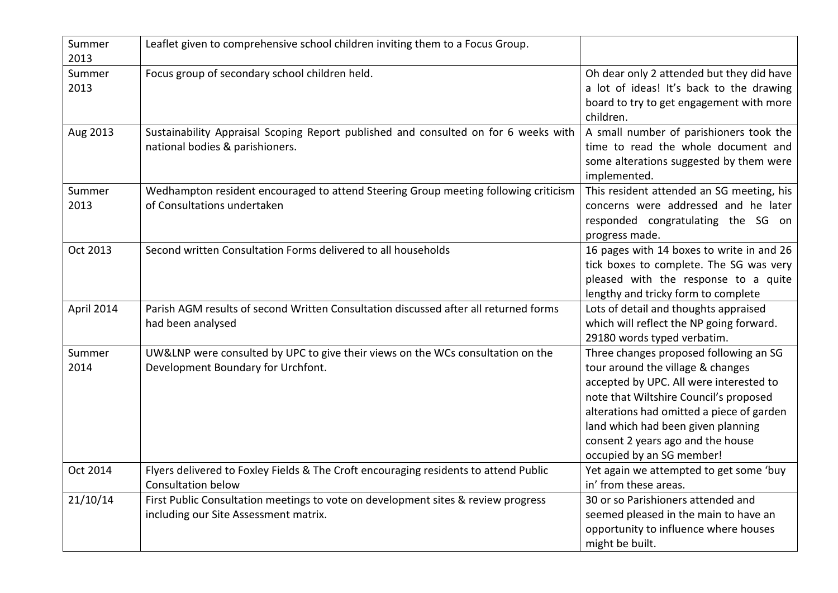| Summer<br>2013 | Leaflet given to comprehensive school children inviting them to a Focus Group.                                             |                                                                                                                                                                                                                                                                                                                       |
|----------------|----------------------------------------------------------------------------------------------------------------------------|-----------------------------------------------------------------------------------------------------------------------------------------------------------------------------------------------------------------------------------------------------------------------------------------------------------------------|
| Summer<br>2013 | Focus group of secondary school children held.                                                                             | Oh dear only 2 attended but they did have<br>a lot of ideas! It's back to the drawing<br>board to try to get engagement with more<br>children.                                                                                                                                                                        |
| Aug 2013       | Sustainability Appraisal Scoping Report published and consulted on for 6 weeks with<br>national bodies & parishioners.     | A small number of parishioners took the<br>time to read the whole document and<br>some alterations suggested by them were<br>implemented.                                                                                                                                                                             |
| Summer<br>2013 | Wedhampton resident encouraged to attend Steering Group meeting following criticism<br>of Consultations undertaken         | This resident attended an SG meeting, his<br>concerns were addressed and he later<br>responded congratulating the SG on<br>progress made.                                                                                                                                                                             |
| Oct 2013       | Second written Consultation Forms delivered to all households                                                              | 16 pages with 14 boxes to write in and 26<br>tick boxes to complete. The SG was very<br>pleased with the response to a quite<br>lengthy and tricky form to complete                                                                                                                                                   |
| April 2014     | Parish AGM results of second Written Consultation discussed after all returned forms<br>had been analysed                  | Lots of detail and thoughts appraised<br>which will reflect the NP going forward.<br>29180 words typed verbatim.                                                                                                                                                                                                      |
| Summer<br>2014 | UW&LNP were consulted by UPC to give their views on the WCs consultation on the<br>Development Boundary for Urchfont.      | Three changes proposed following an SG<br>tour around the village & changes<br>accepted by UPC. All were interested to<br>note that Wiltshire Council's proposed<br>alterations had omitted a piece of garden<br>land which had been given planning<br>consent 2 years ago and the house<br>occupied by an SG member! |
| Oct 2014       | Flyers delivered to Foxley Fields & The Croft encouraging residents to attend Public<br><b>Consultation below</b>          | Yet again we attempted to get some 'buy<br>in' from these areas.                                                                                                                                                                                                                                                      |
| 21/10/14       | First Public Consultation meetings to vote on development sites & review progress<br>including our Site Assessment matrix. | 30 or so Parishioners attended and<br>seemed pleased in the main to have an<br>opportunity to influence where houses<br>might be built.                                                                                                                                                                               |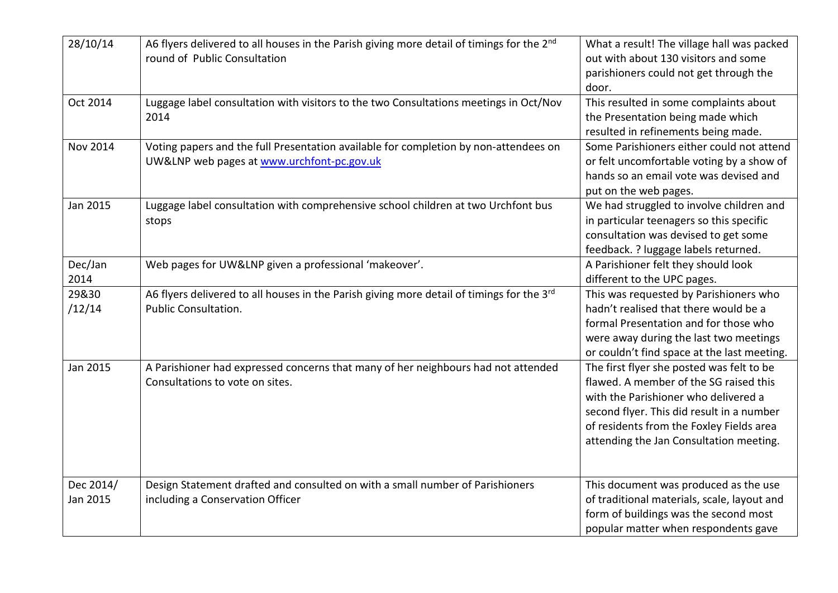| 28/10/14              | A6 flyers delivered to all houses in the Parish giving more detail of timings for the 2 <sup>nd</sup><br>round of Public Consultation | What a result! The village hall was packed<br>out with about 130 visitors and some<br>parishioners could not get through the<br>door.                                                                                                                           |
|-----------------------|---------------------------------------------------------------------------------------------------------------------------------------|-----------------------------------------------------------------------------------------------------------------------------------------------------------------------------------------------------------------------------------------------------------------|
| Oct 2014              | Luggage label consultation with visitors to the two Consultations meetings in Oct/Nov<br>2014                                         | This resulted in some complaints about<br>the Presentation being made which<br>resulted in refinements being made.                                                                                                                                              |
| <b>Nov 2014</b>       | Voting papers and the full Presentation available for completion by non-attendees on<br>UW&LNP web pages at www.urchfont-pc.gov.uk    | Some Parishioners either could not attend<br>or felt uncomfortable voting by a show of<br>hands so an email vote was devised and<br>put on the web pages.                                                                                                       |
| Jan 2015              | Luggage label consultation with comprehensive school children at two Urchfont bus<br>stops                                            | We had struggled to involve children and<br>in particular teenagers so this specific<br>consultation was devised to get some<br>feedback. ? luggage labels returned.                                                                                            |
| Dec/Jan<br>2014       | Web pages for UW&LNP given a professional 'makeover'.                                                                                 | A Parishioner felt they should look<br>different to the UPC pages.                                                                                                                                                                                              |
| 29&30<br>/12/14       | A6 flyers delivered to all houses in the Parish giving more detail of timings for the 3rd<br><b>Public Consultation.</b>              | This was requested by Parishioners who<br>hadn't realised that there would be a<br>formal Presentation and for those who<br>were away during the last two meetings<br>or couldn't find space at the last meeting.                                               |
| Jan 2015              | A Parishioner had expressed concerns that many of her neighbours had not attended<br>Consultations to vote on sites.                  | The first flyer she posted was felt to be<br>flawed. A member of the SG raised this<br>with the Parishioner who delivered a<br>second flyer. This did result in a number<br>of residents from the Foxley Fields area<br>attending the Jan Consultation meeting. |
| Dec 2014/<br>Jan 2015 | Design Statement drafted and consulted on with a small number of Parishioners<br>including a Conservation Officer                     | This document was produced as the use<br>of traditional materials, scale, layout and<br>form of buildings was the second most<br>popular matter when respondents gave                                                                                           |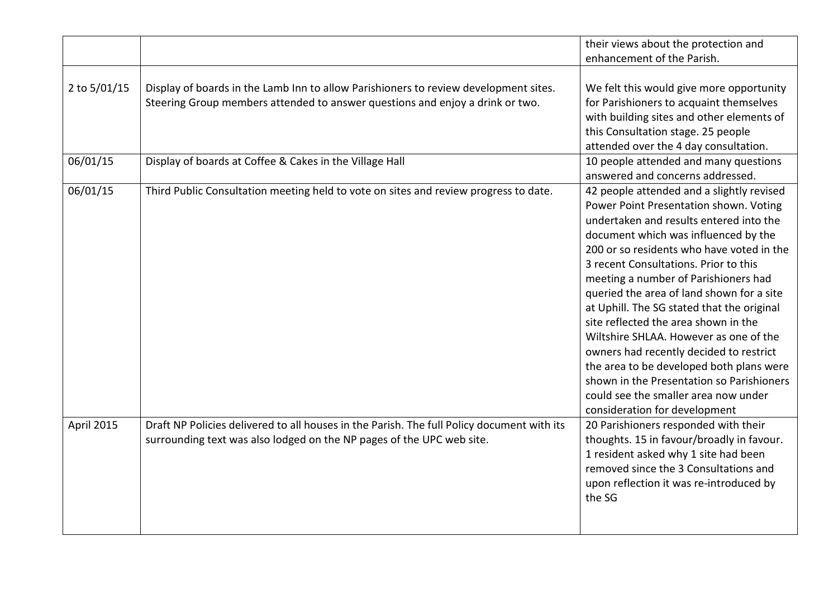|              |                                                                                                                                                                       | their views about the protection and<br>enhancement of the Parish.                                                                                                                                                                                                                                                                                                                                                                                                                                                                                                                                                                                                                             |
|--------------|-----------------------------------------------------------------------------------------------------------------------------------------------------------------------|------------------------------------------------------------------------------------------------------------------------------------------------------------------------------------------------------------------------------------------------------------------------------------------------------------------------------------------------------------------------------------------------------------------------------------------------------------------------------------------------------------------------------------------------------------------------------------------------------------------------------------------------------------------------------------------------|
| 2 to 5/01/15 | Display of boards in the Lamb Inn to allow Parishioners to review development sites.<br>Steering Group members attended to answer questions and enjoy a drink or two. | We felt this would give more opportunity<br>for Parishioners to acquaint themselves<br>with building sites and other elements of<br>this Consultation stage. 25 people<br>attended over the 4 day consultation.                                                                                                                                                                                                                                                                                                                                                                                                                                                                                |
| 06/01/15     | Display of boards at Coffee & Cakes in the Village Hall                                                                                                               | 10 people attended and many questions<br>answered and concerns addressed.                                                                                                                                                                                                                                                                                                                                                                                                                                                                                                                                                                                                                      |
| 06/01/15     | Third Public Consultation meeting held to vote on sites and review progress to date.                                                                                  | 42 people attended and a slightly revised<br>Power Point Presentation shown. Voting<br>undertaken and results entered into the<br>document which was influenced by the<br>200 or so residents who have voted in the<br>3 recent Consultations. Prior to this<br>meeting a number of Parishioners had<br>queried the area of land shown for a site<br>at Uphill. The SG stated that the original<br>site reflected the area shown in the<br>Wiltshire SHLAA. However as one of the<br>owners had recently decided to restrict<br>the area to be developed both plans were<br>shown in the Presentation so Parishioners<br>could see the smaller area now under<br>consideration for development |
| April 2015   | Draft NP Policies delivered to all houses in the Parish. The full Policy document with its<br>surrounding text was also lodged on the NP pages of the UPC web site.   | 20 Parishioners responded with their<br>thoughts. 15 in favour/broadly in favour.<br>1 resident asked why 1 site had been<br>removed since the 3 Consultations and<br>upon reflection it was re-introduced by<br>the SG                                                                                                                                                                                                                                                                                                                                                                                                                                                                        |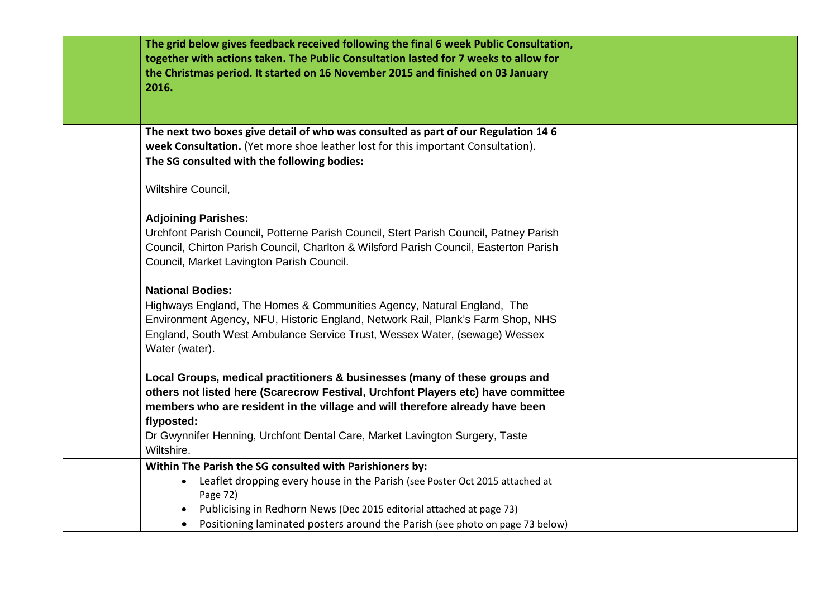| The grid below gives feedback received following the final 6 week Public Consultation,<br>together with actions taken. The Public Consultation lasted for 7 weeks to allow for<br>the Christmas period. It started on 16 November 2015 and finished on 03 January<br>2016.           |  |
|--------------------------------------------------------------------------------------------------------------------------------------------------------------------------------------------------------------------------------------------------------------------------------------|--|
| The next two boxes give detail of who was consulted as part of our Regulation 14 6                                                                                                                                                                                                   |  |
| week Consultation. (Yet more shoe leather lost for this important Consultation).                                                                                                                                                                                                     |  |
| The SG consulted with the following bodies:                                                                                                                                                                                                                                          |  |
| Wiltshire Council,                                                                                                                                                                                                                                                                   |  |
| <b>Adjoining Parishes:</b>                                                                                                                                                                                                                                                           |  |
| Urchfont Parish Council, Potterne Parish Council, Stert Parish Council, Patney Parish                                                                                                                                                                                                |  |
| Council, Chirton Parish Council, Charlton & Wilsford Parish Council, Easterton Parish                                                                                                                                                                                                |  |
| Council, Market Lavington Parish Council.                                                                                                                                                                                                                                            |  |
| <b>National Bodies:</b><br>Highways England, The Homes & Communities Agency, Natural England, The<br>Environment Agency, NFU, Historic England, Network Rail, Plank's Farm Shop, NHS<br>England, South West Ambulance Service Trust, Wessex Water, (sewage) Wessex<br>Water (water). |  |
| Local Groups, medical practitioners & businesses (many of these groups and<br>others not listed here (Scarecrow Festival, Urchfont Players etc) have committee                                                                                                                       |  |
| members who are resident in the village and will therefore already have been                                                                                                                                                                                                         |  |
| flyposted:                                                                                                                                                                                                                                                                           |  |
| Dr Gwynnifer Henning, Urchfont Dental Care, Market Lavington Surgery, Taste<br>Wiltshire.                                                                                                                                                                                            |  |
| Within The Parish the SG consulted with Parishioners by:                                                                                                                                                                                                                             |  |
| Leaflet dropping every house in the Parish (see Poster Oct 2015 attached at<br>$\bullet$                                                                                                                                                                                             |  |
| Page 72)                                                                                                                                                                                                                                                                             |  |
| Publicising in Redhorn News (Dec 2015 editorial attached at page 73)                                                                                                                                                                                                                 |  |
| Positioning laminated posters around the Parish (see photo on page 73 below)<br>$\bullet$                                                                                                                                                                                            |  |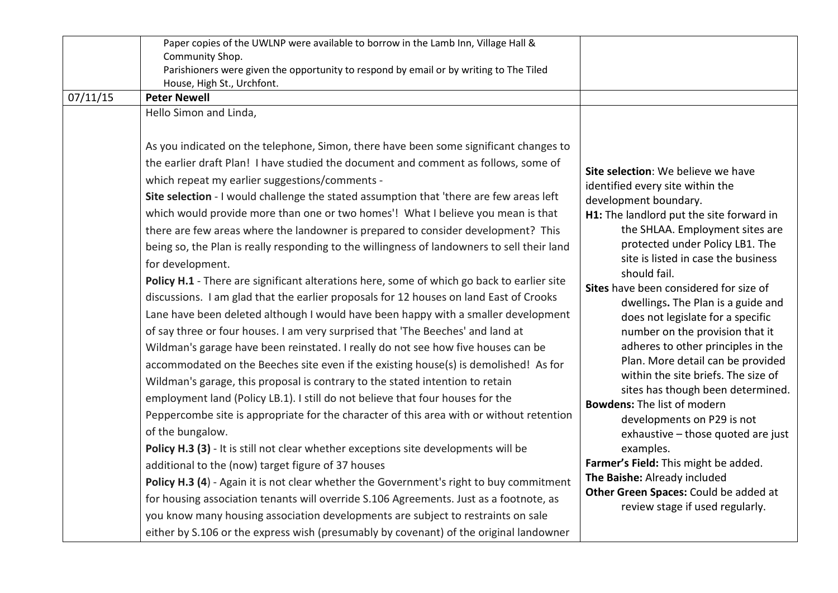| 07/11/15 | Paper copies of the UWLNP were available to borrow in the Lamb Inn, Village Hall &<br>Community Shop.<br>Parishioners were given the opportunity to respond by email or by writing to The Tiled<br>House, High St., Urchfont.<br><b>Peter Newell</b><br>Hello Simon and Linda,                                                                                                                                                                                                                                                                                                                                                                                                                                                                                                                                                                                                                                                                                                                                                                                                                                                                                                                                                                                                                                                                                                                                                                                                                                                                                                                                                                                                                                                                                                                                                                                                                                                                                         |                                                                                                                                                                                                                                                                                                                                                                                                                                                                                                                                                                                                                                                                                                                                                                                                                                                                    |
|----------|------------------------------------------------------------------------------------------------------------------------------------------------------------------------------------------------------------------------------------------------------------------------------------------------------------------------------------------------------------------------------------------------------------------------------------------------------------------------------------------------------------------------------------------------------------------------------------------------------------------------------------------------------------------------------------------------------------------------------------------------------------------------------------------------------------------------------------------------------------------------------------------------------------------------------------------------------------------------------------------------------------------------------------------------------------------------------------------------------------------------------------------------------------------------------------------------------------------------------------------------------------------------------------------------------------------------------------------------------------------------------------------------------------------------------------------------------------------------------------------------------------------------------------------------------------------------------------------------------------------------------------------------------------------------------------------------------------------------------------------------------------------------------------------------------------------------------------------------------------------------------------------------------------------------------------------------------------------------|--------------------------------------------------------------------------------------------------------------------------------------------------------------------------------------------------------------------------------------------------------------------------------------------------------------------------------------------------------------------------------------------------------------------------------------------------------------------------------------------------------------------------------------------------------------------------------------------------------------------------------------------------------------------------------------------------------------------------------------------------------------------------------------------------------------------------------------------------------------------|
|          | As you indicated on the telephone, Simon, there have been some significant changes to<br>the earlier draft Plan! I have studied the document and comment as follows, some of<br>which repeat my earlier suggestions/comments -<br>Site selection - I would challenge the stated assumption that 'there are few areas left<br>which would provide more than one or two homes'! What I believe you mean is that<br>there are few areas where the landowner is prepared to consider development? This<br>being so, the Plan is really responding to the willingness of landowners to sell their land<br>for development.<br>Policy H.1 - There are significant alterations here, some of which go back to earlier site<br>discussions. I am glad that the earlier proposals for 12 houses on land East of Crooks<br>Lane have been deleted although I would have been happy with a smaller development<br>of say three or four houses. I am very surprised that 'The Beeches' and land at<br>Wildman's garage have been reinstated. I really do not see how five houses can be<br>accommodated on the Beeches site even if the existing house(s) is demolished! As for<br>Wildman's garage, this proposal is contrary to the stated intention to retain<br>employment land (Policy LB.1). I still do not believe that four houses for the<br>Peppercombe site is appropriate for the character of this area with or without retention<br>of the bungalow.<br>Policy H.3 (3) - It is still not clear whether exceptions site developments will be<br>additional to the (now) target figure of 37 houses<br>Policy H.3 (4) - Again it is not clear whether the Government's right to buy commitment<br>for housing association tenants will override S.106 Agreements. Just as a footnote, as<br>you know many housing association developments are subject to restraints on sale<br>either by S.106 or the express wish (presumably by covenant) of the original landowner | Site selection: We believe we have<br>identified every site within the<br>development boundary.<br>H1: The landlord put the site forward in<br>the SHLAA. Employment sites are<br>protected under Policy LB1. The<br>site is listed in case the business<br>should fail.<br>Sites have been considered for size of<br>dwellings. The Plan is a guide and<br>does not legislate for a specific<br>number on the provision that it<br>adheres to other principles in the<br>Plan. More detail can be provided<br>within the site briefs. The size of<br>sites has though been determined.<br><b>Bowdens: The list of modern</b><br>developments on P29 is not<br>exhaustive - those quoted are just<br>examples.<br>Farmer's Field: This might be added.<br>The Baishe: Already included<br>Other Green Spaces: Could be added at<br>review stage if used regularly. |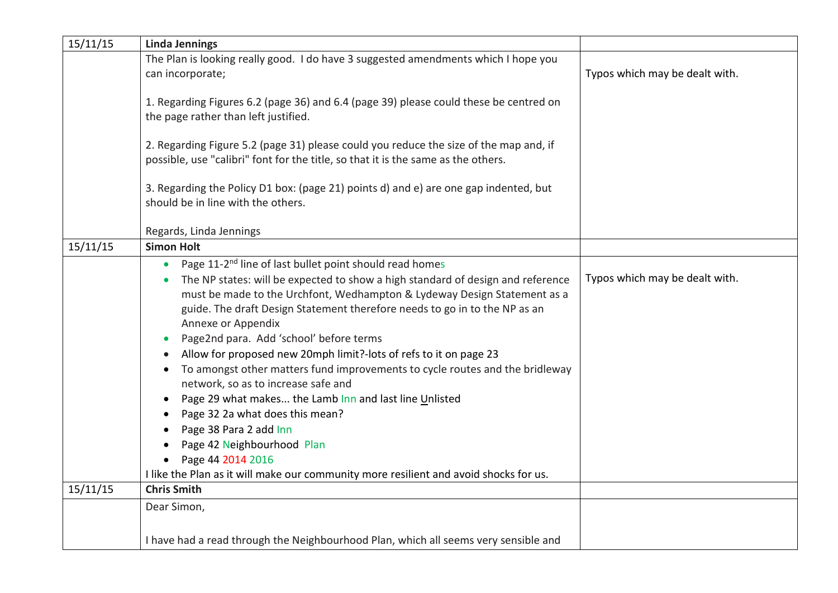| 15/11/15 | <b>Linda Jennings</b>                                                                                                                                                                                                                                                                                                                                                                                                                                                                                                                                                                                                                                                                                                                                                                                                                            |                                |
|----------|--------------------------------------------------------------------------------------------------------------------------------------------------------------------------------------------------------------------------------------------------------------------------------------------------------------------------------------------------------------------------------------------------------------------------------------------------------------------------------------------------------------------------------------------------------------------------------------------------------------------------------------------------------------------------------------------------------------------------------------------------------------------------------------------------------------------------------------------------|--------------------------------|
|          | The Plan is looking really good. I do have 3 suggested amendments which I hope you                                                                                                                                                                                                                                                                                                                                                                                                                                                                                                                                                                                                                                                                                                                                                               |                                |
|          | can incorporate;                                                                                                                                                                                                                                                                                                                                                                                                                                                                                                                                                                                                                                                                                                                                                                                                                                 | Typos which may be dealt with. |
|          | 1. Regarding Figures 6.2 (page 36) and 6.4 (page 39) please could these be centred on<br>the page rather than left justified.                                                                                                                                                                                                                                                                                                                                                                                                                                                                                                                                                                                                                                                                                                                    |                                |
|          | 2. Regarding Figure 5.2 (page 31) please could you reduce the size of the map and, if<br>possible, use "calibri" font for the title, so that it is the same as the others.                                                                                                                                                                                                                                                                                                                                                                                                                                                                                                                                                                                                                                                                       |                                |
|          | 3. Regarding the Policy D1 box: (page 21) points d) and e) are one gap indented, but<br>should be in line with the others.                                                                                                                                                                                                                                                                                                                                                                                                                                                                                                                                                                                                                                                                                                                       |                                |
|          | Regards, Linda Jennings                                                                                                                                                                                                                                                                                                                                                                                                                                                                                                                                                                                                                                                                                                                                                                                                                          |                                |
| 15/11/15 | <b>Simon Holt</b>                                                                                                                                                                                                                                                                                                                                                                                                                                                                                                                                                                                                                                                                                                                                                                                                                                |                                |
|          | Page 11-2 <sup>nd</sup> line of last bullet point should read homes<br>The NP states: will be expected to show a high standard of design and reference<br>must be made to the Urchfont, Wedhampton & Lydeway Design Statement as a<br>guide. The draft Design Statement therefore needs to go in to the NP as an<br>Annexe or Appendix<br>Page2nd para. Add 'school' before terms<br>Allow for proposed new 20mph limit?-lots of refs to it on page 23<br>To amongst other matters fund improvements to cycle routes and the bridleway<br>network, so as to increase safe and<br>Page 29 what makes the Lamb Inn and last line Unlisted<br>Page 32 2a what does this mean?<br>Page 38 Para 2 add Inn<br>Page 42 Neighbourhood Plan<br>Page 44 2014 2016<br>I like the Plan as it will make our community more resilient and avoid shocks for us. | Typos which may be dealt with. |
| 15/11/15 | <b>Chris Smith</b>                                                                                                                                                                                                                                                                                                                                                                                                                                                                                                                                                                                                                                                                                                                                                                                                                               |                                |
|          | Dear Simon,                                                                                                                                                                                                                                                                                                                                                                                                                                                                                                                                                                                                                                                                                                                                                                                                                                      |                                |
|          | I have had a read through the Neighbourhood Plan, which all seems very sensible and                                                                                                                                                                                                                                                                                                                                                                                                                                                                                                                                                                                                                                                                                                                                                              |                                |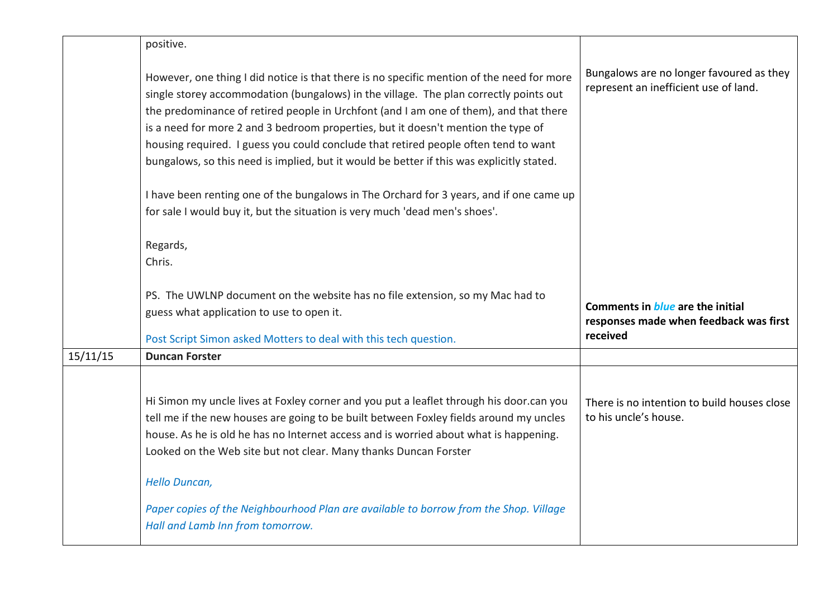|          | positive.                                                                                                                                                                                                                                                                                                                                                                                                                                                                                                                                                                                                                                                                                                                                            |                                                                                               |
|----------|------------------------------------------------------------------------------------------------------------------------------------------------------------------------------------------------------------------------------------------------------------------------------------------------------------------------------------------------------------------------------------------------------------------------------------------------------------------------------------------------------------------------------------------------------------------------------------------------------------------------------------------------------------------------------------------------------------------------------------------------------|-----------------------------------------------------------------------------------------------|
|          | However, one thing I did notice is that there is no specific mention of the need for more<br>single storey accommodation (bungalows) in the village. The plan correctly points out<br>the predominance of retired people in Urchfont (and I am one of them), and that there<br>is a need for more 2 and 3 bedroom properties, but it doesn't mention the type of<br>housing required. I guess you could conclude that retired people often tend to want<br>bungalows, so this need is implied, but it would be better if this was explicitly stated.<br>I have been renting one of the bungalows in The Orchard for 3 years, and if one came up<br>for sale I would buy it, but the situation is very much 'dead men's shoes'.<br>Regards,<br>Chris. | Bungalows are no longer favoured as they<br>represent an inefficient use of land.             |
|          | PS. The UWLNP document on the website has no file extension, so my Mac had to<br>guess what application to use to open it.<br>Post Script Simon asked Motters to deal with this tech question.                                                                                                                                                                                                                                                                                                                                                                                                                                                                                                                                                       | Comments in <i>blue</i> are the initial<br>responses made when feedback was first<br>received |
| 15/11/15 | <b>Duncan Forster</b>                                                                                                                                                                                                                                                                                                                                                                                                                                                                                                                                                                                                                                                                                                                                |                                                                                               |
|          | Hi Simon my uncle lives at Foxley corner and you put a leaflet through his door.can you<br>tell me if the new houses are going to be built between Foxley fields around my uncles<br>house. As he is old he has no Internet access and is worried about what is happening.<br>Looked on the Web site but not clear. Many thanks Duncan Forster<br><b>Hello Duncan,</b><br>Paper copies of the Neighbourhood Plan are available to borrow from the Shop. Village                                                                                                                                                                                                                                                                                      | There is no intention to build houses close<br>to his uncle's house.                          |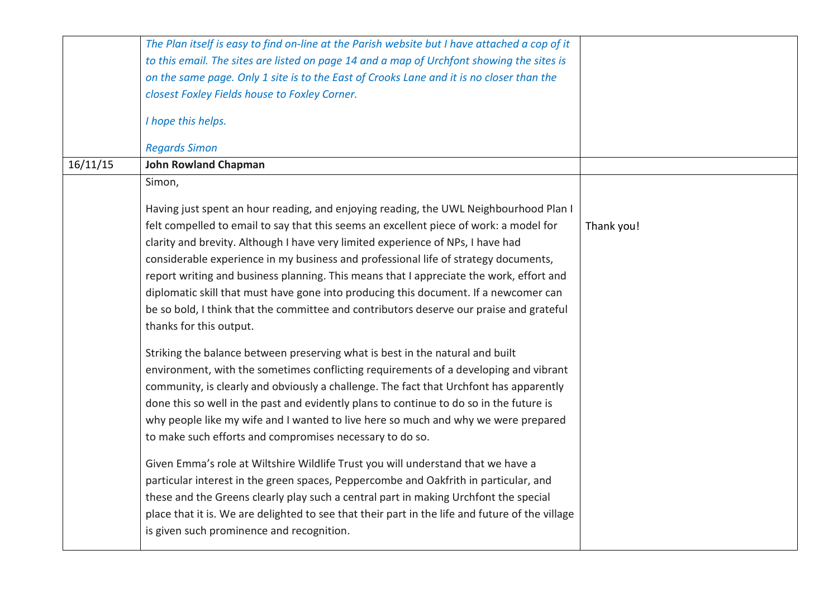|          | The Plan itself is easy to find on-line at the Parish website but I have attached a cop of it   |            |
|----------|-------------------------------------------------------------------------------------------------|------------|
|          | to this email. The sites are listed on page 14 and a map of Urchfont showing the sites is       |            |
|          | on the same page. Only 1 site is to the East of Crooks Lane and it is no closer than the        |            |
|          | closest Foxley Fields house to Foxley Corner.                                                   |            |
|          |                                                                                                 |            |
|          | I hope this helps.                                                                              |            |
|          | <b>Regards Simon</b>                                                                            |            |
| 16/11/15 | <b>John Rowland Chapman</b>                                                                     |            |
|          | Simon,                                                                                          |            |
|          | Having just spent an hour reading, and enjoying reading, the UWL Neighbourhood Plan I           |            |
|          | felt compelled to email to say that this seems an excellent piece of work: a model for          | Thank you! |
|          |                                                                                                 |            |
|          | clarity and brevity. Although I have very limited experience of NPs, I have had                 |            |
|          | considerable experience in my business and professional life of strategy documents,             |            |
|          | report writing and business planning. This means that I appreciate the work, effort and         |            |
|          | diplomatic skill that must have gone into producing this document. If a newcomer can            |            |
|          | be so bold, I think that the committee and contributors deserve our praise and grateful         |            |
|          | thanks for this output.                                                                         |            |
|          | Striking the balance between preserving what is best in the natural and built                   |            |
|          | environment, with the sometimes conflicting requirements of a developing and vibrant            |            |
|          | community, is clearly and obviously a challenge. The fact that Urchfont has apparently          |            |
|          | done this so well in the past and evidently plans to continue to do so in the future is         |            |
|          | why people like my wife and I wanted to live here so much and why we were prepared              |            |
|          | to make such efforts and compromises necessary to do so.                                        |            |
|          | Given Emma's role at Wiltshire Wildlife Trust you will understand that we have a                |            |
|          | particular interest in the green spaces, Peppercombe and Oakfrith in particular, and            |            |
|          | these and the Greens clearly play such a central part in making Urchfont the special            |            |
|          | place that it is. We are delighted to see that their part in the life and future of the village |            |
|          | is given such prominence and recognition.                                                       |            |
|          |                                                                                                 |            |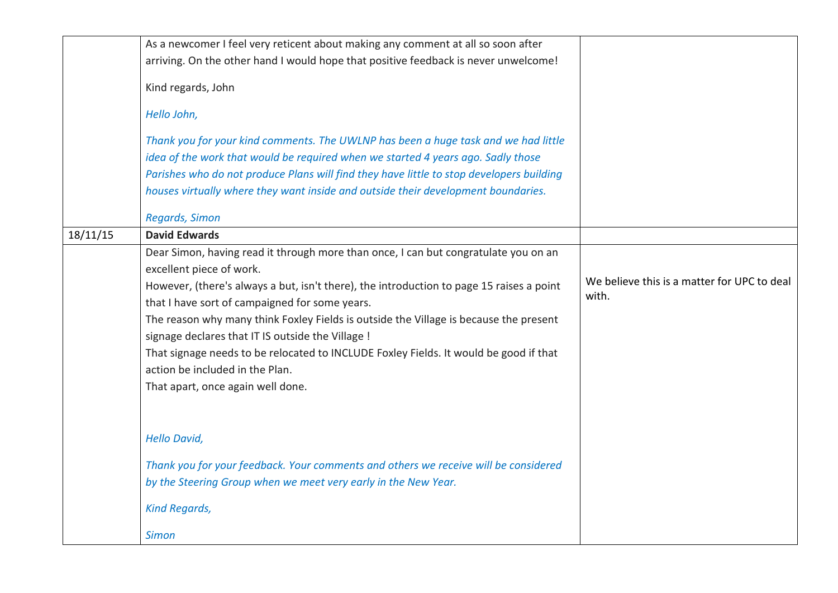|          | As a newcomer I feel very reticent about making any comment at all so soon after<br>arriving. On the other hand I would hope that positive feedback is never unwelcome!<br>Kind regards, John<br>Hello John,<br>Thank you for your kind comments. The UWLNP has been a huge task and we had little<br>idea of the work that would be required when we started 4 years ago. Sadly those<br>Parishes who do not produce Plans will find they have little to stop developers building<br>houses virtually where they want inside and outside their development boundaries.      |                                                      |
|----------|------------------------------------------------------------------------------------------------------------------------------------------------------------------------------------------------------------------------------------------------------------------------------------------------------------------------------------------------------------------------------------------------------------------------------------------------------------------------------------------------------------------------------------------------------------------------------|------------------------------------------------------|
|          | <b>Regards, Simon</b>                                                                                                                                                                                                                                                                                                                                                                                                                                                                                                                                                        |                                                      |
| 18/11/15 | <b>David Edwards</b>                                                                                                                                                                                                                                                                                                                                                                                                                                                                                                                                                         |                                                      |
|          | Dear Simon, having read it through more than once, I can but congratulate you on an<br>excellent piece of work.<br>However, (there's always a but, isn't there), the introduction to page 15 raises a point<br>that I have sort of campaigned for some years.<br>The reason why many think Foxley Fields is outside the Village is because the present<br>signage declares that IT IS outside the Village !<br>That signage needs to be relocated to INCLUDE Foxley Fields. It would be good if that<br>action be included in the Plan.<br>That apart, once again well done. | We believe this is a matter for UPC to deal<br>with. |
|          | <b>Hello David,</b><br>Thank you for your feedback. Your comments and others we receive will be considered<br>by the Steering Group when we meet very early in the New Year.<br><b>Kind Regards,</b><br><b>Simon</b>                                                                                                                                                                                                                                                                                                                                                         |                                                      |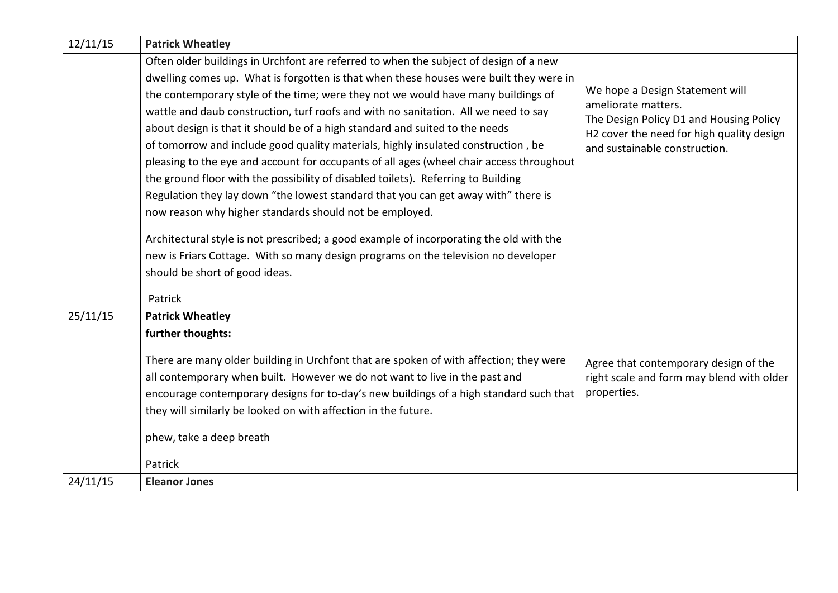| 12/11/15 | <b>Patrick Wheatley</b>                                                                  |                                                                |
|----------|------------------------------------------------------------------------------------------|----------------------------------------------------------------|
|          | Often older buildings in Urchfont are referred to when the subject of design of a new    |                                                                |
|          | dwelling comes up. What is forgotten is that when these houses were built they were in   |                                                                |
|          | the contemporary style of the time; were they not we would have many buildings of        | We hope a Design Statement will                                |
|          | wattle and daub construction, turf roofs and with no sanitation. All we need to say      | ameliorate matters.<br>The Design Policy D1 and Housing Policy |
|          | about design is that it should be of a high standard and suited to the needs             | H2 cover the need for high quality design                      |
|          | of tomorrow and include good quality materials, highly insulated construction, be        | and sustainable construction.                                  |
|          | pleasing to the eye and account for occupants of all ages (wheel chair access throughout |                                                                |
|          | the ground floor with the possibility of disabled toilets). Referring to Building        |                                                                |
|          | Regulation they lay down "the lowest standard that you can get away with" there is       |                                                                |
|          | now reason why higher standards should not be employed.                                  |                                                                |
|          | Architectural style is not prescribed; a good example of incorporating the old with the  |                                                                |
|          | new is Friars Cottage. With so many design programs on the television no developer       |                                                                |
|          | should be short of good ideas.                                                           |                                                                |
|          | Patrick                                                                                  |                                                                |
| 25/11/15 | <b>Patrick Wheatley</b>                                                                  |                                                                |
|          | further thoughts:                                                                        |                                                                |
|          | There are many older building in Urchfont that are spoken of with affection; they were   | Agree that contemporary design of the                          |
|          | all contemporary when built. However we do not want to live in the past and              | right scale and form may blend with older                      |
|          | encourage contemporary designs for to-day's new buildings of a high standard such that   | properties.                                                    |
|          | they will similarly be looked on with affection in the future.                           |                                                                |
|          |                                                                                          |                                                                |
|          | phew, take a deep breath                                                                 |                                                                |
|          | Patrick                                                                                  |                                                                |
| 24/11/15 | <b>Eleanor Jones</b>                                                                     |                                                                |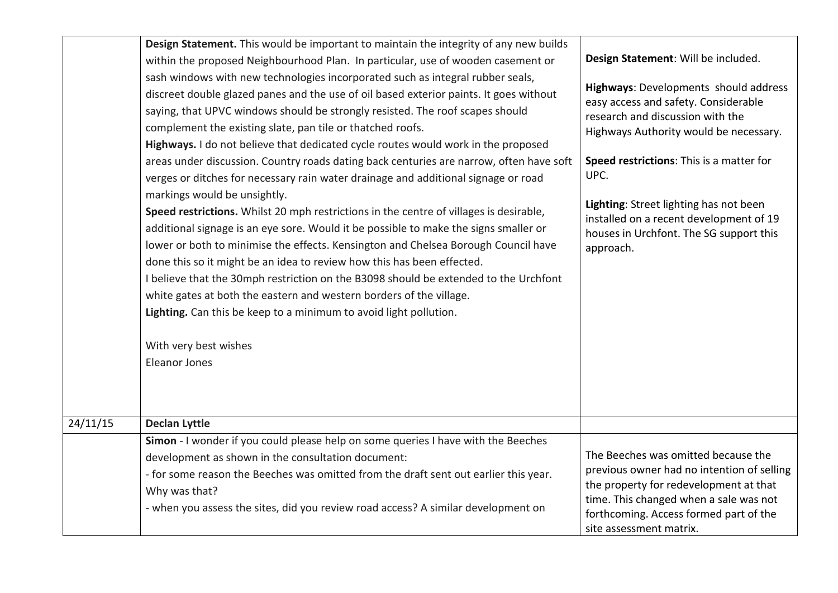|          | Design Statement. This would be important to maintain the integrity of any new builds<br>within the proposed Neighbourhood Plan. In particular, use of wooden casement or<br>sash windows with new technologies incorporated such as integral rubber seals,<br>discreet double glazed panes and the use of oil based exterior paints. It goes without<br>saying, that UPVC windows should be strongly resisted. The roof scapes should<br>complement the existing slate, pan tile or thatched roofs.<br>Highways. I do not believe that dedicated cycle routes would work in the proposed<br>areas under discussion. Country roads dating back centuries are narrow, often have soft<br>verges or ditches for necessary rain water drainage and additional signage or road<br>markings would be unsightly.<br>Speed restrictions. Whilst 20 mph restrictions in the centre of villages is desirable,<br>additional signage is an eye sore. Would it be possible to make the signs smaller or<br>lower or both to minimise the effects. Kensington and Chelsea Borough Council have<br>done this so it might be an idea to review how this has been effected.<br>I believe that the 30mph restriction on the B3098 should be extended to the Urchfont<br>white gates at both the eastern and western borders of the village.<br>Lighting. Can this be keep to a minimum to avoid light pollution.<br>With very best wishes<br>Eleanor Jones | Design Statement: Will be included.<br>Highways: Developments should address<br>easy access and safety. Considerable<br>research and discussion with the<br>Highways Authority would be necessary.<br>Speed restrictions: This is a matter for<br>UPC.<br>Lighting: Street lighting has not been<br>installed on a recent development of 19<br>houses in Urchfont. The SG support this<br>approach. |
|----------|--------------------------------------------------------------------------------------------------------------------------------------------------------------------------------------------------------------------------------------------------------------------------------------------------------------------------------------------------------------------------------------------------------------------------------------------------------------------------------------------------------------------------------------------------------------------------------------------------------------------------------------------------------------------------------------------------------------------------------------------------------------------------------------------------------------------------------------------------------------------------------------------------------------------------------------------------------------------------------------------------------------------------------------------------------------------------------------------------------------------------------------------------------------------------------------------------------------------------------------------------------------------------------------------------------------------------------------------------------------------------------------------------------------------------------------------|-----------------------------------------------------------------------------------------------------------------------------------------------------------------------------------------------------------------------------------------------------------------------------------------------------------------------------------------------------------------------------------------------------|
| 24/11/15 | <b>Declan Lyttle</b>                                                                                                                                                                                                                                                                                                                                                                                                                                                                                                                                                                                                                                                                                                                                                                                                                                                                                                                                                                                                                                                                                                                                                                                                                                                                                                                                                                                                                       |                                                                                                                                                                                                                                                                                                                                                                                                     |
|          | Simon - I wonder if you could please help on some queries I have with the Beeches<br>development as shown in the consultation document:                                                                                                                                                                                                                                                                                                                                                                                                                                                                                                                                                                                                                                                                                                                                                                                                                                                                                                                                                                                                                                                                                                                                                                                                                                                                                                    | The Beeches was omitted because the                                                                                                                                                                                                                                                                                                                                                                 |
|          | - for some reason the Beeches was omitted from the draft sent out earlier this year.                                                                                                                                                                                                                                                                                                                                                                                                                                                                                                                                                                                                                                                                                                                                                                                                                                                                                                                                                                                                                                                                                                                                                                                                                                                                                                                                                       | previous owner had no intention of selling                                                                                                                                                                                                                                                                                                                                                          |
|          | Why was that?                                                                                                                                                                                                                                                                                                                                                                                                                                                                                                                                                                                                                                                                                                                                                                                                                                                                                                                                                                                                                                                                                                                                                                                                                                                                                                                                                                                                                              | the property for redevelopment at that                                                                                                                                                                                                                                                                                                                                                              |
|          | - when you assess the sites, did you review road access? A similar development on                                                                                                                                                                                                                                                                                                                                                                                                                                                                                                                                                                                                                                                                                                                                                                                                                                                                                                                                                                                                                                                                                                                                                                                                                                                                                                                                                          | time. This changed when a sale was not<br>forthcoming. Access formed part of the<br>site assessment matrix.                                                                                                                                                                                                                                                                                         |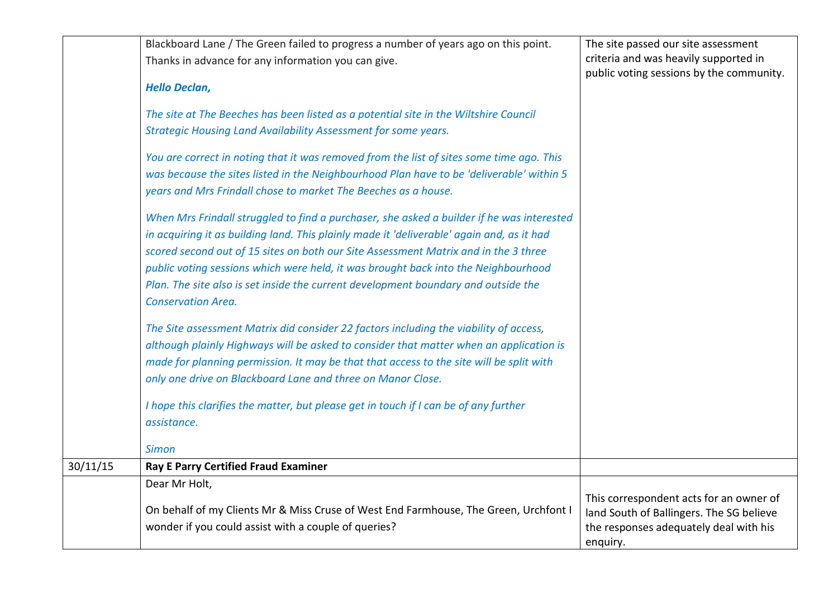|          | Blackboard Lane / The Green failed to progress a number of years ago on this point.       | The site passed our site assessment                                                 |
|----------|-------------------------------------------------------------------------------------------|-------------------------------------------------------------------------------------|
|          | Thanks in advance for any information you can give.                                       | criteria and was heavily supported in<br>public voting sessions by the community.   |
|          | <b>Hello Declan,</b>                                                                      |                                                                                     |
|          | The site at The Beeches has been listed as a potential site in the Wiltshire Council      |                                                                                     |
|          | Strategic Housing Land Availability Assessment for some years.                            |                                                                                     |
|          | You are correct in noting that it was removed from the list of sites some time ago. This  |                                                                                     |
|          | was because the sites listed in the Neighbourhood Plan have to be 'deliverable' within 5  |                                                                                     |
|          | years and Mrs Frindall chose to market The Beeches as a house.                            |                                                                                     |
|          | When Mrs Frindall struggled to find a purchaser, she asked a builder if he was interested |                                                                                     |
|          | in acquiring it as building land. This plainly made it 'deliverable' again and, as it had |                                                                                     |
|          | scored second out of 15 sites on both our Site Assessment Matrix and in the 3 three       |                                                                                     |
|          | public voting sessions which were held, it was brought back into the Neighbourhood        |                                                                                     |
|          | Plan. The site also is set inside the current development boundary and outside the        |                                                                                     |
|          | <b>Conservation Area.</b>                                                                 |                                                                                     |
|          | The Site assessment Matrix did consider 22 factors including the viability of access,     |                                                                                     |
|          | although plainly Highways will be asked to consider that matter when an application is    |                                                                                     |
|          | made for planning permission. It may be that that access to the site will be split with   |                                                                                     |
|          | only one drive on Blackboard Lane and three on Manor Close.                               |                                                                                     |
|          | I hope this clarifies the matter, but please get in touch if I can be of any further      |                                                                                     |
|          | assistance.                                                                               |                                                                                     |
|          | <b>Simon</b>                                                                              |                                                                                     |
| 30/11/15 | <b>Ray E Parry Certified Fraud Examiner</b>                                               |                                                                                     |
|          | Dear Mr Holt,                                                                             |                                                                                     |
|          | On behalf of my Clients Mr & Miss Cruse of West End Farmhouse, The Green, Urchfont I      | This correspondent acts for an owner of<br>land South of Ballingers. The SG believe |
|          | wonder if you could assist with a couple of queries?                                      | the responses adequately deal with his                                              |
|          |                                                                                           | enquiry.                                                                            |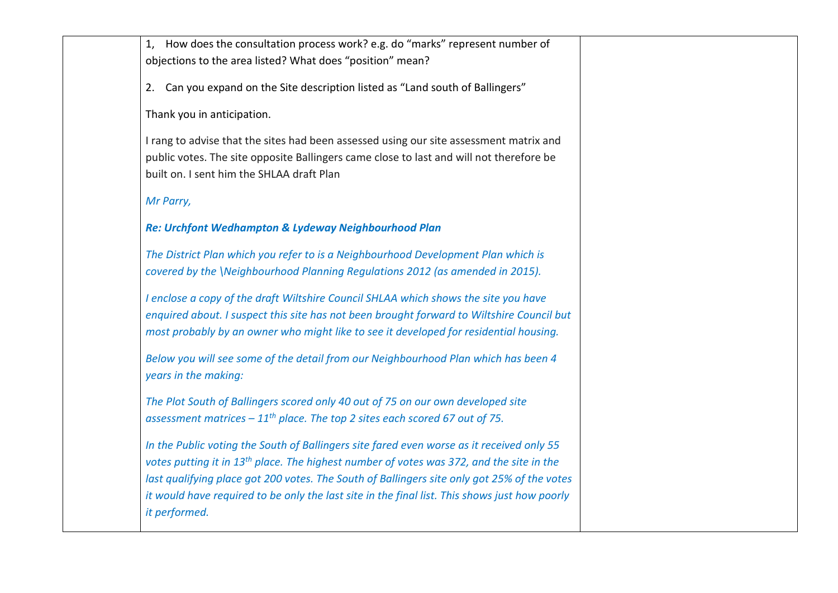| 1, How does the consultation process work? e.g. do "marks" represent number of                       |  |
|------------------------------------------------------------------------------------------------------|--|
| objections to the area listed? What does "position" mean?                                            |  |
| 2. Can you expand on the Site description listed as "Land south of Ballingers"                       |  |
| Thank you in anticipation.                                                                           |  |
| I rang to advise that the sites had been assessed using our site assessment matrix and               |  |
| public votes. The site opposite Ballingers came close to last and will not therefore be              |  |
| built on. I sent him the SHLAA draft Plan                                                            |  |
| Mr Parry,                                                                                            |  |
| Re: Urchfont Wedhampton & Lydeway Neighbourhood Plan                                                 |  |
| The District Plan which you refer to is a Neighbourhood Development Plan which is                    |  |
| covered by the \Neighbourhood Planning Regulations 2012 (as amended in 2015).                        |  |
|                                                                                                      |  |
| I enclose a copy of the draft Wiltshire Council SHLAA which shows the site you have                  |  |
| enquired about. I suspect this site has not been brought forward to Wiltshire Council but            |  |
| most probably by an owner who might like to see it developed for residential housing.                |  |
| Below you will see some of the detail from our Neighbourhood Plan which has been 4                   |  |
| years in the making:                                                                                 |  |
| The Plot South of Ballingers scored only 40 out of 75 on our own developed site                      |  |
| assessment matrices $-11^{th}$ place. The top 2 sites each scored 67 out of 75.                      |  |
|                                                                                                      |  |
| In the Public voting the South of Ballingers site fared even worse as it received only 55            |  |
| votes putting it in 13 <sup>th</sup> place. The highest number of votes was 372, and the site in the |  |
| last qualifying place got 200 votes. The South of Ballingers site only got 25% of the votes          |  |
| it would have required to be only the last site in the final list. This shows just how poorly        |  |
| it performed.                                                                                        |  |
|                                                                                                      |  |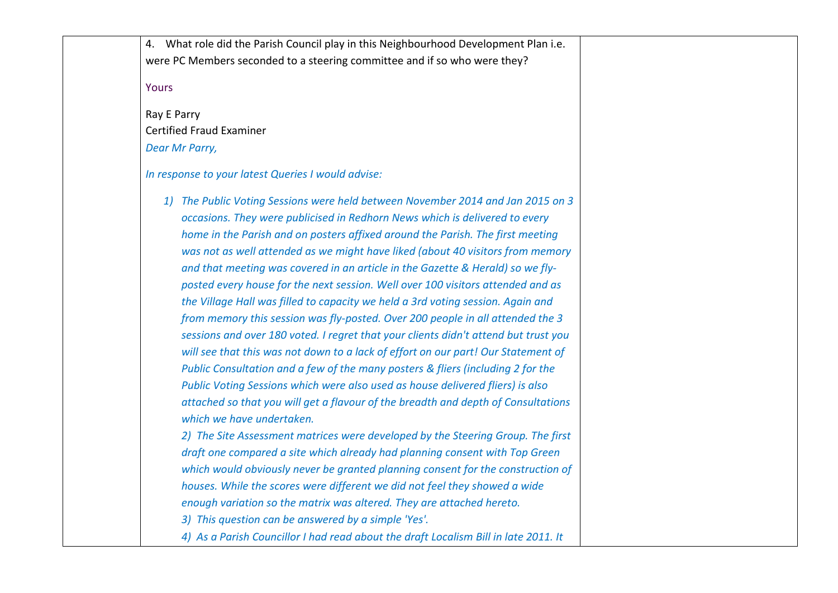|       | 4. What role did the Parish Council play in this Neighbourhood Development Plan i.e.<br>were PC Members seconded to a steering committee and if so who were they?                                                                                                                                                                                                                                                                                                                                                                                                                                                                                                                                                                                                                                                                                                                                                                                                                                                                                                                                                                                                                                                                                                                                                                                                                                                                                                                                                                                                                                                                                                                                         |  |
|-------|-----------------------------------------------------------------------------------------------------------------------------------------------------------------------------------------------------------------------------------------------------------------------------------------------------------------------------------------------------------------------------------------------------------------------------------------------------------------------------------------------------------------------------------------------------------------------------------------------------------------------------------------------------------------------------------------------------------------------------------------------------------------------------------------------------------------------------------------------------------------------------------------------------------------------------------------------------------------------------------------------------------------------------------------------------------------------------------------------------------------------------------------------------------------------------------------------------------------------------------------------------------------------------------------------------------------------------------------------------------------------------------------------------------------------------------------------------------------------------------------------------------------------------------------------------------------------------------------------------------------------------------------------------------------------------------------------------------|--|
| Yours |                                                                                                                                                                                                                                                                                                                                                                                                                                                                                                                                                                                                                                                                                                                                                                                                                                                                                                                                                                                                                                                                                                                                                                                                                                                                                                                                                                                                                                                                                                                                                                                                                                                                                                           |  |
|       | Ray E Parry                                                                                                                                                                                                                                                                                                                                                                                                                                                                                                                                                                                                                                                                                                                                                                                                                                                                                                                                                                                                                                                                                                                                                                                                                                                                                                                                                                                                                                                                                                                                                                                                                                                                                               |  |
|       | <b>Certified Fraud Examiner</b>                                                                                                                                                                                                                                                                                                                                                                                                                                                                                                                                                                                                                                                                                                                                                                                                                                                                                                                                                                                                                                                                                                                                                                                                                                                                                                                                                                                                                                                                                                                                                                                                                                                                           |  |
|       | Dear Mr Parry,                                                                                                                                                                                                                                                                                                                                                                                                                                                                                                                                                                                                                                                                                                                                                                                                                                                                                                                                                                                                                                                                                                                                                                                                                                                                                                                                                                                                                                                                                                                                                                                                                                                                                            |  |
|       | In response to your latest Queries I would advise:                                                                                                                                                                                                                                                                                                                                                                                                                                                                                                                                                                                                                                                                                                                                                                                                                                                                                                                                                                                                                                                                                                                                                                                                                                                                                                                                                                                                                                                                                                                                                                                                                                                        |  |
|       | 1) The Public Voting Sessions were held between November 2014 and Jan 2015 on 3<br>occasions. They were publicised in Redhorn News which is delivered to every<br>home in the Parish and on posters affixed around the Parish. The first meeting<br>was not as well attended as we might have liked (about 40 visitors from memory<br>and that meeting was covered in an article in the Gazette & Herald) so we fly-<br>posted every house for the next session. Well over 100 visitors attended and as<br>the Village Hall was filled to capacity we held a 3rd voting session. Again and<br>from memory this session was fly-posted. Over 200 people in all attended the 3<br>sessions and over 180 voted. I regret that your clients didn't attend but trust you<br>will see that this was not down to a lack of effort on our part! Our Statement of<br>Public Consultation and a few of the many posters & fliers (including 2 for the<br>Public Voting Sessions which were also used as house delivered fliers) is also<br>attached so that you will get a flavour of the breadth and depth of Consultations<br>which we have undertaken.<br>2) The Site Assessment matrices were developed by the Steering Group. The first<br>draft one compared a site which already had planning consent with Top Green<br>which would obviously never be granted planning consent for the construction of<br>houses. While the scores were different we did not feel they showed a wide<br>enough variation so the matrix was altered. They are attached hereto.<br>3) This question can be answered by a simple 'Yes'.<br>4) As a Parish Councillor I had read about the draft Localism Bill in late 2011. It |  |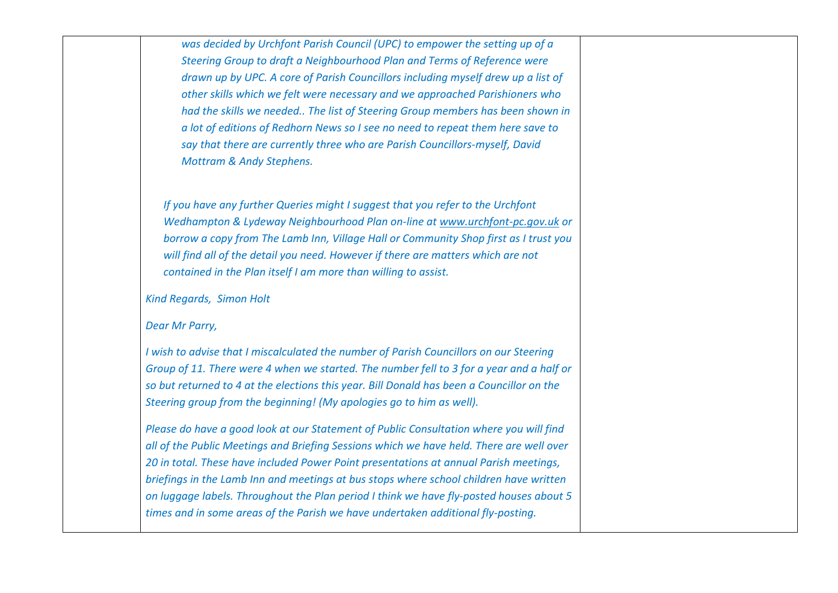*was decided by Urchfont Parish Council (UPC) to empower the setting up of a Steering Group to draft a Neighbourhood Plan and Terms of Reference were drawn up by UPC. A core of Parish Councillors including myself drew up a list of other skills which we felt were necessary and we approached Parishioners who had the skills we needed.. The list of Steering Group members has been shown in a lot of editions of Redhorn News so I see no need to repeat them here save to say that there are currently three who are Parish Councillors-myself, David Mottram & Andy Stephens.*

*If you have any further Queries might I suggest that you refer to the Urchfont Wedhampton & Lydeway Neighbourhood Plan on-line at [www.urchfont-pc.gov.uk](http://www.urchfont-pc.gov.uk/) or borrow a copy from The Lamb Inn, Village Hall or Community Shop first as I trust you will find all of the detail you need. However if there are matters which are not contained in the Plan itself I am more than willing to assist.*

*Kind Regards, Simon Holt*

*Dear Mr Parry,*

*I wish to advise that I miscalculated the number of Parish Councillors on our Steering Group of 11. There were 4 when we started. The number fell to 3 for a year and a half or so but returned to 4 at the elections this year. Bill Donald has been a Councillor on the Steering group from the beginning! (My apologies go to him as well).*

*Please do have a good look at our Statement of Public Consultation where you will find all of the Public Meetings and Briefing Sessions which we have held. There are well over 20 in total. These have included Power Point presentations at annual Parish meetings, briefings in the Lamb Inn and meetings at bus stops where school children have written on luggage labels. Throughout the Plan period I think we have fly-posted houses about 5 times and in some areas of the Parish we have undertaken additional fly-posting.*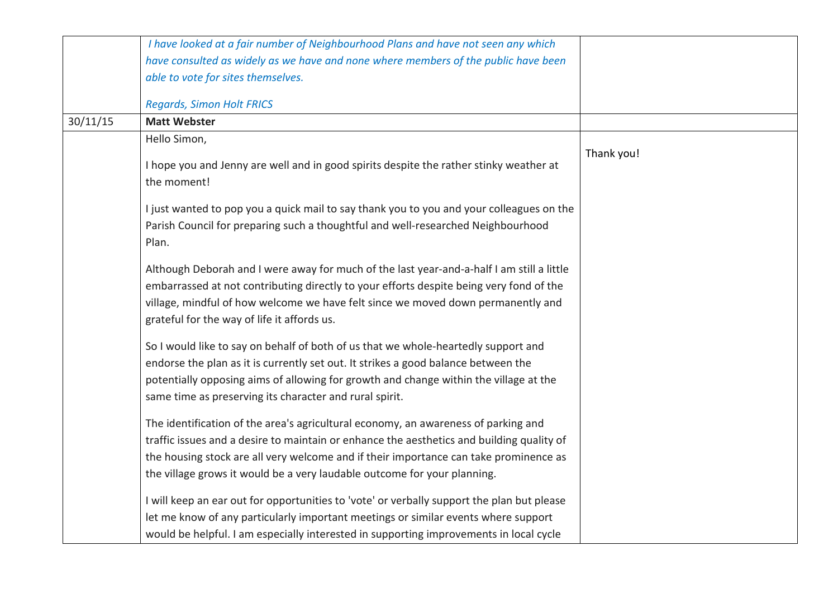|          | I have looked at a fair number of Neighbourhood Plans and have not seen any which                                                                                           |            |
|----------|-----------------------------------------------------------------------------------------------------------------------------------------------------------------------------|------------|
|          | have consulted as widely as we have and none where members of the public have been                                                                                          |            |
|          | able to vote for sites themselves.                                                                                                                                          |            |
|          | <b>Regards, Simon Holt FRICS</b>                                                                                                                                            |            |
| 30/11/15 | <b>Matt Webster</b>                                                                                                                                                         |            |
|          | Hello Simon,                                                                                                                                                                |            |
|          | I hope you and Jenny are well and in good spirits despite the rather stinky weather at<br>the moment!                                                                       | Thank you! |
|          | I just wanted to pop you a quick mail to say thank you to you and your colleagues on the                                                                                    |            |
|          | Parish Council for preparing such a thoughtful and well-researched Neighbourhood                                                                                            |            |
|          | Plan.                                                                                                                                                                       |            |
|          | Although Deborah and I were away for much of the last year-and-a-half I am still a little                                                                                   |            |
|          | embarrassed at not contributing directly to your efforts despite being very fond of the                                                                                     |            |
|          | village, mindful of how welcome we have felt since we moved down permanently and                                                                                            |            |
|          | grateful for the way of life it affords us.                                                                                                                                 |            |
|          |                                                                                                                                                                             |            |
|          | So I would like to say on behalf of both of us that we whole-heartedly support and                                                                                          |            |
|          | endorse the plan as it is currently set out. It strikes a good balance between the<br>potentially opposing aims of allowing for growth and change within the village at the |            |
|          | same time as preserving its character and rural spirit.                                                                                                                     |            |
|          |                                                                                                                                                                             |            |
|          | The identification of the area's agricultural economy, an awareness of parking and                                                                                          |            |
|          | traffic issues and a desire to maintain or enhance the aesthetics and building quality of                                                                                   |            |
|          | the housing stock are all very welcome and if their importance can take prominence as                                                                                       |            |
|          | the village grows it would be a very laudable outcome for your planning.                                                                                                    |            |
|          | I will keep an ear out for opportunities to 'vote' or verbally support the plan but please                                                                                  |            |
|          | let me know of any particularly important meetings or similar events where support                                                                                          |            |
|          | would be helpful. I am especially interested in supporting improvements in local cycle                                                                                      |            |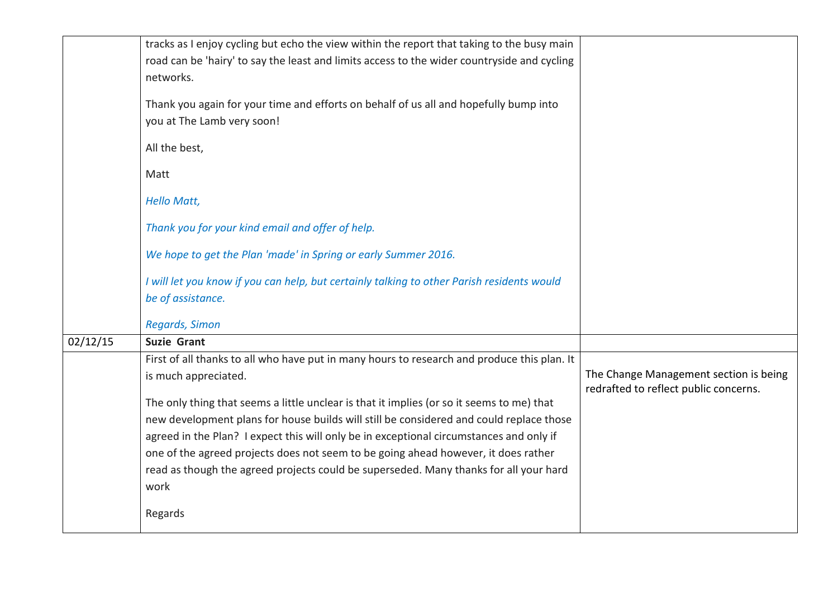|          | tracks as I enjoy cycling but echo the view within the report that taking to the busy main  |                                                                                 |
|----------|---------------------------------------------------------------------------------------------|---------------------------------------------------------------------------------|
|          | road can be 'hairy' to say the least and limits access to the wider countryside and cycling |                                                                                 |
|          | networks.                                                                                   |                                                                                 |
|          | Thank you again for your time and efforts on behalf of us all and hopefully bump into       |                                                                                 |
|          | you at The Lamb very soon!                                                                  |                                                                                 |
|          |                                                                                             |                                                                                 |
|          | All the best,                                                                               |                                                                                 |
|          | Matt                                                                                        |                                                                                 |
|          |                                                                                             |                                                                                 |
|          | <b>Hello Matt,</b>                                                                          |                                                                                 |
|          | Thank you for your kind email and offer of help.                                            |                                                                                 |
|          |                                                                                             |                                                                                 |
|          | We hope to get the Plan 'made' in Spring or early Summer 2016.                              |                                                                                 |
|          | I will let you know if you can help, but certainly talking to other Parish residents would  |                                                                                 |
|          | be of assistance.                                                                           |                                                                                 |
|          |                                                                                             |                                                                                 |
|          | <b>Regards, Simon</b>                                                                       |                                                                                 |
| 02/12/15 | <b>Suzie Grant</b>                                                                          |                                                                                 |
|          | First of all thanks to all who have put in many hours to research and produce this plan. It |                                                                                 |
|          | is much appreciated.                                                                        | The Change Management section is being<br>redrafted to reflect public concerns. |
|          | The only thing that seems a little unclear is that it implies (or so it seems to me) that   |                                                                                 |
|          | new development plans for house builds will still be considered and could replace those     |                                                                                 |
|          | agreed in the Plan? I expect this will only be in exceptional circumstances and only if     |                                                                                 |
|          | one of the agreed projects does not seem to be going ahead however, it does rather          |                                                                                 |
|          | read as though the agreed projects could be superseded. Many thanks for all your hard       |                                                                                 |
|          | work                                                                                        |                                                                                 |
|          |                                                                                             |                                                                                 |
|          | Regards                                                                                     |                                                                                 |
|          |                                                                                             |                                                                                 |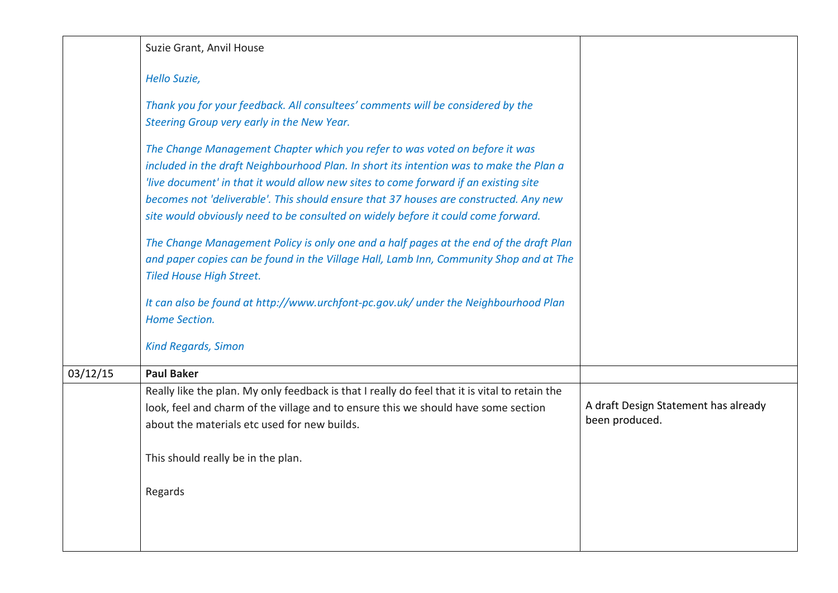|          | Suzie Grant, Anvil House                                                                                                                                                                                                                                                                                                                                                                                                                                                                                                                                                                                                                                            |                                                        |
|----------|---------------------------------------------------------------------------------------------------------------------------------------------------------------------------------------------------------------------------------------------------------------------------------------------------------------------------------------------------------------------------------------------------------------------------------------------------------------------------------------------------------------------------------------------------------------------------------------------------------------------------------------------------------------------|--------------------------------------------------------|
|          | Hello Suzie,                                                                                                                                                                                                                                                                                                                                                                                                                                                                                                                                                                                                                                                        |                                                        |
|          | Thank you for your feedback. All consultees' comments will be considered by the<br>Steering Group very early in the New Year.                                                                                                                                                                                                                                                                                                                                                                                                                                                                                                                                       |                                                        |
|          | The Change Management Chapter which you refer to was voted on before it was<br>included in the draft Neighbourhood Plan. In short its intention was to make the Plan a<br>'live document' in that it would allow new sites to come forward if an existing site<br>becomes not 'deliverable'. This should ensure that 37 houses are constructed. Any new<br>site would obviously need to be consulted on widely before it could come forward.<br>The Change Management Policy is only one and a half pages at the end of the draft Plan<br>and paper copies can be found in the Village Hall, Lamb Inn, Community Shop and at The<br><b>Tiled House High Street.</b> |                                                        |
|          | It can also be found at http://www.urchfont-pc.gov.uk/ under the Neighbourhood Plan<br>Home Section.                                                                                                                                                                                                                                                                                                                                                                                                                                                                                                                                                                |                                                        |
|          | <b>Kind Regards, Simon</b>                                                                                                                                                                                                                                                                                                                                                                                                                                                                                                                                                                                                                                          |                                                        |
| 03/12/15 | <b>Paul Baker</b>                                                                                                                                                                                                                                                                                                                                                                                                                                                                                                                                                                                                                                                   |                                                        |
|          | Really like the plan. My only feedback is that I really do feel that it is vital to retain the<br>look, feel and charm of the village and to ensure this we should have some section<br>about the materials etc used for new builds.                                                                                                                                                                                                                                                                                                                                                                                                                                | A draft Design Statement has already<br>been produced. |
|          | This should really be in the plan.                                                                                                                                                                                                                                                                                                                                                                                                                                                                                                                                                                                                                                  |                                                        |
|          | Regards                                                                                                                                                                                                                                                                                                                                                                                                                                                                                                                                                                                                                                                             |                                                        |
|          |                                                                                                                                                                                                                                                                                                                                                                                                                                                                                                                                                                                                                                                                     |                                                        |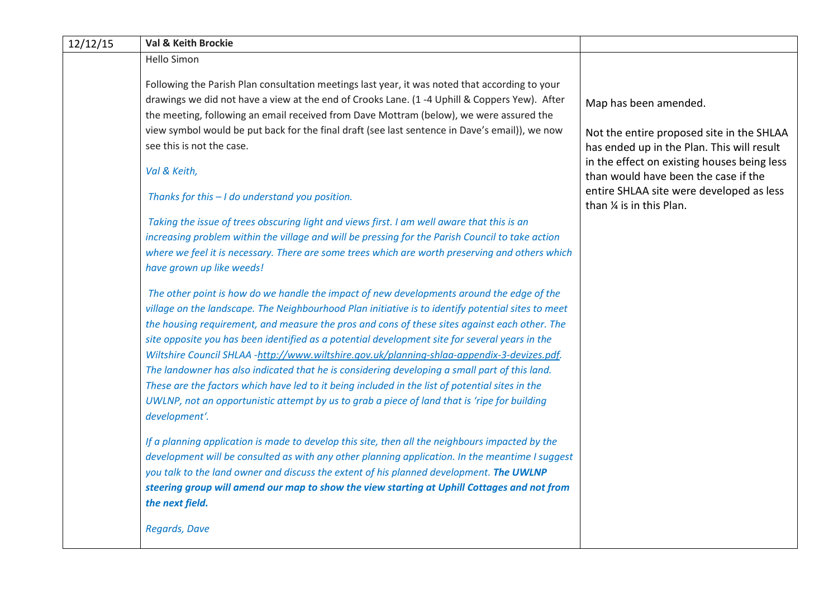| 12/12/15 | Val & Keith Brockie                                                                                                                                                                      |                                                                                           |
|----------|------------------------------------------------------------------------------------------------------------------------------------------------------------------------------------------|-------------------------------------------------------------------------------------------|
|          | Hello Simon                                                                                                                                                                              |                                                                                           |
|          | Following the Parish Plan consultation meetings last year, it was noted that according to your                                                                                           |                                                                                           |
|          | drawings we did not have a view at the end of Crooks Lane. (1 -4 Uphill & Coppers Yew). After<br>the meeting, following an email received from Dave Mottram (below), we were assured the | Map has been amended.                                                                     |
|          | view symbol would be put back for the final draft (see last sentence in Dave's email)), we now                                                                                           | Not the entire proposed site in the SHLAA                                                 |
|          | see this is not the case.                                                                                                                                                                | has ended up in the Plan. This will result<br>in the effect on existing houses being less |
|          | Val & Keith,                                                                                                                                                                             | than would have been the case if the                                                      |
|          | Thanks for this - I do understand you position.                                                                                                                                          | entire SHLAA site were developed as less<br>than % is in this Plan.                       |
|          | Taking the issue of trees obscuring light and views first. I am well aware that this is an                                                                                               |                                                                                           |
|          | increasing problem within the village and will be pressing for the Parish Council to take action                                                                                         |                                                                                           |
|          | where we feel it is necessary. There are some trees which are worth preserving and others which<br>have grown up like weeds!                                                             |                                                                                           |
|          | The other point is how do we handle the impact of new developments around the edge of the                                                                                                |                                                                                           |
|          | village on the landscape. The Neighbourhood Plan initiative is to identify potential sites to meet                                                                                       |                                                                                           |
|          | the housing requirement, and measure the pros and cons of these sites against each other. The                                                                                            |                                                                                           |
|          | site opposite you has been identified as a potential development site for several years in the                                                                                           |                                                                                           |
|          | Wiltshire Council SHLAA -http://www.wiltshire.gov.uk/planning-shlaa-appendix-3-devizes.pdf.                                                                                              |                                                                                           |
|          | The landowner has also indicated that he is considering developing a small part of this land.                                                                                            |                                                                                           |
|          | These are the factors which have led to it being included in the list of potential sites in the                                                                                          |                                                                                           |
|          | UWLNP, not an opportunistic attempt by us to grab a piece of land that is 'ripe for building<br>development'.                                                                            |                                                                                           |
|          | If a planning application is made to develop this site, then all the neighbours impacted by the                                                                                          |                                                                                           |
|          | development will be consulted as with any other planning application. In the meantime I suggest                                                                                          |                                                                                           |
|          | you talk to the land owner and discuss the extent of his planned development. The UWLNP                                                                                                  |                                                                                           |
|          | steering group will amend our map to show the view starting at Uphill Cottages and not from                                                                                              |                                                                                           |
|          | the next field.                                                                                                                                                                          |                                                                                           |
|          | <b>Regards, Dave</b>                                                                                                                                                                     |                                                                                           |
|          |                                                                                                                                                                                          |                                                                                           |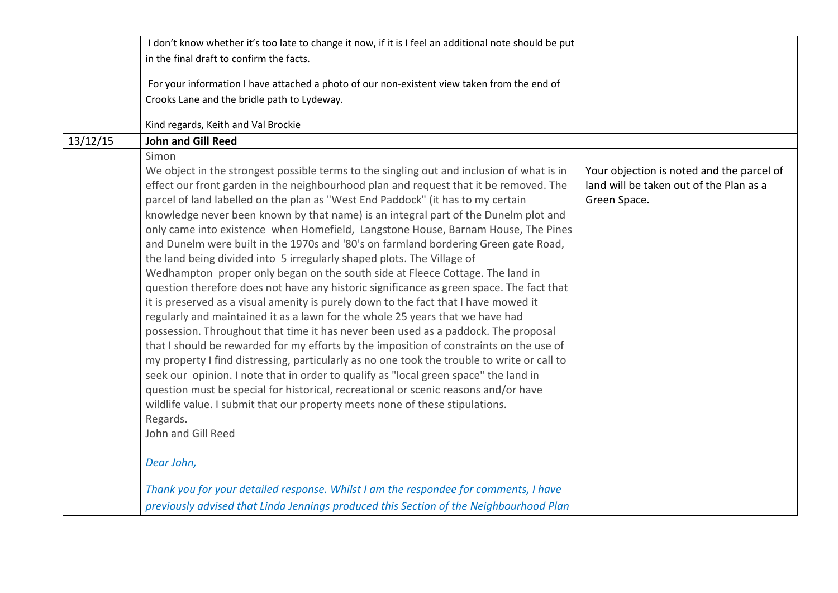|          | I don't know whether it's too late to change it now, if it is I feel an additional note should be put |                                           |
|----------|-------------------------------------------------------------------------------------------------------|-------------------------------------------|
|          | in the final draft to confirm the facts.                                                              |                                           |
|          |                                                                                                       |                                           |
|          | For your information I have attached a photo of our non-existent view taken from the end of           |                                           |
|          | Crooks Lane and the bridle path to Lydeway.                                                           |                                           |
|          | Kind regards, Keith and Val Brockie                                                                   |                                           |
| 13/12/15 | <b>John and Gill Reed</b>                                                                             |                                           |
|          | Simon                                                                                                 |                                           |
|          | We object in the strongest possible terms to the singling out and inclusion of what is in             | Your objection is noted and the parcel of |
|          | effect our front garden in the neighbourhood plan and request that it be removed. The                 | land will be taken out of the Plan as a   |
|          | parcel of land labelled on the plan as "West End Paddock" (it has to my certain                       | Green Space.                              |
|          | knowledge never been known by that name) is an integral part of the Dunelm plot and                   |                                           |
|          | only came into existence when Homefield, Langstone House, Barnam House, The Pines                     |                                           |
|          | and Dunelm were built in the 1970s and '80's on farmland bordering Green gate Road,                   |                                           |
|          | the land being divided into 5 irregularly shaped plots. The Village of                                |                                           |
|          | Wedhampton proper only began on the south side at Fleece Cottage. The land in                         |                                           |
|          | question therefore does not have any historic significance as green space. The fact that              |                                           |
|          | it is preserved as a visual amenity is purely down to the fact that I have mowed it                   |                                           |
|          | regularly and maintained it as a lawn for the whole 25 years that we have had                         |                                           |
|          | possession. Throughout that time it has never been used as a paddock. The proposal                    |                                           |
|          | that I should be rewarded for my efforts by the imposition of constraints on the use of               |                                           |
|          | my property I find distressing, particularly as no one took the trouble to write or call to           |                                           |
|          | seek our opinion. I note that in order to qualify as "local green space" the land in                  |                                           |
|          | question must be special for historical, recreational or scenic reasons and/or have                   |                                           |
|          | wildlife value. I submit that our property meets none of these stipulations.                          |                                           |
|          | Regards.                                                                                              |                                           |
|          | John and Gill Reed                                                                                    |                                           |
|          | Dear John,                                                                                            |                                           |
|          | Thank you for your detailed response. Whilst I am the respondee for comments, I have                  |                                           |
|          | previously advised that Linda Jennings produced this Section of the Neighbourhood Plan                |                                           |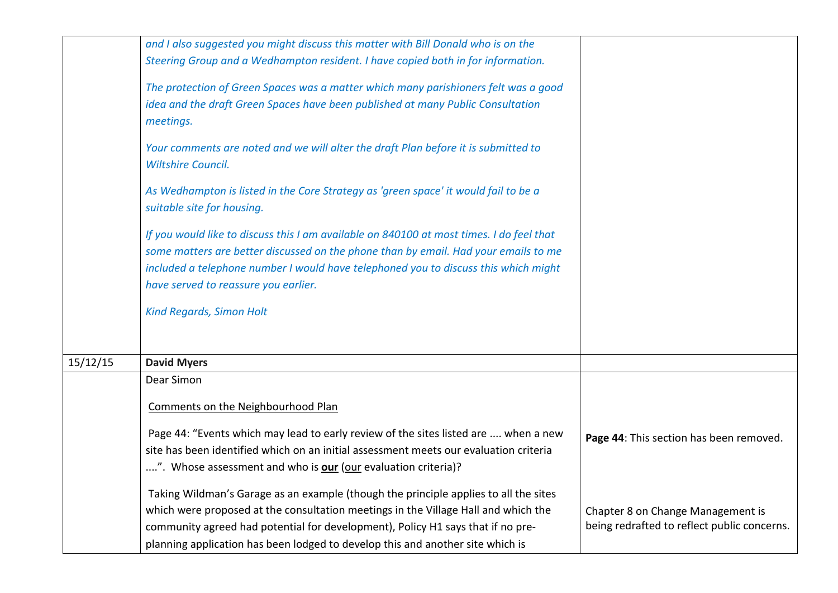|          | and I also suggested you might discuss this matter with Bill Donald who is on the                                 |                                             |
|----------|-------------------------------------------------------------------------------------------------------------------|---------------------------------------------|
|          | Steering Group and a Wedhampton resident. I have copied both in for information.                                  |                                             |
|          | The protection of Green Spaces was a matter which many parishioners felt was a good                               |                                             |
|          | idea and the draft Green Spaces have been published at many Public Consultation                                   |                                             |
|          | meetings.                                                                                                         |                                             |
|          | Your comments are noted and we will alter the draft Plan before it is submitted to                                |                                             |
|          | <b>Wiltshire Council.</b>                                                                                         |                                             |
|          | As Wedhampton is listed in the Core Strategy as 'green space' it would fail to be a<br>suitable site for housing. |                                             |
|          |                                                                                                                   |                                             |
|          | If you would like to discuss this I am available on 840100 at most times. I do feel that                          |                                             |
|          | some matters are better discussed on the phone than by email. Had your emails to me                               |                                             |
|          | included a telephone number I would have telephoned you to discuss this which might                               |                                             |
|          | have served to reassure you earlier.                                                                              |                                             |
|          | <b>Kind Regards, Simon Holt</b>                                                                                   |                                             |
|          |                                                                                                                   |                                             |
|          |                                                                                                                   |                                             |
| 15/12/15 | <b>David Myers</b>                                                                                                |                                             |
|          | Dear Simon                                                                                                        |                                             |
|          | Comments on the Neighbourhood Plan                                                                                |                                             |
|          | Page 44: "Events which may lead to early review of the sites listed are  when a new                               |                                             |
|          | site has been identified which on an initial assessment meets our evaluation criteria                             | Page 44: This section has been removed.     |
|          | ". Whose assessment and who is <b>our</b> (our evaluation criteria)?                                              |                                             |
|          |                                                                                                                   |                                             |
|          | Taking Wildman's Garage as an example (though the principle applies to all the sites                              |                                             |
|          | which were proposed at the consultation meetings in the Village Hall and which the                                | Chapter 8 on Change Management is           |
|          | community agreed had potential for development), Policy H1 says that if no pre-                                   | being redrafted to reflect public concerns. |
|          | planning application has been lodged to develop this and another site which is                                    |                                             |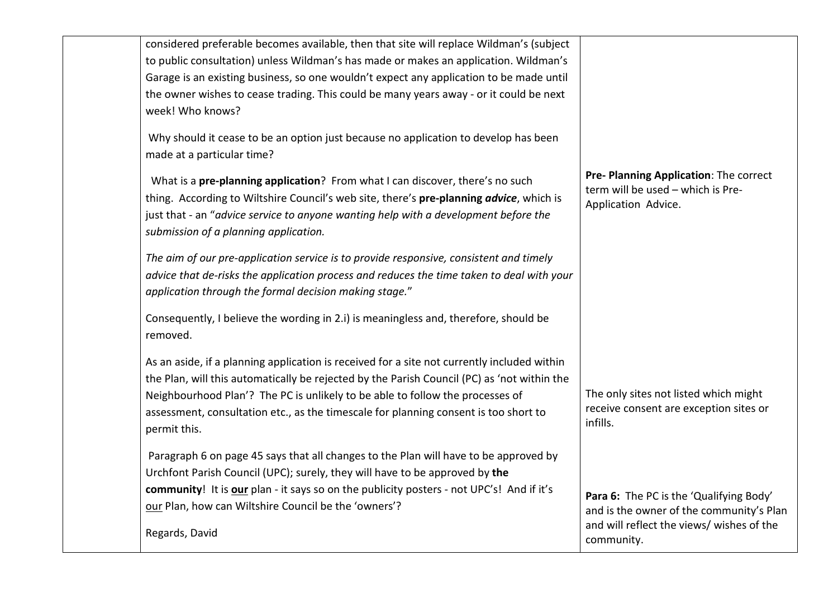| considered preferable becomes available, then that site will replace Wildman's (subject<br>to public consultation) unless Wildman's has made or makes an application. Wildman's<br>Garage is an existing business, so one wouldn't expect any application to be made until<br>the owner wishes to cease trading. This could be many years away - or it could be next<br>week! Who knows? |                                                                                                                                                |
|------------------------------------------------------------------------------------------------------------------------------------------------------------------------------------------------------------------------------------------------------------------------------------------------------------------------------------------------------------------------------------------|------------------------------------------------------------------------------------------------------------------------------------------------|
| Why should it cease to be an option just because no application to develop has been<br>made at a particular time?                                                                                                                                                                                                                                                                        |                                                                                                                                                |
| What is a pre-planning application? From what I can discover, there's no such<br>thing. According to Wiltshire Council's web site, there's pre-planning advice, which is<br>just that - an "advice service to anyone wanting help with a development before the<br>submission of a planning application.                                                                                 | Pre- Planning Application: The correct<br>term will be used - which is Pre-<br>Application Advice.                                             |
| The aim of our pre-application service is to provide responsive, consistent and timely<br>advice that de-risks the application process and reduces the time taken to deal with your<br>application through the formal decision making stage."                                                                                                                                            |                                                                                                                                                |
| Consequently, I believe the wording in 2.i) is meaningless and, therefore, should be<br>removed.                                                                                                                                                                                                                                                                                         |                                                                                                                                                |
| As an aside, if a planning application is received for a site not currently included within<br>the Plan, will this automatically be rejected by the Parish Council (PC) as 'not within the<br>Neighbourhood Plan'? The PC is unlikely to be able to follow the processes of<br>assessment, consultation etc., as the timescale for planning consent is too short to<br>permit this.      | The only sites not listed which might<br>receive consent are exception sites or<br>infills.                                                    |
| Paragraph 6 on page 45 says that all changes to the Plan will have to be approved by<br>Urchfont Parish Council (UPC); surely, they will have to be approved by the<br>community! It is our plan - it says so on the publicity posters - not UPC's! And if it's<br>our Plan, how can Wiltshire Council be the 'owners'?<br>Regards, David                                                | Para 6: The PC is the 'Qualifying Body'<br>and is the owner of the community's Plan<br>and will reflect the views/ wishes of the<br>community. |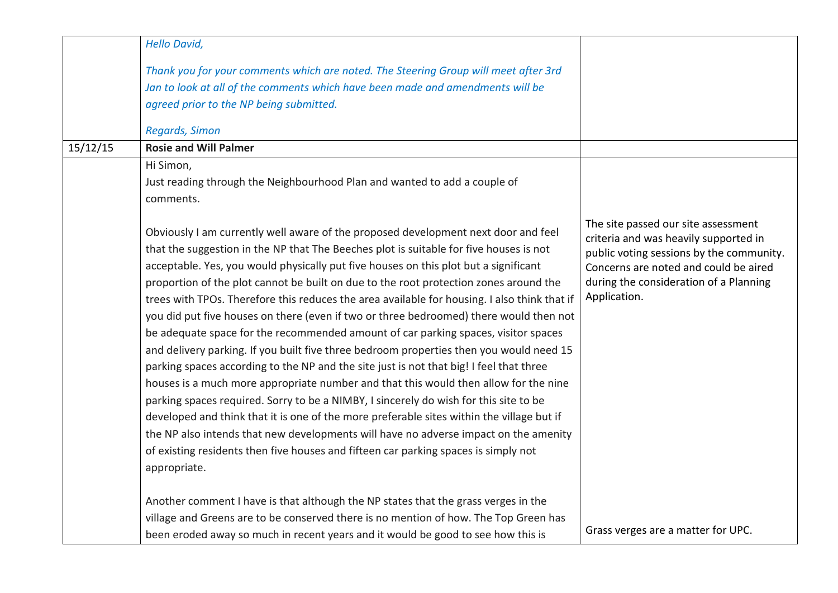|          | <b>Hello David,</b>                                                                                                                                                                                                                                                                                                                                                                                                                                                                                                                                                                                                                                                                                                                                                                                                                                                                                                                                                                                                                                                                                                                                                                                                                                                                                                                                                                                                     |                                                                                                                                                                                                                             |
|----------|-------------------------------------------------------------------------------------------------------------------------------------------------------------------------------------------------------------------------------------------------------------------------------------------------------------------------------------------------------------------------------------------------------------------------------------------------------------------------------------------------------------------------------------------------------------------------------------------------------------------------------------------------------------------------------------------------------------------------------------------------------------------------------------------------------------------------------------------------------------------------------------------------------------------------------------------------------------------------------------------------------------------------------------------------------------------------------------------------------------------------------------------------------------------------------------------------------------------------------------------------------------------------------------------------------------------------------------------------------------------------------------------------------------------------|-----------------------------------------------------------------------------------------------------------------------------------------------------------------------------------------------------------------------------|
|          | Thank you for your comments which are noted. The Steering Group will meet after 3rd<br>Jan to look at all of the comments which have been made and amendments will be<br>agreed prior to the NP being submitted.                                                                                                                                                                                                                                                                                                                                                                                                                                                                                                                                                                                                                                                                                                                                                                                                                                                                                                                                                                                                                                                                                                                                                                                                        |                                                                                                                                                                                                                             |
|          | Regards, Simon                                                                                                                                                                                                                                                                                                                                                                                                                                                                                                                                                                                                                                                                                                                                                                                                                                                                                                                                                                                                                                                                                                                                                                                                                                                                                                                                                                                                          |                                                                                                                                                                                                                             |
| 15/12/15 | <b>Rosie and Will Palmer</b>                                                                                                                                                                                                                                                                                                                                                                                                                                                                                                                                                                                                                                                                                                                                                                                                                                                                                                                                                                                                                                                                                                                                                                                                                                                                                                                                                                                            |                                                                                                                                                                                                                             |
|          | Hi Simon,<br>Just reading through the Neighbourhood Plan and wanted to add a couple of<br>comments.<br>Obviously I am currently well aware of the proposed development next door and feel<br>that the suggestion in the NP that The Beeches plot is suitable for five houses is not<br>acceptable. Yes, you would physically put five houses on this plot but a significant<br>proportion of the plot cannot be built on due to the root protection zones around the<br>trees with TPOs. Therefore this reduces the area available for housing. I also think that if<br>you did put five houses on there (even if two or three bedroomed) there would then not<br>be adequate space for the recommended amount of car parking spaces, visitor spaces<br>and delivery parking. If you built five three bedroom properties then you would need 15<br>parking spaces according to the NP and the site just is not that big! I feel that three<br>houses is a much more appropriate number and that this would then allow for the nine<br>parking spaces required. Sorry to be a NIMBY, I sincerely do wish for this site to be<br>developed and think that it is one of the more preferable sites within the village but if<br>the NP also intends that new developments will have no adverse impact on the amenity<br>of existing residents then five houses and fifteen car parking spaces is simply not<br>appropriate. | The site passed our site assessment<br>criteria and was heavily supported in<br>public voting sessions by the community.<br>Concerns are noted and could be aired<br>during the consideration of a Planning<br>Application. |
|          | Another comment I have is that although the NP states that the grass verges in the<br>village and Greens are to be conserved there is no mention of how. The Top Green has<br>been eroded away so much in recent years and it would be good to see how this is                                                                                                                                                                                                                                                                                                                                                                                                                                                                                                                                                                                                                                                                                                                                                                                                                                                                                                                                                                                                                                                                                                                                                          | Grass verges are a matter for UPC.                                                                                                                                                                                          |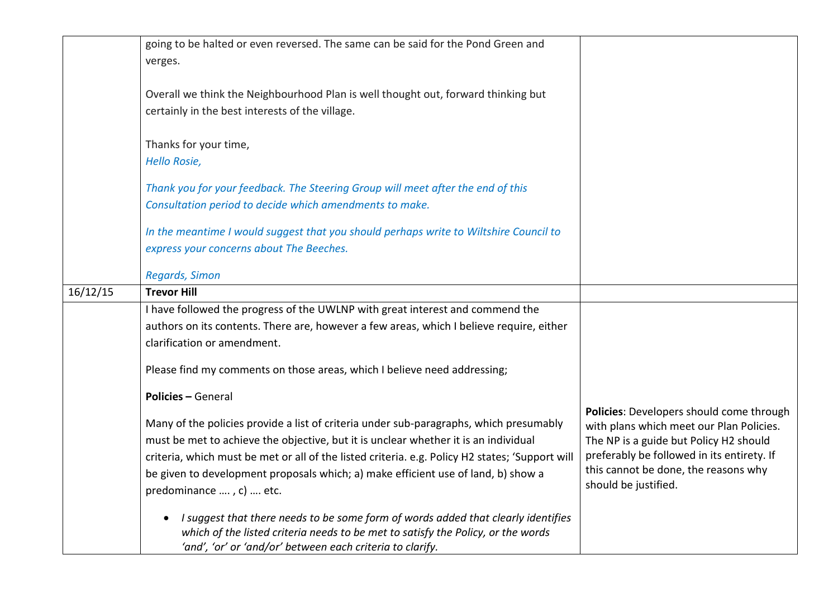|          | going to be halted or even reversed. The same can be said for the Pond Green and<br>verges.                                                                                                                                                     |                                                                                      |
|----------|-------------------------------------------------------------------------------------------------------------------------------------------------------------------------------------------------------------------------------------------------|--------------------------------------------------------------------------------------|
|          | Overall we think the Neighbourhood Plan is well thought out, forward thinking but<br>certainly in the best interests of the village.                                                                                                            |                                                                                      |
|          | Thanks for your time,<br><b>Hello Rosie,</b>                                                                                                                                                                                                    |                                                                                      |
|          | Thank you for your feedback. The Steering Group will meet after the end of this<br>Consultation period to decide which amendments to make.                                                                                                      |                                                                                      |
|          | In the meantime I would suggest that you should perhaps write to Wiltshire Council to<br>express your concerns about The Beeches.                                                                                                               |                                                                                      |
|          | Regards, Simon                                                                                                                                                                                                                                  |                                                                                      |
| 16/12/15 | <b>Trevor Hill</b>                                                                                                                                                                                                                              |                                                                                      |
|          | I have followed the progress of the UWLNP with great interest and commend the                                                                                                                                                                   |                                                                                      |
|          | authors on its contents. There are, however a few areas, which I believe require, either                                                                                                                                                        |                                                                                      |
|          | clarification or amendment.                                                                                                                                                                                                                     |                                                                                      |
|          | Please find my comments on those areas, which I believe need addressing;                                                                                                                                                                        |                                                                                      |
|          | <b>Policies - General</b>                                                                                                                                                                                                                       |                                                                                      |
|          | Many of the policies provide a list of criteria under sub-paragraphs, which presumably                                                                                                                                                          | Policies: Developers should come through<br>with plans which meet our Plan Policies. |
|          | must be met to achieve the objective, but it is unclear whether it is an individual                                                                                                                                                             | The NP is a guide but Policy H2 should                                               |
|          | criteria, which must be met or all of the listed criteria. e.g. Policy H2 states; 'Support will                                                                                                                                                 | preferably be followed in its entirety. If                                           |
|          | be given to development proposals which; a) make efficient use of land, b) show a<br>predominance , c)  etc.                                                                                                                                    | this cannot be done, the reasons why<br>should be justified.                         |
|          | I suggest that there needs to be some form of words added that clearly identifies<br>$\bullet$<br>which of the listed criteria needs to be met to satisfy the Policy, or the words<br>'and', 'or' or 'and/or' between each criteria to clarify. |                                                                                      |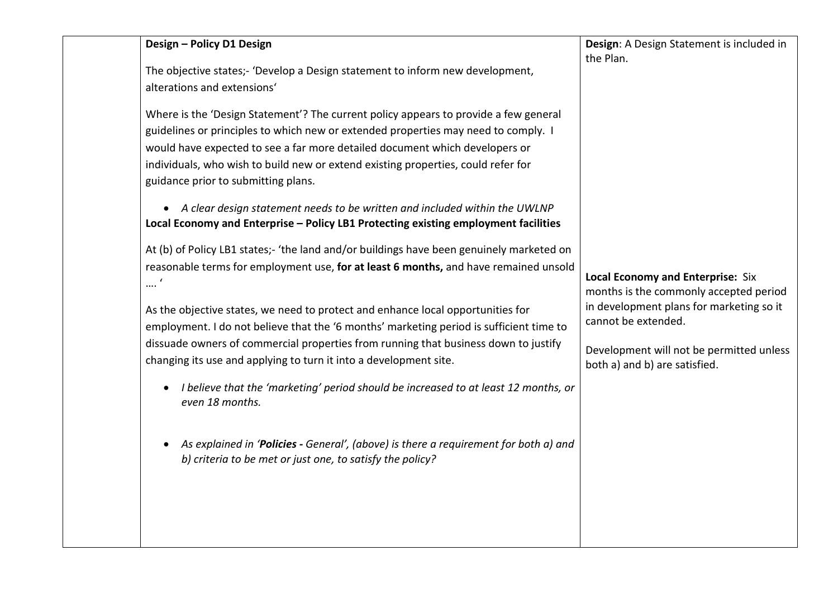| The objective states;- 'Develop a Design statement to inform new development,                                                                                                                                                                                                                                                                                                                                                                                                                                                                                |                                                                                                                                                                                                                                    |
|--------------------------------------------------------------------------------------------------------------------------------------------------------------------------------------------------------------------------------------------------------------------------------------------------------------------------------------------------------------------------------------------------------------------------------------------------------------------------------------------------------------------------------------------------------------|------------------------------------------------------------------------------------------------------------------------------------------------------------------------------------------------------------------------------------|
| alterations and extensions'                                                                                                                                                                                                                                                                                                                                                                                                                                                                                                                                  |                                                                                                                                                                                                                                    |
| Where is the 'Design Statement'? The current policy appears to provide a few general<br>guidelines or principles to which new or extended properties may need to comply. I<br>would have expected to see a far more detailed document which developers or<br>individuals, who wish to build new or extend existing properties, could refer for<br>guidance prior to submitting plans.<br>• A clear design statement needs to be written and included within the UWLNP<br>Local Economy and Enterprise - Policy LB1 Protecting existing employment facilities | <b>Local Economy and Enterprise: Six</b><br>months is the commonly accepted period<br>in development plans for marketing so it<br>cannot be extended.<br>Development will not be permitted unless<br>both a) and b) are satisfied. |
| At (b) of Policy LB1 states;- 'the land and/or buildings have been genuinely marketed on<br>reasonable terms for employment use, for at least 6 months, and have remained unsold                                                                                                                                                                                                                                                                                                                                                                             |                                                                                                                                                                                                                                    |
| $\cdots$<br>As the objective states, we need to protect and enhance local opportunities for<br>employment. I do not believe that the '6 months' marketing period is sufficient time to<br>dissuade owners of commercial properties from running that business down to justify<br>changing its use and applying to turn it into a development site.                                                                                                                                                                                                           |                                                                                                                                                                                                                                    |
| I believe that the 'marketing' period should be increased to at least 12 months, or<br>$\bullet$<br>even 18 months.                                                                                                                                                                                                                                                                                                                                                                                                                                          |                                                                                                                                                                                                                                    |
| As explained in 'Policies - General', (above) is there a requirement for both a) and<br>b) criteria to be met or just one, to satisfy the policy?                                                                                                                                                                                                                                                                                                                                                                                                            |                                                                                                                                                                                                                                    |
|                                                                                                                                                                                                                                                                                                                                                                                                                                                                                                                                                              |                                                                                                                                                                                                                                    |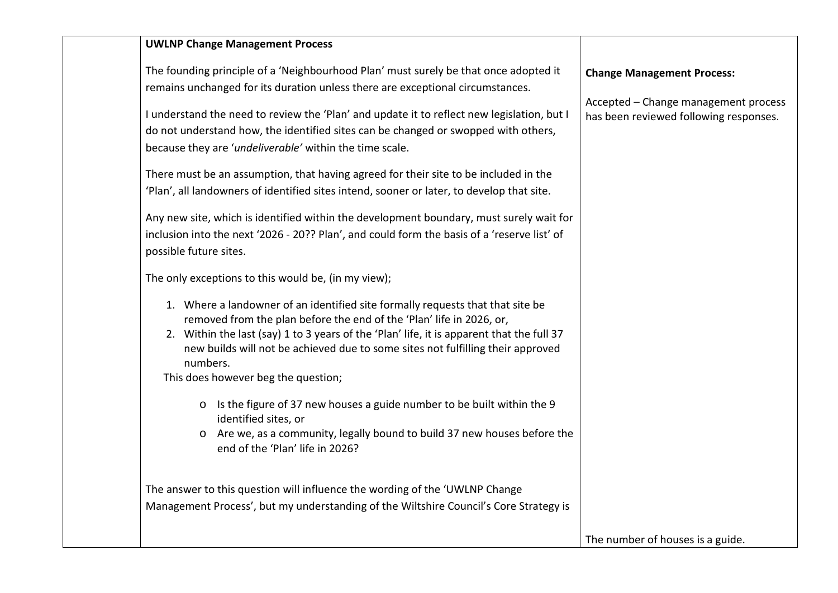| <b>UWLNP Change Management Process</b>                                                                                |                                        |
|-----------------------------------------------------------------------------------------------------------------------|----------------------------------------|
| The founding principle of a 'Neighbourhood Plan' must surely be that once adopted it                                  | <b>Change Management Process:</b>      |
| remains unchanged for its duration unless there are exceptional circumstances.                                        | Accepted - Change management process   |
| I understand the need to review the 'Plan' and update it to reflect new legislation, but I                            | has been reviewed following responses. |
| do not understand how, the identified sites can be changed or swopped with others,                                    |                                        |
| because they are 'undeliverable' within the time scale.                                                               |                                        |
| There must be an assumption, that having agreed for their site to be included in the                                  |                                        |
| 'Plan', all landowners of identified sites intend, sooner or later, to develop that site.                             |                                        |
| Any new site, which is identified within the development boundary, must surely wait for                               |                                        |
| inclusion into the next '2026 - 20?? Plan', and could form the basis of a 'reserve list' of                           |                                        |
| possible future sites.                                                                                                |                                        |
| The only exceptions to this would be, (in my view);                                                                   |                                        |
| 1. Where a landowner of an identified site formally requests that that site be                                        |                                        |
| removed from the plan before the end of the 'Plan' life in 2026, or,                                                  |                                        |
| 2. Within the last (say) 1 to 3 years of the 'Plan' life, it is apparent that the full 37                             |                                        |
| new builds will not be achieved due to some sites not fulfilling their approved                                       |                                        |
| numbers.<br>This does however beg the question;                                                                       |                                        |
|                                                                                                                       |                                        |
| o Is the figure of 37 new houses a guide number to be built within the 9                                              |                                        |
| identified sites, or                                                                                                  |                                        |
| Are we, as a community, legally bound to build 37 new houses before the<br>$\circ$<br>end of the 'Plan' life in 2026? |                                        |
|                                                                                                                       |                                        |
| The answer to this question will influence the wording of the 'UWLNP Change                                           |                                        |
| Management Process', but my understanding of the Wiltshire Council's Core Strategy is                                 |                                        |
|                                                                                                                       |                                        |
|                                                                                                                       | The number of houses is a guide.       |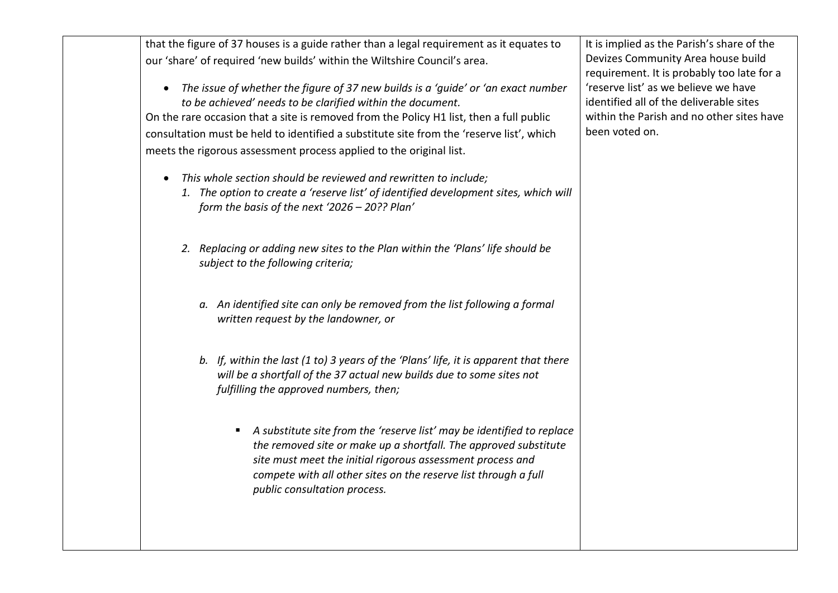that the figure of 37 houses is a guide rather than a legal requirement as it equates to our 'share' of required 'new builds' within the Wiltshire Council's area.

• *The issue of whether the figure of 37 new builds is a 'guide' or 'an exact number to be achieved' needs to be clarified within the document.*

On the rare occasion that a site is removed from the Policy H1 list, then a full public consultation must be held to identified a substitute site from the 'reserve list', which meets the rigorous assessment process applied to the original list.

- *This whole section should be reviewed and rewritten to include;*
	- *1. The option to create a 'reserve list' of identified development sites, which will form the basis of the next '2026 – 20?? Plan'*
	- *2. Replacing or adding new sites to the Plan within the 'Plans' life should be subject to the following criteria;*
		- *a. An identified site can only be removed from the list following a formal written request by the landowner, or*
		- *b. If, within the last (1 to) 3 years of the 'Plans' life, it is apparent that there will be a shortfall of the 37 actual new builds due to some sites not fulfilling the approved numbers, then;* 
			- *A substitute site from the 'reserve list' may be identified to replace the removed site or make up a shortfall. The approved substitute site must meet the initial rigorous assessment process and compete with all other sites on the reserve list through a full public consultation process.*

It is implied as the Parish's share of the Devizes Community Area house build requirement. It is probably too late for a 'reserve list' as we believe we have identified all of the deliverable sites within the Parish and no other sites have been voted on.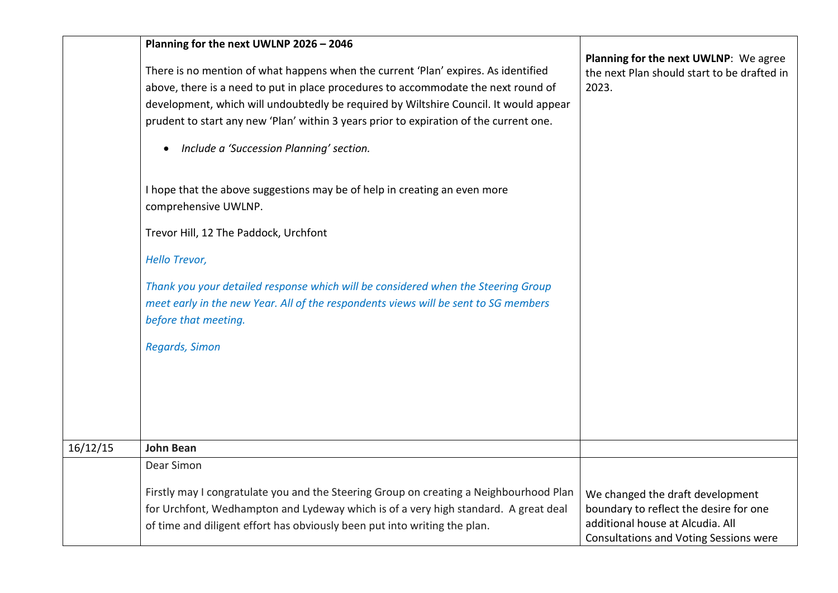|          | Planning for the next UWLNP 2026 - 2046                                                           |                                                                                      |
|----------|---------------------------------------------------------------------------------------------------|--------------------------------------------------------------------------------------|
|          | There is no mention of what happens when the current 'Plan' expires. As identified                | Planning for the next UWLNP: We agree<br>the next Plan should start to be drafted in |
|          | above, there is a need to put in place procedures to accommodate the next round of                | 2023.                                                                                |
|          | development, which will undoubtedly be required by Wiltshire Council. It would appear             |                                                                                      |
|          | prudent to start any new 'Plan' within 3 years prior to expiration of the current one.            |                                                                                      |
|          | Include a 'Succession Planning' section.                                                          |                                                                                      |
|          | I hope that the above suggestions may be of help in creating an even more<br>comprehensive UWLNP. |                                                                                      |
|          | Trevor Hill, 12 The Paddock, Urchfont                                                             |                                                                                      |
|          | Hello Trevor,                                                                                     |                                                                                      |
|          | Thank you your detailed response which will be considered when the Steering Group                 |                                                                                      |
|          | meet early in the new Year. All of the respondents views will be sent to SG members               |                                                                                      |
|          | before that meeting.                                                                              |                                                                                      |
|          | Regards, Simon                                                                                    |                                                                                      |
|          |                                                                                                   |                                                                                      |
|          |                                                                                                   |                                                                                      |
|          |                                                                                                   |                                                                                      |
|          |                                                                                                   |                                                                                      |
| 16/12/15 | <b>John Bean</b>                                                                                  |                                                                                      |
|          | Dear Simon                                                                                        |                                                                                      |
|          | Firstly may I congratulate you and the Steering Group on creating a Neighbourhood Plan            | We changed the draft development                                                     |
|          | for Urchfont, Wedhampton and Lydeway which is of a very high standard. A great deal               | boundary to reflect the desire for one                                               |
|          | of time and diligent effort has obviously been put into writing the plan.                         | additional house at Alcudia. All                                                     |
|          |                                                                                                   | <b>Consultations and Voting Sessions were</b>                                        |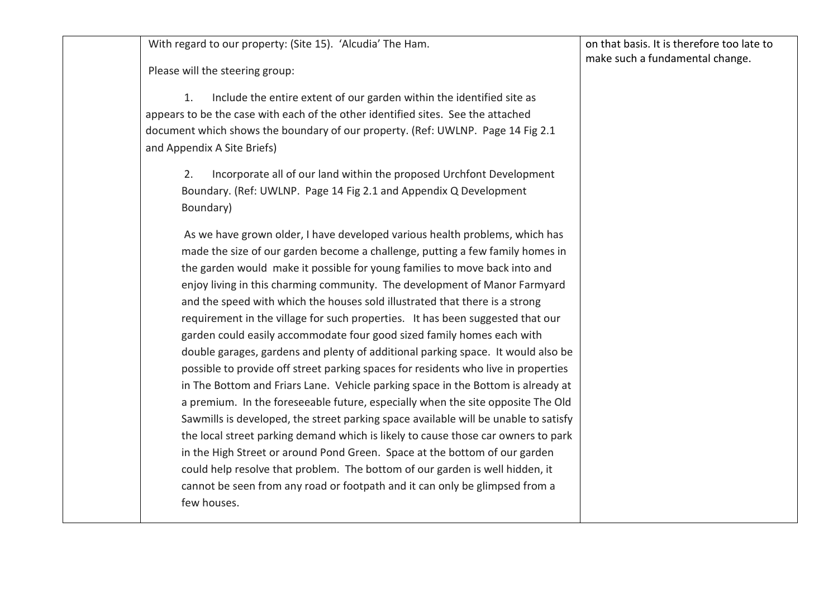With regard to our property: (Site 15). 'Alcudia' The Ham.

Please will the steering group:

1. Include the entire extent of our garden within the identified site as appears to be the case with each of the other identified sites. See the attached document which shows the boundary of our property. (Ref: UWLNP. Page 14 Fig 2.1 and Appendix A Site Briefs)

2. Incorporate all of our land within the proposed Urchfont Development Boundary. (Ref: UWLNP. Page 14 Fig 2.1 and Appendix Q Development Boundary)

As we have grown older, I have developed various health problems, which has made the size of our garden become a challenge, putting a few family homes in the garden would make it possible for young families to move back into and enjoy living in this charming community. The development of Manor Farmyard and the speed with which the houses sold illustrated that there is a strong requirement in the village for such properties. It has been suggested that our garden could easily accommodate four good sized family homes each with double garages, gardens and plenty of additional parking space. It would also be possible to provide off street parking spaces for residents who live in properties in The Bottom and Friars Lane. Vehicle parking space in the Bottom is already at a premium. In the foreseeable future, especially when the site opposite The Old Sawmills is developed, the street parking space available will be unable to satisfy the local street parking demand which is likely to cause those car owners to park in the High Street or around Pond Green. Space at the bottom of our garden could help resolve that problem. The bottom of our garden is well hidden, it cannot be seen from any road or footpath and it can only be glimpsed from a few houses.

on that basis. It is therefore too late to make such a fundamental change.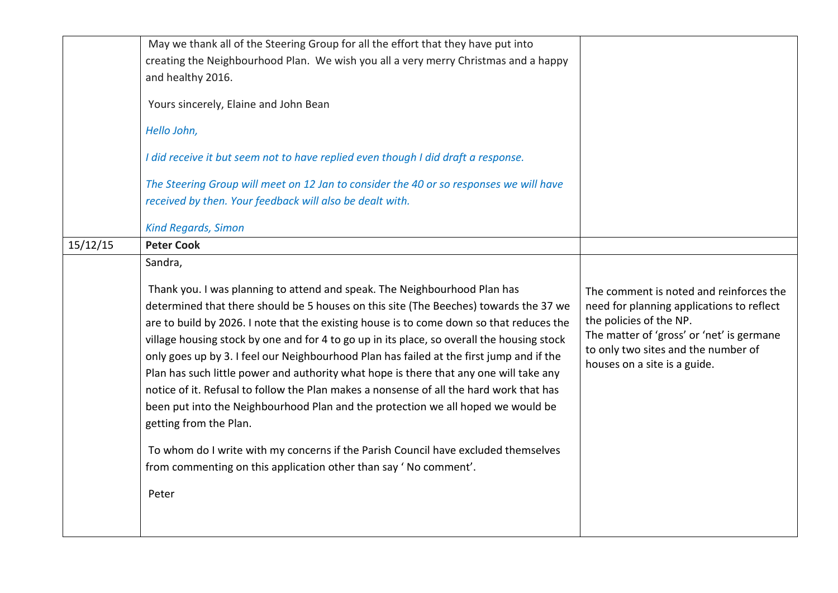|          | May we thank all of the Steering Group for all the effort that they have put into                                                                                                                                                                                                                                                                                                                                                                                                                                                                                                                                                                                                                                                                                                                                                                                                                                              |                                                                                                                                                                                                                                     |
|----------|--------------------------------------------------------------------------------------------------------------------------------------------------------------------------------------------------------------------------------------------------------------------------------------------------------------------------------------------------------------------------------------------------------------------------------------------------------------------------------------------------------------------------------------------------------------------------------------------------------------------------------------------------------------------------------------------------------------------------------------------------------------------------------------------------------------------------------------------------------------------------------------------------------------------------------|-------------------------------------------------------------------------------------------------------------------------------------------------------------------------------------------------------------------------------------|
|          | creating the Neighbourhood Plan. We wish you all a very merry Christmas and a happy                                                                                                                                                                                                                                                                                                                                                                                                                                                                                                                                                                                                                                                                                                                                                                                                                                            |                                                                                                                                                                                                                                     |
|          | and healthy 2016.                                                                                                                                                                                                                                                                                                                                                                                                                                                                                                                                                                                                                                                                                                                                                                                                                                                                                                              |                                                                                                                                                                                                                                     |
|          | Yours sincerely, Elaine and John Bean                                                                                                                                                                                                                                                                                                                                                                                                                                                                                                                                                                                                                                                                                                                                                                                                                                                                                          |                                                                                                                                                                                                                                     |
|          | Hello John,                                                                                                                                                                                                                                                                                                                                                                                                                                                                                                                                                                                                                                                                                                                                                                                                                                                                                                                    |                                                                                                                                                                                                                                     |
|          | I did receive it but seem not to have replied even though I did draft a response.                                                                                                                                                                                                                                                                                                                                                                                                                                                                                                                                                                                                                                                                                                                                                                                                                                              |                                                                                                                                                                                                                                     |
|          | The Steering Group will meet on 12 Jan to consider the 40 or so responses we will have                                                                                                                                                                                                                                                                                                                                                                                                                                                                                                                                                                                                                                                                                                                                                                                                                                         |                                                                                                                                                                                                                                     |
|          | received by then. Your feedback will also be dealt with.                                                                                                                                                                                                                                                                                                                                                                                                                                                                                                                                                                                                                                                                                                                                                                                                                                                                       |                                                                                                                                                                                                                                     |
|          | <b>Kind Regards, Simon</b>                                                                                                                                                                                                                                                                                                                                                                                                                                                                                                                                                                                                                                                                                                                                                                                                                                                                                                     |                                                                                                                                                                                                                                     |
| 15/12/15 | <b>Peter Cook</b>                                                                                                                                                                                                                                                                                                                                                                                                                                                                                                                                                                                                                                                                                                                                                                                                                                                                                                              |                                                                                                                                                                                                                                     |
|          | Sandra,                                                                                                                                                                                                                                                                                                                                                                                                                                                                                                                                                                                                                                                                                                                                                                                                                                                                                                                        |                                                                                                                                                                                                                                     |
|          | Thank you. I was planning to attend and speak. The Neighbourhood Plan has<br>determined that there should be 5 houses on this site (The Beeches) towards the 37 we<br>are to build by 2026. I note that the existing house is to come down so that reduces the<br>village housing stock by one and for 4 to go up in its place, so overall the housing stock<br>only goes up by 3. I feel our Neighbourhood Plan has failed at the first jump and if the<br>Plan has such little power and authority what hope is there that any one will take any<br>notice of it. Refusal to follow the Plan makes a nonsense of all the hard work that has<br>been put into the Neighbourhood Plan and the protection we all hoped we would be<br>getting from the Plan.<br>To whom do I write with my concerns if the Parish Council have excluded themselves<br>from commenting on this application other than say 'No comment'.<br>Peter | The comment is noted and reinforces the<br>need for planning applications to reflect<br>the policies of the NP.<br>The matter of 'gross' or 'net' is germane<br>to only two sites and the number of<br>houses on a site is a guide. |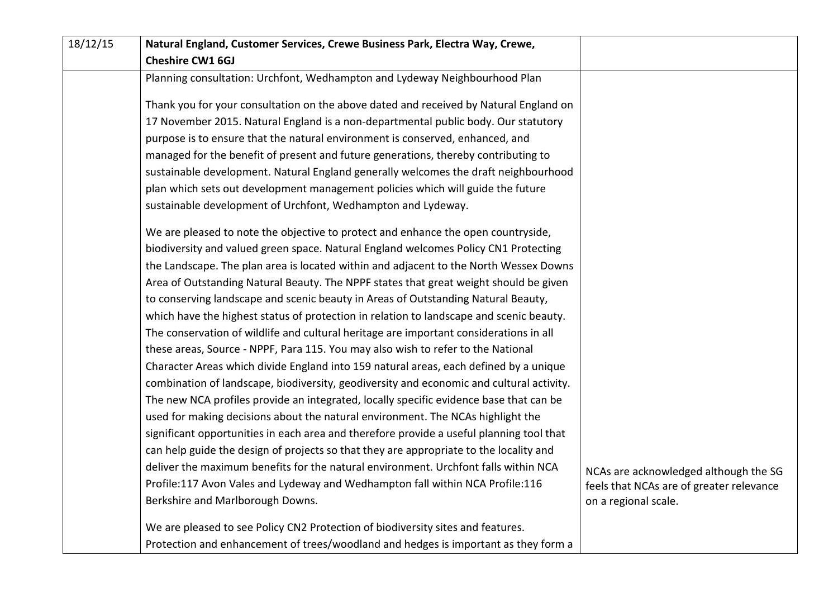| 18/12/15 | Natural England, Customer Services, Crewe Business Park, Electra Way, Crewe,             |                                          |
|----------|------------------------------------------------------------------------------------------|------------------------------------------|
|          | <b>Cheshire CW1 6GJ</b>                                                                  |                                          |
|          | Planning consultation: Urchfont, Wedhampton and Lydeway Neighbourhood Plan               |                                          |
|          | Thank you for your consultation on the above dated and received by Natural England on    |                                          |
|          | 17 November 2015. Natural England is a non-departmental public body. Our statutory       |                                          |
|          | purpose is to ensure that the natural environment is conserved, enhanced, and            |                                          |
|          | managed for the benefit of present and future generations, thereby contributing to       |                                          |
|          | sustainable development. Natural England generally welcomes the draft neighbourhood      |                                          |
|          | plan which sets out development management policies which will guide the future          |                                          |
|          | sustainable development of Urchfont, Wedhampton and Lydeway.                             |                                          |
|          | We are pleased to note the objective to protect and enhance the open countryside,        |                                          |
|          | biodiversity and valued green space. Natural England welcomes Policy CN1 Protecting      |                                          |
|          | the Landscape. The plan area is located within and adjacent to the North Wessex Downs    |                                          |
|          | Area of Outstanding Natural Beauty. The NPPF states that great weight should be given    |                                          |
|          | to conserving landscape and scenic beauty in Areas of Outstanding Natural Beauty,        |                                          |
|          | which have the highest status of protection in relation to landscape and scenic beauty.  |                                          |
|          | The conservation of wildlife and cultural heritage are important considerations in all   |                                          |
|          | these areas, Source - NPPF, Para 115. You may also wish to refer to the National         |                                          |
|          | Character Areas which divide England into 159 natural areas, each defined by a unique    |                                          |
|          | combination of landscape, biodiversity, geodiversity and economic and cultural activity. |                                          |
|          | The new NCA profiles provide an integrated, locally specific evidence base that can be   |                                          |
|          | used for making decisions about the natural environment. The NCAs highlight the          |                                          |
|          | significant opportunities in each area and therefore provide a useful planning tool that |                                          |
|          | can help guide the design of projects so that they are appropriate to the locality and   |                                          |
|          | deliver the maximum benefits for the natural environment. Urchfont falls within NCA      | NCAs are acknowledged although the SG    |
|          | Profile:117 Avon Vales and Lydeway and Wedhampton fall within NCA Profile:116            | feels that NCAs are of greater relevance |
|          | Berkshire and Marlborough Downs.                                                         | on a regional scale.                     |
|          | We are pleased to see Policy CN2 Protection of biodiversity sites and features.          |                                          |
|          | Protection and enhancement of trees/woodland and hedges is important as they form a      |                                          |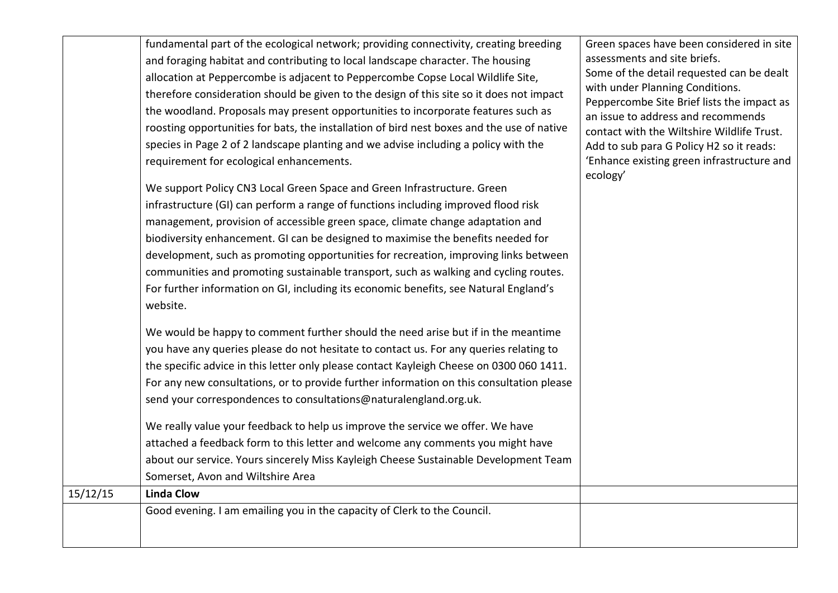| 15/12/15 | fundamental part of the ecological network; providing connectivity, creating breeding<br>and foraging habitat and contributing to local landscape character. The housing<br>allocation at Peppercombe is adjacent to Peppercombe Copse Local Wildlife Site,<br>therefore consideration should be given to the design of this site so it does not impact<br>the woodland. Proposals may present opportunities to incorporate features such as<br>roosting opportunities for bats, the installation of bird nest boxes and the use of native<br>species in Page 2 of 2 landscape planting and we advise including a policy with the<br>requirement for ecological enhancements.<br>We support Policy CN3 Local Green Space and Green Infrastructure. Green<br>infrastructure (GI) can perform a range of functions including improved flood risk<br>management, provision of accessible green space, climate change adaptation and<br>biodiversity enhancement. GI can be designed to maximise the benefits needed for<br>development, such as promoting opportunities for recreation, improving links between<br>communities and promoting sustainable transport, such as walking and cycling routes.<br>For further information on GI, including its economic benefits, see Natural England's<br>website.<br>We would be happy to comment further should the need arise but if in the meantime<br>you have any queries please do not hesitate to contact us. For any queries relating to<br>the specific advice in this letter only please contact Kayleigh Cheese on 0300 060 1411.<br>For any new consultations, or to provide further information on this consultation please<br>send your correspondences to consultations@naturalengland.org.uk.<br>We really value your feedback to help us improve the service we offer. We have<br>attached a feedback form to this letter and welcome any comments you might have<br>about our service. Yours sincerely Miss Kayleigh Cheese Sustainable Development Team<br>Somerset, Avon and Wiltshire Area<br><b>Linda Clow</b> | Green spaces have been considered in site<br>assessments and site briefs.<br>Some of the detail requested can be dealt<br>with under Planning Conditions.<br>Peppercombe Site Brief lists the impact as<br>an issue to address and recommends<br>contact with the Wiltshire Wildlife Trust.<br>Add to sub para G Policy H2 so it reads:<br>'Enhance existing green infrastructure and<br>ecology' |
|----------|------------------------------------------------------------------------------------------------------------------------------------------------------------------------------------------------------------------------------------------------------------------------------------------------------------------------------------------------------------------------------------------------------------------------------------------------------------------------------------------------------------------------------------------------------------------------------------------------------------------------------------------------------------------------------------------------------------------------------------------------------------------------------------------------------------------------------------------------------------------------------------------------------------------------------------------------------------------------------------------------------------------------------------------------------------------------------------------------------------------------------------------------------------------------------------------------------------------------------------------------------------------------------------------------------------------------------------------------------------------------------------------------------------------------------------------------------------------------------------------------------------------------------------------------------------------------------------------------------------------------------------------------------------------------------------------------------------------------------------------------------------------------------------------------------------------------------------------------------------------------------------------------------------------------------------------------------------------------------------------------------------------------------------------------------------------------------|---------------------------------------------------------------------------------------------------------------------------------------------------------------------------------------------------------------------------------------------------------------------------------------------------------------------------------------------------------------------------------------------------|
|          | Good evening. I am emailing you in the capacity of Clerk to the Council.                                                                                                                                                                                                                                                                                                                                                                                                                                                                                                                                                                                                                                                                                                                                                                                                                                                                                                                                                                                                                                                                                                                                                                                                                                                                                                                                                                                                                                                                                                                                                                                                                                                                                                                                                                                                                                                                                                                                                                                                     |                                                                                                                                                                                                                                                                                                                                                                                                   |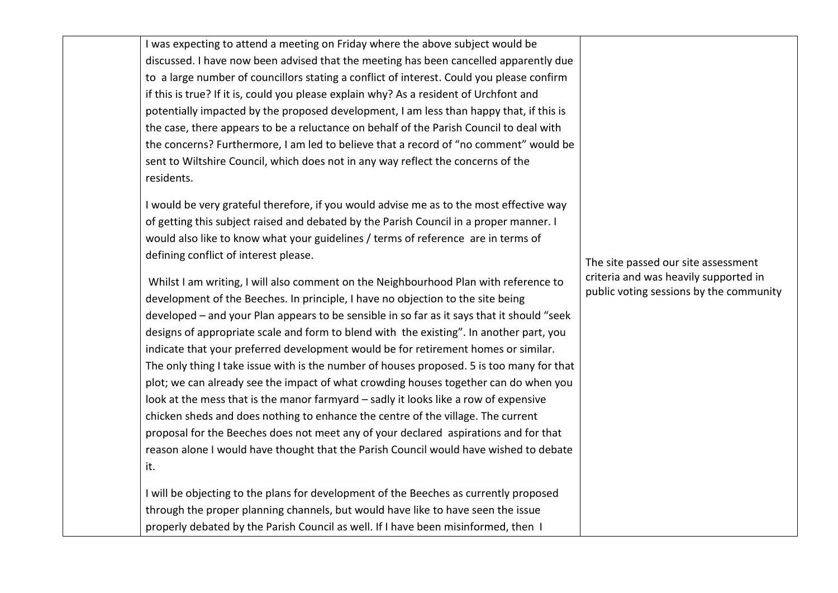I was expecting to attend a meeting on Friday where the above subject would be discussed. I have now been advised that the meeting has been cancelled apparently due to a large number of councillors stating a conflict of interest. Could you please confirm if this is true? If it is, could you please explain why? As a resident of Urchfont and potentially impacted by the proposed development, I am less than happy that, if this is the case, there appears to be a reluctance on behalf of the Parish Council to deal with the concerns? Furthermore, I am led to believe that a record of "no comment" would be sent to Wiltshire Council, which does not in any way reflect the concerns of the residents.

I would be very grateful therefore, if you would advise me as to the most effective way of getting this subject raised and debated by the Parish Council in a proper manner. I would also like to know what your guidelines / terms of reference are in terms of defining conflict of interest please.

Whilst I am writing, I will also comment on the Neighbourhood Plan with reference to development of the Beeches. In principle, I have no objection to the site being developed – and your Plan appears to be sensible in so far as it says that it should "seek designs of appropriate scale and form to blend with the existing". In another part, you indicate that your preferred development would be for retirement homes or similar. The only thing I take issue with is the number of houses proposed. 5 is too many for that plot; we can already see the impact of what crowding houses together can do when you look at the mess that is the manor farmyard – sadly it looks like a row of expensive chicken sheds and does nothing to enhance the centre of the village. The current proposal for the Beeches does not meet any of your declared aspirations and for that reason alone I would have thought that the Parish Council would have wished to debate it.

I will be objecting to the plans for development of the Beeches as currently proposed through the proper planning channels, but would have like to have seen the issue properly debated by the Parish Council as well. If I have been misinformed, then I

The site passed our site assessment criteria and was heavily supported in public voting sessions by the community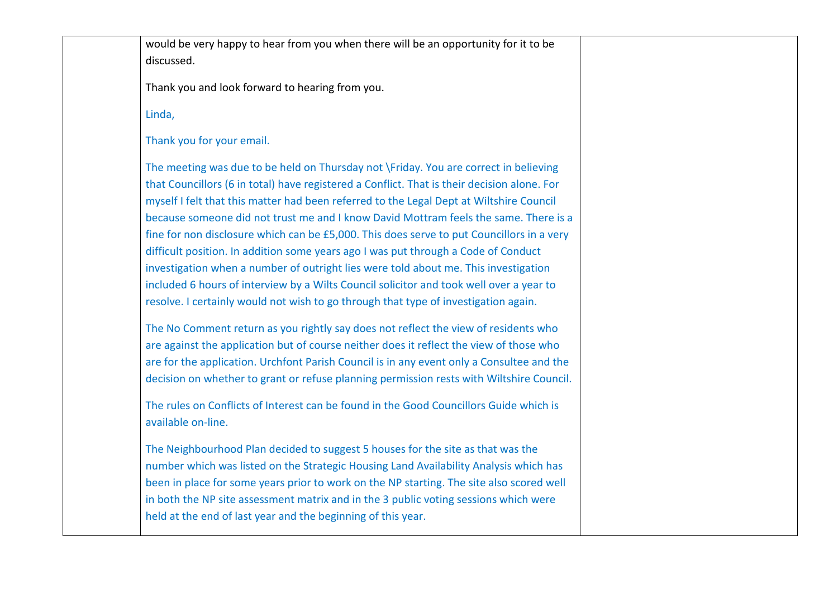would be very happy to hear from you when there will be an opportunity for it to be discussed.

Thank you and look forward to hearing from you.

Linda,

Thank you for your email.

The meeting was due to be held on Thursday not \Friday. You are correct in believing that Councillors (6 in total) have registered a Conflict. That is their decision alone. For myself I felt that this matter had been referred to the Legal Dept at Wiltshire Council because someone did not trust me and I know David Mottram feels the same. There is a fine for non disclosure which can be £5,000. This does serve to put Councillors in a very difficult position. In addition some years ago I was put through a Code of Conduct investigation when a number of outright lies were told about me. This investigation included 6 hours of interview by a Wilts Council solicitor and took well over a year to resolve. I certainly would not wish to go through that type of investigation again.

The No Comment return as you rightly say does not reflect the view of residents who are against the application but of course neither does it reflect the view of those who are for the application. Urchfont Parish Council is in any event only a Consultee and the decision on whether to grant or refuse planning permission rests with Wiltshire Council.

The rules on Conflicts of Interest can be found in the Good Councillors Guide which is available on-line.

The Neighbourhood Plan decided to suggest 5 houses for the site as that was the number which was listed on the Strategic Housing Land Availability Analysis which has been in place for some years prior to work on the NP starting. The site also scored well in both the NP site assessment matrix and in the 3 public voting sessions which were held at the end of last year and the beginning of this year.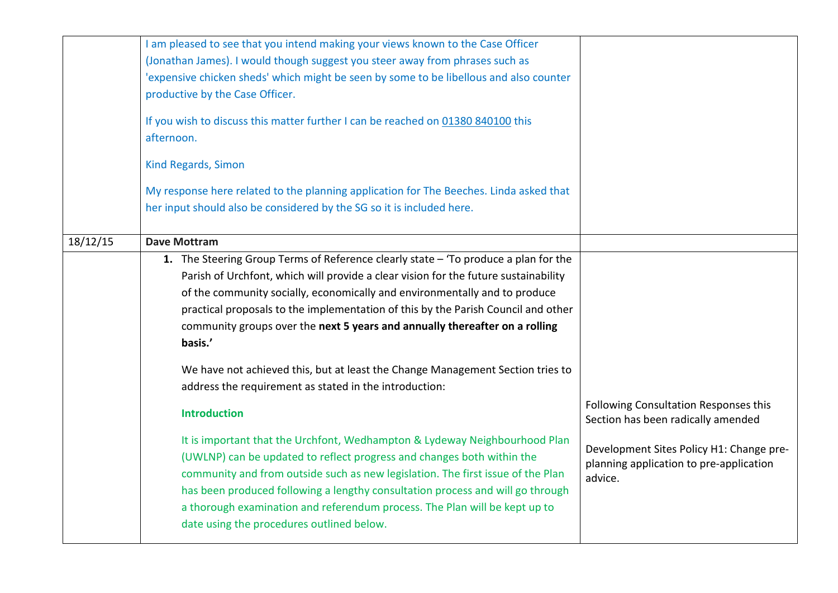|          | I am pleased to see that you intend making your views known to the Case Officer<br>(Jonathan James). I would though suggest you steer away from phrases such as<br>'expensive chicken sheds' which might be seen by some to be libellous and also counter<br>productive by the Case Officer.<br>If you wish to discuss this matter further I can be reached on 01380 840100 this<br>afternoon.                                                                                                                            |                                                                                                |
|----------|---------------------------------------------------------------------------------------------------------------------------------------------------------------------------------------------------------------------------------------------------------------------------------------------------------------------------------------------------------------------------------------------------------------------------------------------------------------------------------------------------------------------------|------------------------------------------------------------------------------------------------|
|          | Kind Regards, Simon                                                                                                                                                                                                                                                                                                                                                                                                                                                                                                       |                                                                                                |
|          | My response here related to the planning application for The Beeches. Linda asked that<br>her input should also be considered by the SG so it is included here.                                                                                                                                                                                                                                                                                                                                                           |                                                                                                |
| 18/12/15 | <b>Dave Mottram</b>                                                                                                                                                                                                                                                                                                                                                                                                                                                                                                       |                                                                                                |
|          | 1. The Steering Group Terms of Reference clearly state - 'To produce a plan for the<br>Parish of Urchfont, which will provide a clear vision for the future sustainability<br>of the community socially, economically and environmentally and to produce<br>practical proposals to the implementation of this by the Parish Council and other<br>community groups over the next 5 years and annually thereafter on a rolling<br>basis.'<br>We have not achieved this, but at least the Change Management Section tries to |                                                                                                |
|          | address the requirement as stated in the introduction:<br><b>Introduction</b>                                                                                                                                                                                                                                                                                                                                                                                                                                             | Following Consultation Responses this<br>Section has been radically amended                    |
|          | It is important that the Urchfont, Wedhampton & Lydeway Neighbourhood Plan<br>(UWLNP) can be updated to reflect progress and changes both within the<br>community and from outside such as new legislation. The first issue of the Plan<br>has been produced following a lengthy consultation process and will go through<br>a thorough examination and referendum process. The Plan will be kept up to<br>date using the procedures outlined below.                                                                      | Development Sites Policy H1: Change pre-<br>planning application to pre-application<br>advice. |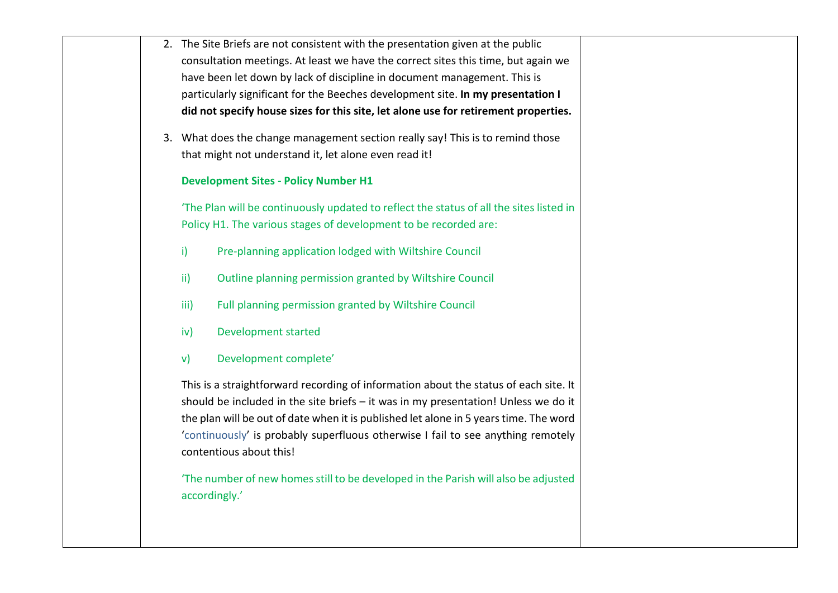|  |               | 2. The Site Briefs are not consistent with the presentation given at the public                                                                                                                                                                                                                                                                                                    |
|--|---------------|------------------------------------------------------------------------------------------------------------------------------------------------------------------------------------------------------------------------------------------------------------------------------------------------------------------------------------------------------------------------------------|
|  |               | consultation meetings. At least we have the correct sites this time, but again we                                                                                                                                                                                                                                                                                                  |
|  |               | have been let down by lack of discipline in document management. This is                                                                                                                                                                                                                                                                                                           |
|  |               | particularly significant for the Beeches development site. In my presentation I                                                                                                                                                                                                                                                                                                    |
|  |               | did not specify house sizes for this site, let alone use for retirement properties.                                                                                                                                                                                                                                                                                                |
|  |               | 3. What does the change management section really say! This is to remind those                                                                                                                                                                                                                                                                                                     |
|  |               | that might not understand it, let alone even read it!                                                                                                                                                                                                                                                                                                                              |
|  |               | <b>Development Sites - Policy Number H1</b>                                                                                                                                                                                                                                                                                                                                        |
|  |               | 'The Plan will be continuously updated to reflect the status of all the sites listed in<br>Policy H1. The various stages of development to be recorded are:                                                                                                                                                                                                                        |
|  | $\mathbf{i}$  | Pre-planning application lodged with Wiltshire Council                                                                                                                                                                                                                                                                                                                             |
|  | $\mathsf{ii}$ | Outline planning permission granted by Wiltshire Council                                                                                                                                                                                                                                                                                                                           |
|  | iii)          | Full planning permission granted by Wiltshire Council                                                                                                                                                                                                                                                                                                                              |
|  | iv)           | <b>Development started</b>                                                                                                                                                                                                                                                                                                                                                         |
|  | $\mathsf{v}$  | Development complete'                                                                                                                                                                                                                                                                                                                                                              |
|  |               | This is a straightforward recording of information about the status of each site. It<br>should be included in the site briefs - it was in my presentation! Unless we do it<br>the plan will be out of date when it is published let alone in 5 years time. The word<br>'continuously' is probably superfluous otherwise I fail to see anything remotely<br>contentious about this! |
|  |               | 'The number of new homes still to be developed in the Parish will also be adjusted<br>accordingly.'                                                                                                                                                                                                                                                                                |
|  |               |                                                                                                                                                                                                                                                                                                                                                                                    |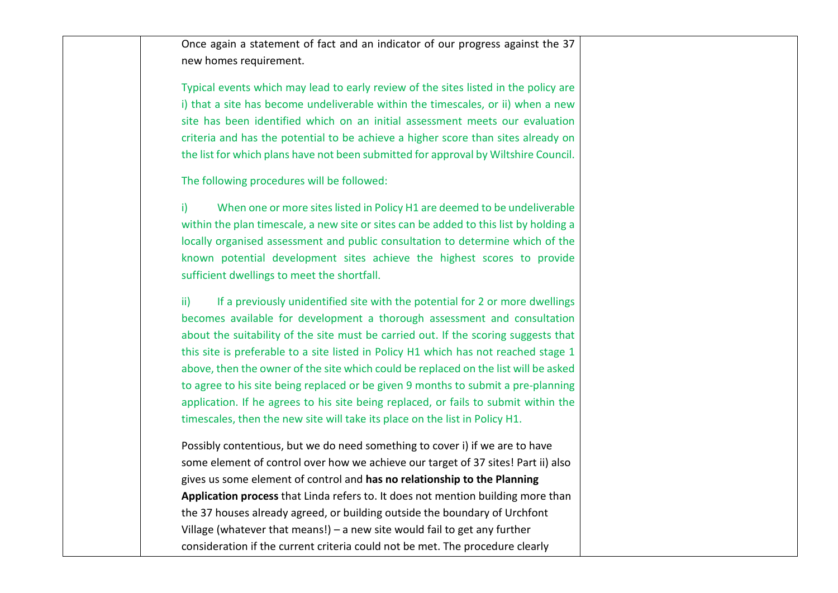Once again a statement of fact and an indicator of our progress against the 37 new homes requirement.

Typical events which may lead to early review of the sites listed in the policy are i) that a site has become undeliverable within the timescales, or ii) when a new site has been identified which on an initial assessment meets our evaluation criteria and has the potential to be achieve a higher score than sites already on the list for which plans have not been submitted for approval by Wiltshire Council.

The following procedures will be followed:

i) When one or more sites listed in Policy H1 are deemed to be undeliverable within the plan timescale, a new site or sites can be added to this list by holding a locally organised assessment and public consultation to determine which of the known potential development sites achieve the highest scores to provide sufficient dwellings to meet the shortfall.

ii) If a previously unidentified site with the potential for 2 or more dwellings becomes available for development a thorough assessment and consultation about the suitability of the site must be carried out. If the scoring suggests that this site is preferable to a site listed in Policy H1 which has not reached stage 1 above, then the owner of the site which could be replaced on the list will be asked to agree to his site being replaced or be given 9 months to submit a pre-planning application. If he agrees to his site being replaced, or fails to submit within the timescales, then the new site will take its place on the list in Policy H1.

Possibly contentious, but we do need something to cover i) if we are to have some element of control over how we achieve our target of 37 sites! Part ii) also gives us some element of control and **has no relationship to the Planning Application process** that Linda refers to. It does not mention building more than the 37 houses already agreed, or building outside the boundary of Urchfont Village (whatever that means!) – a new site would fail to get any further consideration if the current criteria could not be met. The procedure clearly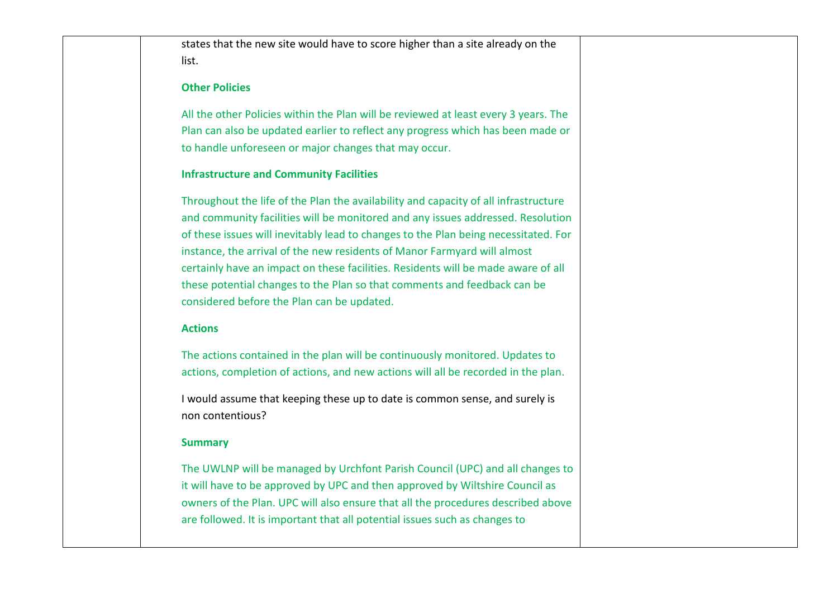states that the new site would have to score higher than a site already on the list.

## **Other Policies**

All the other Policies within the Plan will be reviewed at least every 3 years. The Plan can also be updated earlier to reflect any progress which has been made or to handle unforeseen or major changes that may occur.

## **Infrastructure and Community Facilities**

Throughout the life of the Plan the availability and capacity of all infrastructure and community facilities will be monitored and any issues addressed. Resolution of these issues will inevitably lead to changes to the Plan being necessitated. For instance, the arrival of the new residents of Manor Farmyard will almost certainly have an impact on these facilities. Residents will be made aware of all these potential changes to the Plan so that comments and feedback can be considered before the Plan can be updated.

## **Actions**

The actions contained in the plan will be continuously monitored. Updates to actions, completion of actions, and new actions will all be recorded in the plan.

I would assume that keeping these up to date is common sense, and surely is non contentious?

## **Summary**

The UWLNP will be managed by Urchfont Parish Council (UPC) and all changes to it will have to be approved by UPC and then approved by Wiltshire Council as owners of the Plan. UPC will also ensure that all the procedures described above are followed. It is important that all potential issues such as changes to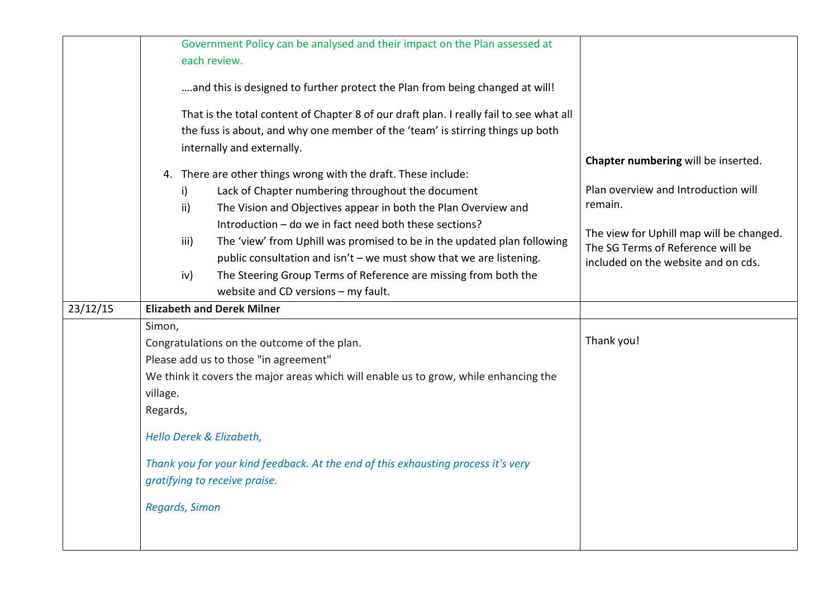|          | Government Policy can be analysed and their impact on the Plan assessed at<br>each review.<br>and this is designed to further protect the Plan from being changed at will!<br>That is the total content of Chapter 8 of our draft plan. I really fail to see what all<br>the fuss is about, and why one member of the 'team' is stirring things up both                                                                                                                                                                                                               |                                                                                                                                                                                                               |
|----------|-----------------------------------------------------------------------------------------------------------------------------------------------------------------------------------------------------------------------------------------------------------------------------------------------------------------------------------------------------------------------------------------------------------------------------------------------------------------------------------------------------------------------------------------------------------------------|---------------------------------------------------------------------------------------------------------------------------------------------------------------------------------------------------------------|
|          | internally and externally.<br>4. There are other things wrong with the draft. These include:<br>Lack of Chapter numbering throughout the document<br>i)<br>The Vision and Objectives appear in both the Plan Overview and<br>ii)<br>Introduction - do we in fact need both these sections?<br>The 'view' from Uphill was promised to be in the updated plan following<br>iii)<br>public consultation and isn't – we must show that we are listening.<br>The Steering Group Terms of Reference are missing from both the<br>iv)<br>website and CD versions - my fault. | Chapter numbering will be inserted.<br>Plan overview and Introduction will<br>remain.<br>The view for Uphill map will be changed.<br>The SG Terms of Reference will be<br>included on the website and on cds. |
| 23/12/15 | <b>Elizabeth and Derek Milner</b>                                                                                                                                                                                                                                                                                                                                                                                                                                                                                                                                     |                                                                                                                                                                                                               |
|          | Simon,<br>Congratulations on the outcome of the plan.<br>Please add us to those "in agreement"<br>We think it covers the major areas which will enable us to grow, while enhancing the<br>village.<br>Regards,<br>Hello Derek & Elizabeth,<br>Thank you for your kind feedback. At the end of this exhausting process it's very<br>gratifying to receive praise.<br>Regards, Simon                                                                                                                                                                                    | Thank you!                                                                                                                                                                                                    |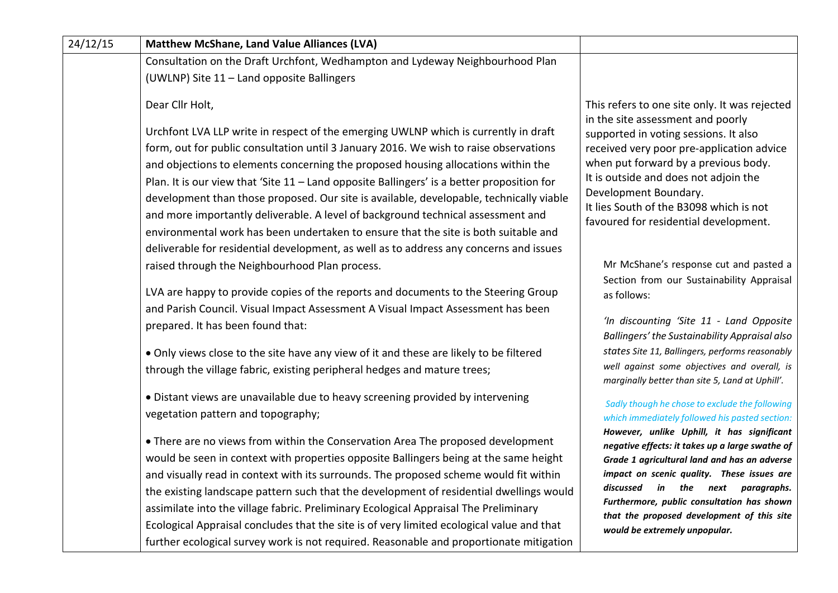| 24/12/15 | <b>Matthew McShane, Land Value Alliances (LVA)</b>                                                                                                                                                                                                                                                                                                                                                                                                                                                                                                                                                                                    |                                                                                                                                                                                                                                                                                  |
|----------|---------------------------------------------------------------------------------------------------------------------------------------------------------------------------------------------------------------------------------------------------------------------------------------------------------------------------------------------------------------------------------------------------------------------------------------------------------------------------------------------------------------------------------------------------------------------------------------------------------------------------------------|----------------------------------------------------------------------------------------------------------------------------------------------------------------------------------------------------------------------------------------------------------------------------------|
|          | Consultation on the Draft Urchfont, Wedhampton and Lydeway Neighbourhood Plan                                                                                                                                                                                                                                                                                                                                                                                                                                                                                                                                                         |                                                                                                                                                                                                                                                                                  |
|          | (UWLNP) Site 11 - Land opposite Ballingers                                                                                                                                                                                                                                                                                                                                                                                                                                                                                                                                                                                            |                                                                                                                                                                                                                                                                                  |
|          | Dear Cllr Holt,                                                                                                                                                                                                                                                                                                                                                                                                                                                                                                                                                                                                                       | This refers to one site only. It was rejected<br>in the site assessment and poorly                                                                                                                                                                                               |
|          | Urchfont LVA LLP write in respect of the emerging UWLNP which is currently in draft<br>form, out for public consultation until 3 January 2016. We wish to raise observations<br>and objections to elements concerning the proposed housing allocations within the<br>Plan. It is our view that 'Site 11 - Land opposite Ballingers' is a better proposition for<br>development than those proposed. Our site is available, developable, technically viable<br>and more importantly deliverable. A level of background technical assessment and<br>environmental work has been undertaken to ensure that the site is both suitable and | supported in voting sessions. It also<br>received very poor pre-application advice<br>when put forward by a previous body.<br>It is outside and does not adjoin the<br>Development Boundary.<br>It lies South of the B3098 which is not<br>favoured for residential development. |
|          | deliverable for residential development, as well as to address any concerns and issues<br>raised through the Neighbourhood Plan process.                                                                                                                                                                                                                                                                                                                                                                                                                                                                                              | Mr McShane's response cut and pasted a                                                                                                                                                                                                                                           |
|          | LVA are happy to provide copies of the reports and documents to the Steering Group<br>and Parish Council. Visual Impact Assessment A Visual Impact Assessment has been<br>prepared. It has been found that:                                                                                                                                                                                                                                                                                                                                                                                                                           | Section from our Sustainability Appraisal<br>as follows:<br>'In discounting 'Site 11 - Land Opposite<br>Ballingers' the Sustainability Appraisal also                                                                                                                            |
|          | • Only views close to the site have any view of it and these are likely to be filtered<br>through the village fabric, existing peripheral hedges and mature trees;                                                                                                                                                                                                                                                                                                                                                                                                                                                                    | states Site 11, Ballingers, performs reasonably<br>well against some objectives and overall, is<br>marginally better than site 5, Land at Uphill'.                                                                                                                               |
|          | • Distant views are unavailable due to heavy screening provided by intervening<br>vegetation pattern and topography;                                                                                                                                                                                                                                                                                                                                                                                                                                                                                                                  | Sadly though he chose to exclude the following<br>which immediately followed his pasted section:<br>However, unlike Uphill, it has significant                                                                                                                                   |
|          | • There are no views from within the Conservation Area The proposed development<br>would be seen in context with properties opposite Ballingers being at the same height<br>and visually read in context with its surrounds. The proposed scheme would fit within<br>the existing landscape pattern such that the development of residential dwellings would<br>assimilate into the village fabric. Preliminary Ecological Appraisal The Preliminary                                                                                                                                                                                  | negative effects: it takes up a large swathe of<br>Grade 1 agricultural land and has an adverse<br>impact on scenic quality. These issues are<br>discussed in the next paragraphs.<br>Furthermore, public consultation has shown<br>that the proposed development of this site   |
|          | Ecological Appraisal concludes that the site is of very limited ecological value and that<br>further ecological survey work is not required. Reasonable and proportionate mitigation                                                                                                                                                                                                                                                                                                                                                                                                                                                  | would be extremely unpopular.                                                                                                                                                                                                                                                    |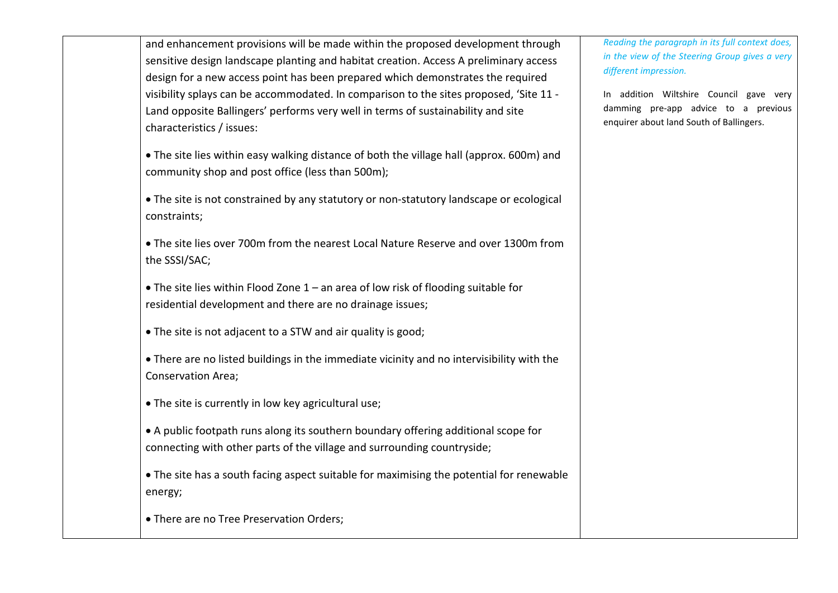and enhancement provisions will be made within the proposed development through sensitive design landscape planting and habitat creation. Access A preliminary access design for a new access point has been prepared which demonstrates the required visibility splays can be accommodated. In comparison to the sites proposed, 'Site 11 - Land opposite Ballingers' performs very well in terms of sustainability and site characteristics / issues:

• The site lies within easy walking distance of both the village hall (approx. 600m) and community shop and post office (less than 500m);

• The site is not constrained by any statutory or non-statutory landscape or ecological constraints;

• The site lies over 700m from the nearest Local Nature Reserve and over 1300m from the SSSI/SAC;

• The site lies within Flood Zone 1 – an area of low risk of flooding suitable for residential development and there are no drainage issues;

• The site is not adjacent to a STW and air quality is good;

• There are no listed buildings in the immediate vicinity and no intervisibility with the Conservation Area;

• The site is currently in low key agricultural use;

• A public footpath runs along its southern boundary offering additional scope for connecting with other parts of the village and surrounding countryside;

• The site has a south facing aspect suitable for maximising the potential for renewable energy;

• There are no Tree Preservation Orders;

*Reading the paragraph in its full context does, in the view of the Steering Group gives a very different impression.*

In addition Wiltshire Council gave very damming pre-app advice to a previous enquirer about land South of Ballingers.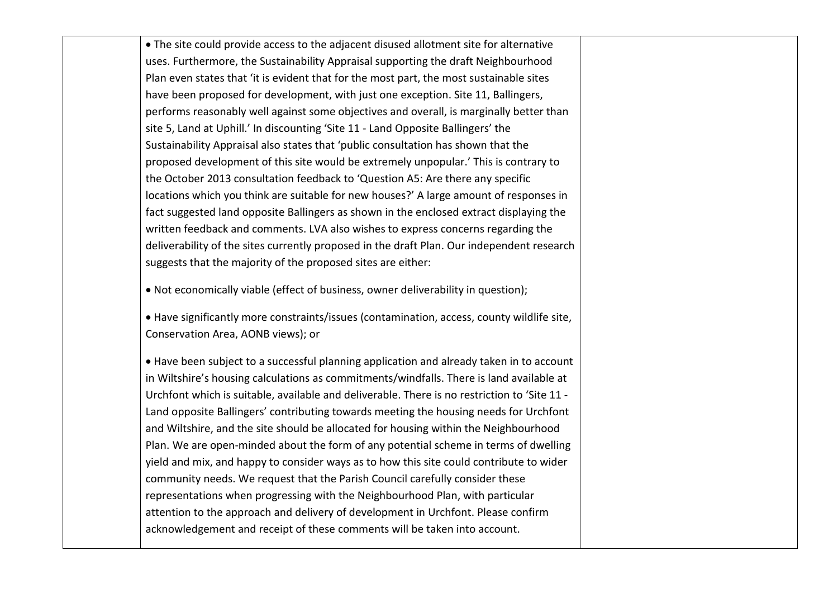• The site could provide access to the adjacent disused allotment site for alternative uses. Furthermore, the Sustainability Appraisal supporting the draft Neighbourhood Plan even states that 'it is evident that for the most part, the most sustainable sites have been proposed for development, with just one exception. Site 11, Ballingers, performs reasonably well against some objectives and overall, is marginally better than site 5, Land at Uphill.' In discounting 'Site 11 - Land Opposite Ballingers' the Sustainability Appraisal also states that 'public consultation has shown that the proposed development of this site would be extremely unpopular.' This is contrary to the October 2013 consultation feedback to 'Question A5: Are there any specific locations which you think are suitable for new houses?' A large amount of responses in fact suggested land opposite Ballingers as shown in the enclosed extract displaying the written feedback and comments. LVA also wishes to express concerns regarding the deliverability of the sites currently proposed in the draft Plan. Our independent research suggests that the majority of the proposed sites are either:

• Not economically viable (effect of business, owner deliverability in question);

• Have significantly more constraints/issues (contamination, access, county wildlife site, Conservation Area, AONB views); or

• Have been subject to a successful planning application and already taken in to account in Wiltshire's housing calculations as commitments/windfalls. There is land available at Urchfont which is suitable, available and deliverable. There is no restriction to 'Site 11 - Land opposite Ballingers' contributing towards meeting the housing needs for Urchfont and Wiltshire, and the site should be allocated for housing within the Neighbourhood Plan. We are open-minded about the form of any potential scheme in terms of dwelling yield and mix, and happy to consider ways as to how this site could contribute to wider community needs. We request that the Parish Council carefully consider these representations when progressing with the Neighbourhood Plan, with particular attention to the approach and delivery of development in Urchfont. Please confirm acknowledgement and receipt of these comments will be taken into account.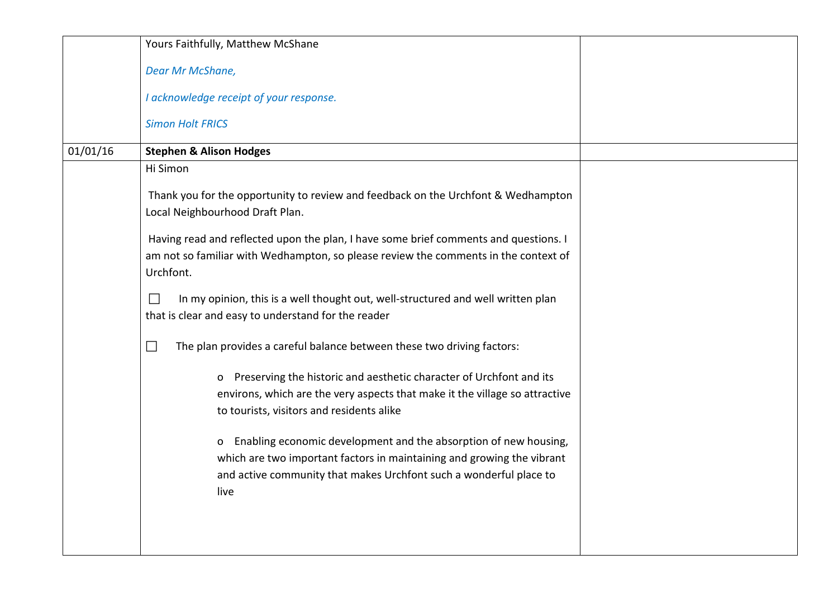|          | Yours Faithfully, Matthew McShane                                                                                                                                                                                             |  |
|----------|-------------------------------------------------------------------------------------------------------------------------------------------------------------------------------------------------------------------------------|--|
|          | Dear Mr McShane,                                                                                                                                                                                                              |  |
|          | I acknowledge receipt of your response.                                                                                                                                                                                       |  |
|          | <b>Simon Holt FRICS</b>                                                                                                                                                                                                       |  |
| 01/01/16 | <b>Stephen &amp; Alison Hodges</b>                                                                                                                                                                                            |  |
|          | Hi Simon                                                                                                                                                                                                                      |  |
|          | Thank you for the opportunity to review and feedback on the Urchfont & Wedhampton<br>Local Neighbourhood Draft Plan.                                                                                                          |  |
|          | Having read and reflected upon the plan, I have some brief comments and questions. I                                                                                                                                          |  |
|          | am not so familiar with Wedhampton, so please review the comments in the context of<br>Urchfont.                                                                                                                              |  |
|          | In my opinion, this is a well thought out, well-structured and well written plan<br>$\mathbf{I}$<br>that is clear and easy to understand for the reader                                                                       |  |
|          | The plan provides a careful balance between these two driving factors:<br>$\mathcal{L}_{\mathcal{A}}$                                                                                                                         |  |
|          | o Preserving the historic and aesthetic character of Urchfont and its<br>environs, which are the very aspects that make it the village so attractive                                                                          |  |
|          | to tourists, visitors and residents alike                                                                                                                                                                                     |  |
|          | Enabling economic development and the absorption of new housing,<br>0<br>which are two important factors in maintaining and growing the vibrant<br>and active community that makes Urchfont such a wonderful place to<br>live |  |
|          |                                                                                                                                                                                                                               |  |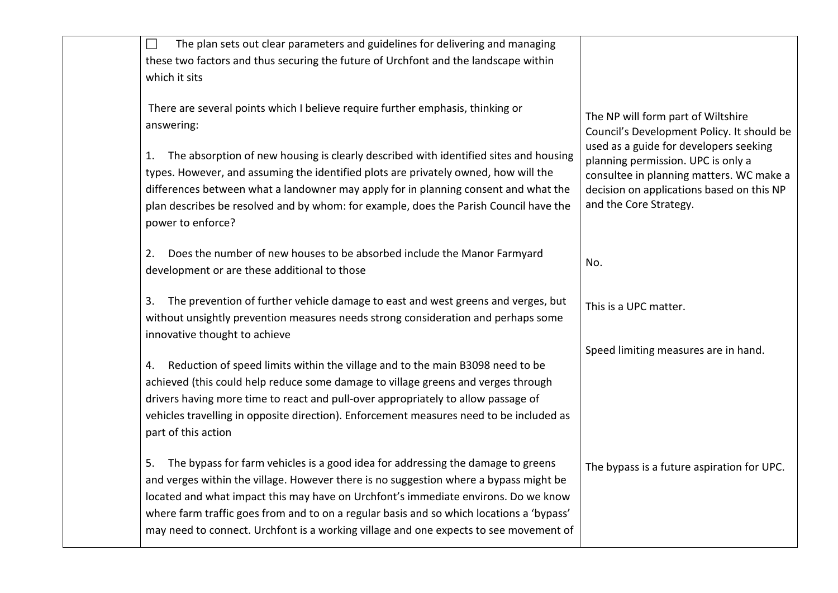| The plan sets out clear parameters and guidelines for delivering and managing<br>$\Box$<br>these two factors and thus securing the future of Urchfont and the landscape within<br>which it sits                                                                                                                                                                                        |                                                                                                                                                                                                 |
|----------------------------------------------------------------------------------------------------------------------------------------------------------------------------------------------------------------------------------------------------------------------------------------------------------------------------------------------------------------------------------------|-------------------------------------------------------------------------------------------------------------------------------------------------------------------------------------------------|
| There are several points which I believe require further emphasis, thinking or<br>answering:                                                                                                                                                                                                                                                                                           | The NP will form part of Wiltshire<br>Council's Development Policy. It should be                                                                                                                |
| The absorption of new housing is clearly described with identified sites and housing<br>1.<br>types. However, and assuming the identified plots are privately owned, how will the<br>differences between what a landowner may apply for in planning consent and what the<br>plan describes be resolved and by whom: for example, does the Parish Council have the<br>power to enforce? | used as a guide for developers seeking<br>planning permission. UPC is only a<br>consultee in planning matters. WC make a<br>decision on applications based on this NP<br>and the Core Strategy. |
| Does the number of new houses to be absorbed include the Manor Farmyard<br>2.<br>development or are these additional to those                                                                                                                                                                                                                                                          | No.                                                                                                                                                                                             |
| The prevention of further vehicle damage to east and west greens and verges, but<br>3.<br>without unsightly prevention measures needs strong consideration and perhaps some<br>innovative thought to achieve                                                                                                                                                                           | This is a UPC matter.                                                                                                                                                                           |
|                                                                                                                                                                                                                                                                                                                                                                                        | Speed limiting measures are in hand.                                                                                                                                                            |
| Reduction of speed limits within the village and to the main B3098 need to be<br>4.                                                                                                                                                                                                                                                                                                    |                                                                                                                                                                                                 |
| achieved (this could help reduce some damage to village greens and verges through<br>drivers having more time to react and pull-over appropriately to allow passage of                                                                                                                                                                                                                 |                                                                                                                                                                                                 |
| vehicles travelling in opposite direction). Enforcement measures need to be included as<br>part of this action                                                                                                                                                                                                                                                                         |                                                                                                                                                                                                 |
| The bypass for farm vehicles is a good idea for addressing the damage to greens<br>5.<br>and verges within the village. However there is no suggestion where a bypass might be                                                                                                                                                                                                         | The bypass is a future aspiration for UPC.                                                                                                                                                      |
| located and what impact this may have on Urchfont's immediate environs. Do we know<br>where farm traffic goes from and to on a regular basis and so which locations a 'bypass'<br>may need to connect. Urchfont is a working village and one expects to see movement of                                                                                                                |                                                                                                                                                                                                 |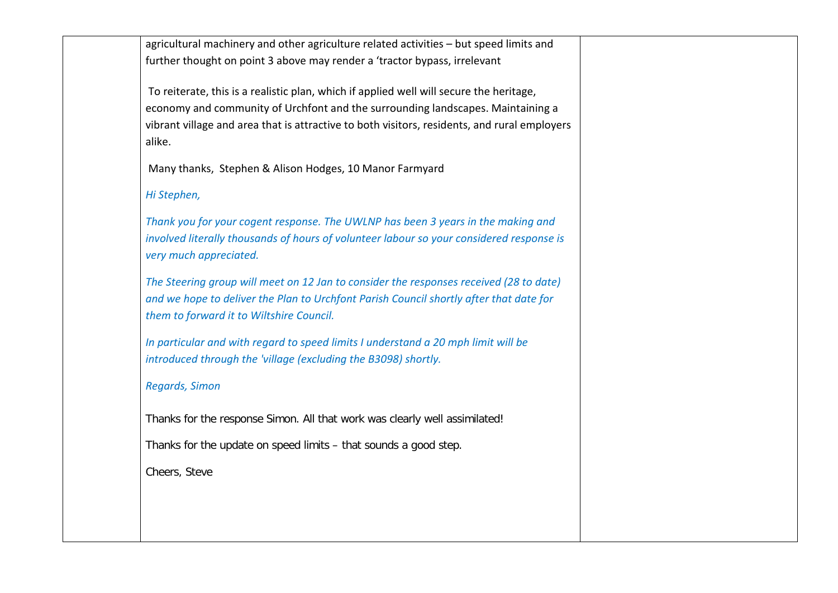| agricultural machinery and other agriculture related activities - but speed limits and       |  |
|----------------------------------------------------------------------------------------------|--|
| further thought on point 3 above may render a 'tractor bypass, irrelevant                    |  |
|                                                                                              |  |
| To reiterate, this is a realistic plan, which if applied well will secure the heritage,      |  |
| economy and community of Urchfont and the surrounding landscapes. Maintaining a              |  |
| vibrant village and area that is attractive to both visitors, residents, and rural employers |  |
| alike.                                                                                       |  |
|                                                                                              |  |
| Many thanks, Stephen & Alison Hodges, 10 Manor Farmyard                                      |  |
| Hi Stephen,                                                                                  |  |
| Thank you for your cogent response. The UWLNP has been 3 years in the making and             |  |
| involved literally thousands of hours of volunteer labour so your considered response is     |  |
| very much appreciated.                                                                       |  |
|                                                                                              |  |
| The Steering group will meet on 12 Jan to consider the responses received (28 to date)       |  |
| and we hope to deliver the Plan to Urchfont Parish Council shortly after that date for       |  |
| them to forward it to Wiltshire Council.                                                     |  |
|                                                                                              |  |
| In particular and with regard to speed limits I understand a 20 mph limit will be            |  |
| introduced through the 'village (excluding the B3098) shortly.                               |  |
|                                                                                              |  |
| <b>Regards, Simon</b>                                                                        |  |
|                                                                                              |  |
| Thanks for the response Simon. All that work was clearly well assimilated!                   |  |
|                                                                                              |  |
| Thanks for the update on speed limits - that sounds a good step.                             |  |
| Cheers, Steve                                                                                |  |
|                                                                                              |  |
|                                                                                              |  |
|                                                                                              |  |
|                                                                                              |  |
|                                                                                              |  |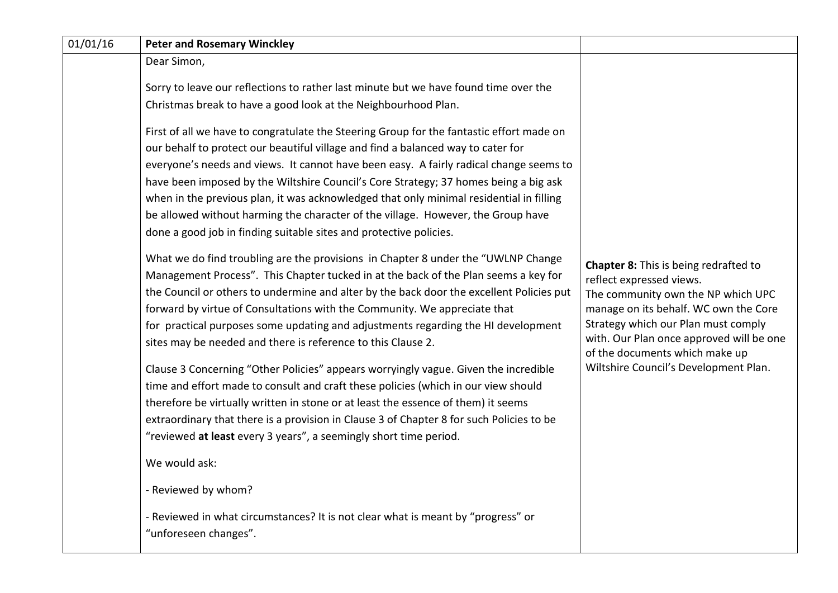| <b>Peter and Rosemary Winckley</b>                                                                                                                                                                                                                                                                                                                                                                                                                                                                                                                                                                                  |                                                                                                                                                                                                                                                                              |
|---------------------------------------------------------------------------------------------------------------------------------------------------------------------------------------------------------------------------------------------------------------------------------------------------------------------------------------------------------------------------------------------------------------------------------------------------------------------------------------------------------------------------------------------------------------------------------------------------------------------|------------------------------------------------------------------------------------------------------------------------------------------------------------------------------------------------------------------------------------------------------------------------------|
| Dear Simon,                                                                                                                                                                                                                                                                                                                                                                                                                                                                                                                                                                                                         |                                                                                                                                                                                                                                                                              |
| Sorry to leave our reflections to rather last minute but we have found time over the<br>Christmas break to have a good look at the Neighbourhood Plan.                                                                                                                                                                                                                                                                                                                                                                                                                                                              |                                                                                                                                                                                                                                                                              |
| First of all we have to congratulate the Steering Group for the fantastic effort made on<br>our behalf to protect our beautiful village and find a balanced way to cater for<br>everyone's needs and views. It cannot have been easy. A fairly radical change seems to<br>have been imposed by the Wiltshire Council's Core Strategy; 37 homes being a big ask<br>when in the previous plan, it was acknowledged that only minimal residential in filling<br>be allowed without harming the character of the village. However, the Group have<br>done a good job in finding suitable sites and protective policies. | <b>Chapter 8:</b> This is being redrafted to<br>reflect expressed views.<br>The community own the NP which UPC<br>manage on its behalf. WC own the Core<br>Strategy which our Plan must comply<br>with. Our Plan once approved will be one<br>of the documents which make up |
| What we do find troubling are the provisions in Chapter 8 under the "UWLNP Change<br>Management Process". This Chapter tucked in at the back of the Plan seems a key for<br>the Council or others to undermine and alter by the back door the excellent Policies put<br>forward by virtue of Consultations with the Community. We appreciate that<br>for practical purposes some updating and adjustments regarding the HI development<br>sites may be needed and there is reference to this Clause 2.                                                                                                              |                                                                                                                                                                                                                                                                              |
| Clause 3 Concerning "Other Policies" appears worryingly vague. Given the incredible<br>time and effort made to consult and craft these policies (which in our view should<br>therefore be virtually written in stone or at least the essence of them) it seems<br>extraordinary that there is a provision in Clause 3 of Chapter 8 for such Policies to be                                                                                                                                                                                                                                                          | Wiltshire Council's Development Plan.                                                                                                                                                                                                                                        |
|                                                                                                                                                                                                                                                                                                                                                                                                                                                                                                                                                                                                                     |                                                                                                                                                                                                                                                                              |
|                                                                                                                                                                                                                                                                                                                                                                                                                                                                                                                                                                                                                     |                                                                                                                                                                                                                                                                              |
| - Reviewed by whom?                                                                                                                                                                                                                                                                                                                                                                                                                                                                                                                                                                                                 |                                                                                                                                                                                                                                                                              |
| - Reviewed in what circumstances? It is not clear what is meant by "progress" or<br>"unforeseen changes".                                                                                                                                                                                                                                                                                                                                                                                                                                                                                                           |                                                                                                                                                                                                                                                                              |
|                                                                                                                                                                                                                                                                                                                                                                                                                                                                                                                                                                                                                     | "reviewed at least every 3 years", a seemingly short time period.<br>We would ask:                                                                                                                                                                                           |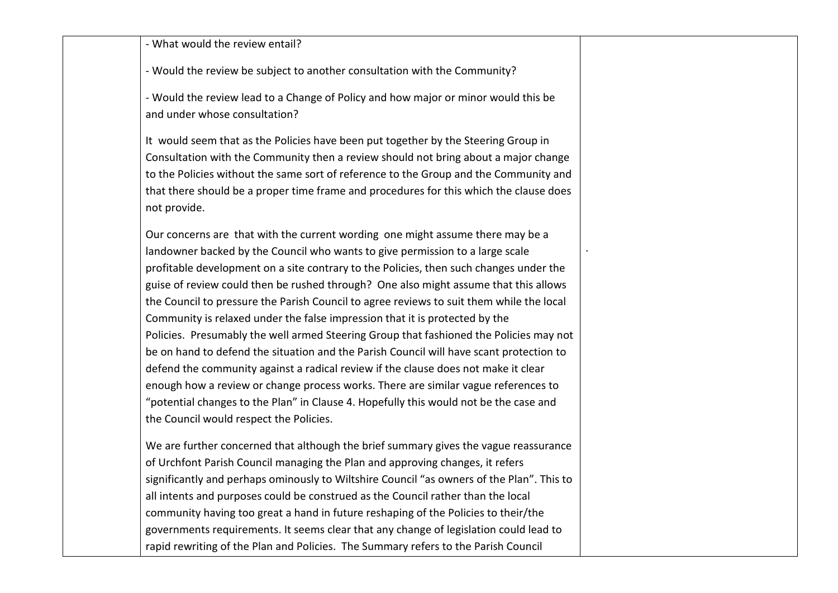- What would the review entail?

- Would the review be subject to another consultation with the Community?

- Would the review lead to a Change of Policy and how major or minor would this be and under whose consultation?

It would seem that as the Policies have been put together by the Steering Group in Consultation with the Community then a review should not bring about a major change to the Policies without the same sort of reference to the Group and the Community and that there should be a proper time frame and procedures for this which the clause does not provide.

.

Our concerns are that with the current wording one might assume there may be a landowner backed by the Council who wants to give permission to a large scale profitable development on a site contrary to the Policies, then such changes under the guise of review could then be rushed through? One also might assume that this allows the Council to pressure the Parish Council to agree reviews to suit them while the local Community is relaxed under the false impression that it is protected by the Policies. Presumably the well armed Steering Group that fashioned the Policies may not be on hand to defend the situation and the Parish Council will have scant protection to defend the community against a radical review if the clause does not make it clear enough how a review or change process works. There are similar vague references to "potential changes to the Plan" in Clause 4. Hopefully this would not be the case and the Council would respect the Policies.

We are further concerned that although the brief summary gives the vague reassurance of Urchfont Parish Council managing the Plan and approving changes, it refers significantly and perhaps ominously to Wiltshire Council "as owners of the Plan". This to all intents and purposes could be construed as the Council rather than the local community having too great a hand in future reshaping of the Policies to their/the governments requirements. It seems clear that any change of legislation could lead to rapid rewriting of the Plan and Policies. The Summary refers to the Parish Council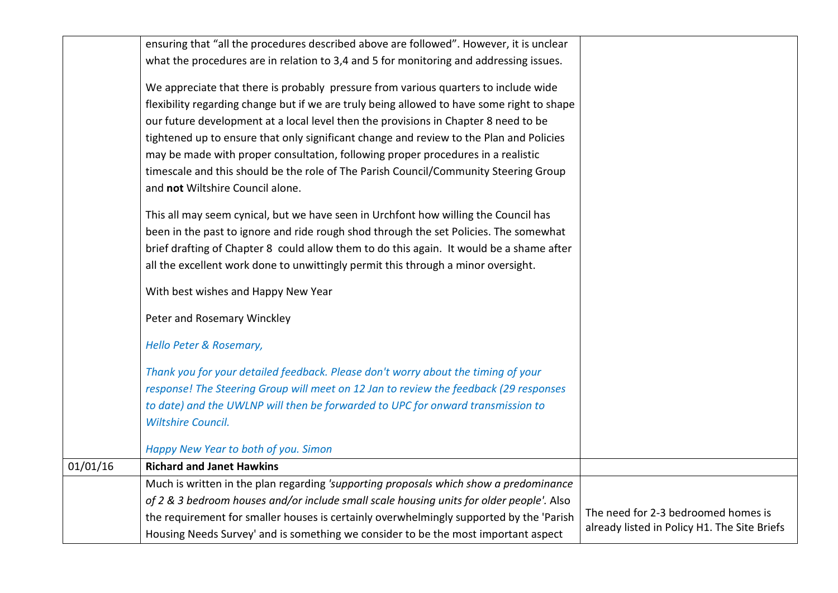|          | ensuring that "all the procedures described above are followed". However, it is unclear                                  |                                                                                     |
|----------|--------------------------------------------------------------------------------------------------------------------------|-------------------------------------------------------------------------------------|
|          | what the procedures are in relation to 3,4 and 5 for monitoring and addressing issues.                                   |                                                                                     |
|          | We appreciate that there is probably pressure from various quarters to include wide                                      |                                                                                     |
|          | flexibility regarding change but if we are truly being allowed to have some right to shape                               |                                                                                     |
|          | our future development at a local level then the provisions in Chapter 8 need to be                                      |                                                                                     |
|          | tightened up to ensure that only significant change and review to the Plan and Policies                                  |                                                                                     |
|          | may be made with proper consultation, following proper procedures in a realistic                                         |                                                                                     |
|          | timescale and this should be the role of The Parish Council/Community Steering Group<br>and not Wiltshire Council alone. |                                                                                     |
|          | This all may seem cynical, but we have seen in Urchfont how willing the Council has                                      |                                                                                     |
|          | been in the past to ignore and ride rough shod through the set Policies. The somewhat                                    |                                                                                     |
|          | brief drafting of Chapter 8 could allow them to do this again. It would be a shame after                                 |                                                                                     |
|          | all the excellent work done to unwittingly permit this through a minor oversight.                                        |                                                                                     |
|          | With best wishes and Happy New Year                                                                                      |                                                                                     |
|          | Peter and Rosemary Winckley                                                                                              |                                                                                     |
|          | Hello Peter & Rosemary,                                                                                                  |                                                                                     |
|          | Thank you for your detailed feedback. Please don't worry about the timing of your                                        |                                                                                     |
|          | response! The Steering Group will meet on 12 Jan to review the feedback (29 responses                                    |                                                                                     |
|          | to date) and the UWLNP will then be forwarded to UPC for onward transmission to                                          |                                                                                     |
|          | <b>Wiltshire Council.</b>                                                                                                |                                                                                     |
|          | Happy New Year to both of you. Simon                                                                                     |                                                                                     |
| 01/01/16 | <b>Richard and Janet Hawkins</b>                                                                                         |                                                                                     |
|          | Much is written in the plan regarding 'supporting proposals which show a predominance                                    |                                                                                     |
|          | of 2 & 3 bedroom houses and/or include small scale housing units for older people'. Also                                 |                                                                                     |
|          | the requirement for smaller houses is certainly overwhelmingly supported by the 'Parish                                  | The need for 2-3 bedroomed homes is<br>already listed in Policy H1. The Site Briefs |
|          | Housing Needs Survey' and is something we consider to be the most important aspect                                       |                                                                                     |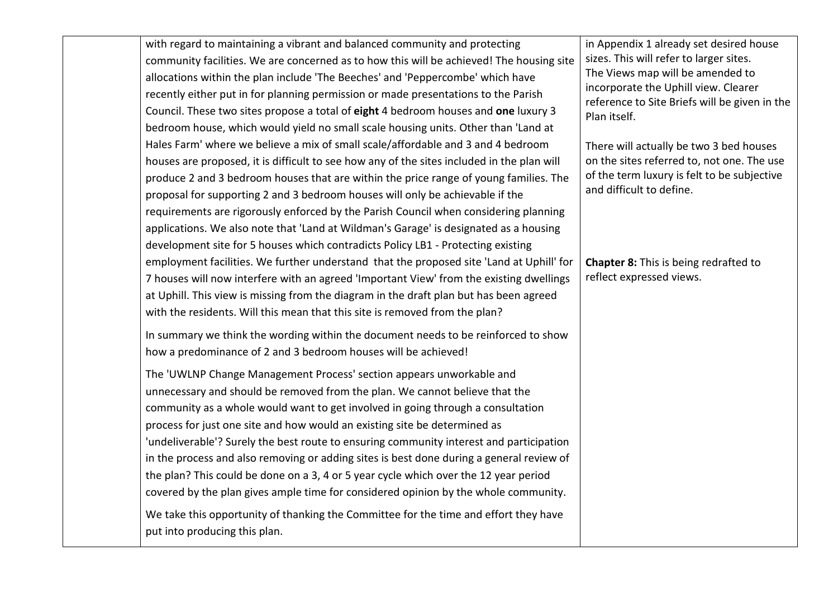with regard to maintaining a vibrant and balanced community and protecting community facilities. We are concerned as to how this will be achieved! The housing site allocations within the plan include 'The Beeches' and 'Peppercombe' which have recently either put in for planning permission or made presentations to the Parish Council. These two sites propose a total of **eight** 4 bedroom houses and **one** luxury 3 bedroom house, which would yield no small scale housing units. Other than 'Land at Hales Farm' where we believe a mix of small scale/affordable and 3 and 4 bedroom houses are proposed, it is difficult to see how any of the sites included in the plan will produce 2 and 3 bedroom houses that are within the price range of young families. The proposal for supporting 2 and 3 bedroom houses will only be achievable if the requirements are rigorously enforced by the Parish Council when considering planning applications. We also note that 'Land at Wildman's Garage' is designated as a housing development site for 5 houses which contradicts Policy LB1 - Protecting existing employment facilities. We further understand that the proposed site 'Land at Uphill' for 7 houses will now interfere with an agreed 'Important View' from the existing dwellings at Uphill. This view is missing from the diagram in the draft plan but has been agreed with the residents. Will this mean that this site is removed from the plan? In summary we think the wording within the document needs to be reinforced to show how a predominance of 2 and 3 bedroom houses will be achieved! The 'UWLNP Change Management Process' section appears unworkable and unnecessary and should be removed from the plan. We cannot believe that the community as a whole would want to get involved in going through a consultation process for just one site and how would an existing site be determined as 'undeliverable'? Surely the best route to ensuring community interest and participation in the process and also removing or adding sites is best done during a general review of the plan? This could be done on a 3, 4 or 5 year cycle which over the 12 year period covered by the plan gives ample time for considered opinion by the whole community. We take this opportunity of thanking the Committee for the time and effort they have put into producing this plan. in Appendix 1 already set desired house sizes. This will refer to larger sites. The Views map will be amended to incorporate the Uphill view. Clearer reference to Site Briefs will be given in the Plan itself. There will actually be two 3 bed houses on the sites referred to, not one. The use of the term luxury is felt to be subjective and difficult to define. **Chapter 8:** This is being redrafted to reflect expressed views.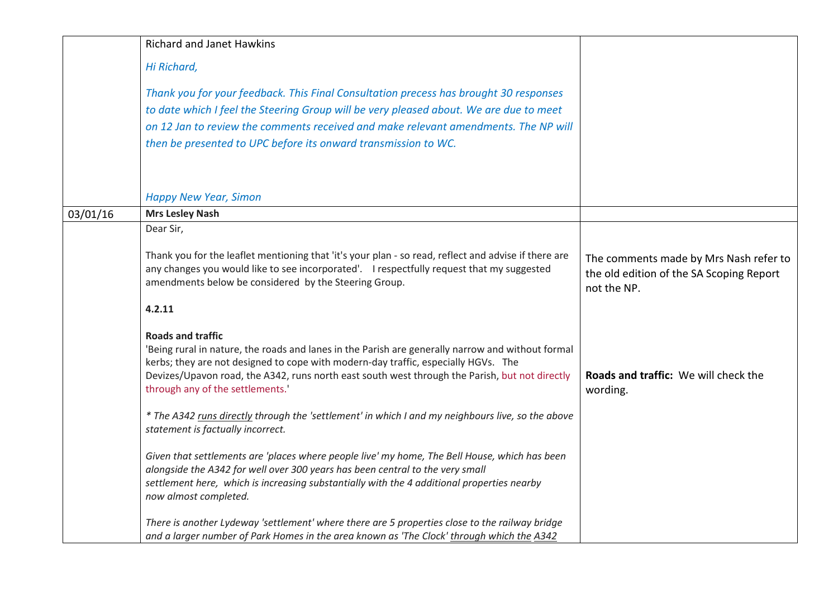|          | <b>Richard and Janet Hawkins</b>                                                                                                                                                                                                                                                                                      |                                                                                                   |
|----------|-----------------------------------------------------------------------------------------------------------------------------------------------------------------------------------------------------------------------------------------------------------------------------------------------------------------------|---------------------------------------------------------------------------------------------------|
|          | Hi Richard,                                                                                                                                                                                                                                                                                                           |                                                                                                   |
|          | Thank you for your feedback. This Final Consultation precess has brought 30 responses                                                                                                                                                                                                                                 |                                                                                                   |
|          | to date which I feel the Steering Group will be very pleased about. We are due to meet                                                                                                                                                                                                                                |                                                                                                   |
|          | on 12 Jan to review the comments received and make relevant amendments. The NP will                                                                                                                                                                                                                                   |                                                                                                   |
|          | then be presented to UPC before its onward transmission to WC.                                                                                                                                                                                                                                                        |                                                                                                   |
|          | <b>Happy New Year, Simon</b>                                                                                                                                                                                                                                                                                          |                                                                                                   |
| 03/01/16 | <b>Mrs Lesley Nash</b>                                                                                                                                                                                                                                                                                                |                                                                                                   |
|          | Dear Sir,                                                                                                                                                                                                                                                                                                             |                                                                                                   |
|          | Thank you for the leaflet mentioning that 'it's your plan - so read, reflect and advise if there are<br>any changes you would like to see incorporated'. I respectfully request that my suggested<br>amendments below be considered by the Steering Group.                                                            | The comments made by Mrs Nash refer to<br>the old edition of the SA Scoping Report<br>not the NP. |
|          | 4.2.11                                                                                                                                                                                                                                                                                                                |                                                                                                   |
|          | <b>Roads and traffic</b><br>'Being rural in nature, the roads and lanes in the Parish are generally narrow and without formal<br>kerbs; they are not designed to cope with modern-day traffic, especially HGVs. The<br>Devizes/Upavon road, the A342, runs north east south west through the Parish, but not directly | Roads and traffic: We will check the                                                              |
|          | through any of the settlements.'                                                                                                                                                                                                                                                                                      | wording.                                                                                          |
|          | * The A342 runs directly through the 'settlement' in which I and my neighbours live, so the above<br>statement is factually incorrect.                                                                                                                                                                                |                                                                                                   |
|          | Given that settlements are 'places where people live' my home, The Bell House, which has been<br>alongside the A342 for well over 300 years has been central to the very small<br>settlement here, which is increasing substantially with the 4 additional properties nearby<br>now almost completed.                 |                                                                                                   |
|          | There is another Lydeway 'settlement' where there are 5 properties close to the railway bridge<br>and a larger number of Park Homes in the area known as 'The Clock' through which the A342                                                                                                                           |                                                                                                   |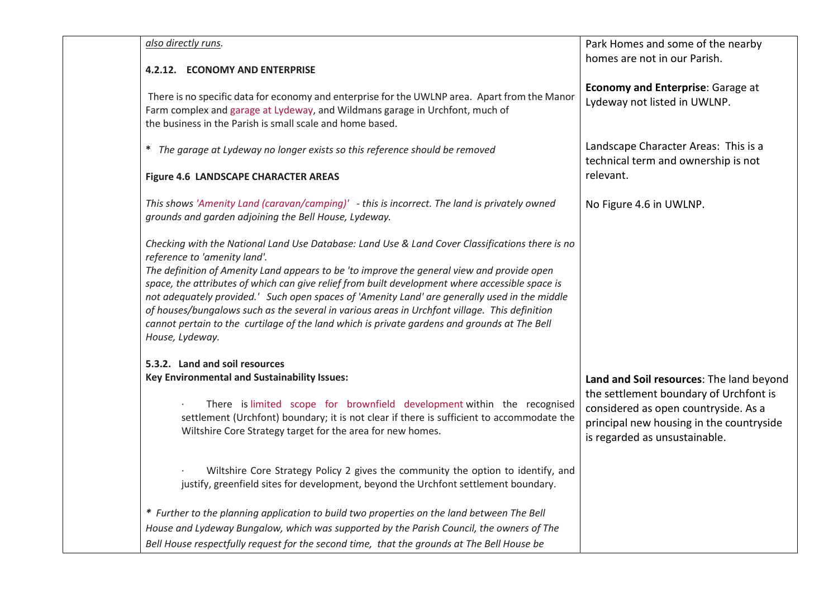| also directly runs.<br>4.2.12. ECONOMY AND ENTERPRISE                                                                                                                                                                                                                                                                                                                                                                                                                                                                                                                                                                                                 | Park Homes and some of the nearby<br>homes are not in our Parish.                                                                                                                                       |
|-------------------------------------------------------------------------------------------------------------------------------------------------------------------------------------------------------------------------------------------------------------------------------------------------------------------------------------------------------------------------------------------------------------------------------------------------------------------------------------------------------------------------------------------------------------------------------------------------------------------------------------------------------|---------------------------------------------------------------------------------------------------------------------------------------------------------------------------------------------------------|
| There is no specific data for economy and enterprise for the UWLNP area. Apart from the Manor<br>Farm complex and garage at Lydeway, and Wildmans garage in Urchfont, much of<br>the business in the Parish is small scale and home based.                                                                                                                                                                                                                                                                                                                                                                                                            | <b>Economy and Enterprise: Garage at</b><br>Lydeway not listed in UWLNP.                                                                                                                                |
| * The garage at Lydeway no longer exists so this reference should be removed                                                                                                                                                                                                                                                                                                                                                                                                                                                                                                                                                                          | Landscape Character Areas: This is a<br>technical term and ownership is not                                                                                                                             |
| Figure 4.6 LANDSCAPE CHARACTER AREAS                                                                                                                                                                                                                                                                                                                                                                                                                                                                                                                                                                                                                  | relevant.                                                                                                                                                                                               |
| This shows 'Amenity Land (caravan/camping)' - this is incorrect. The land is privately owned<br>grounds and garden adjoining the Bell House, Lydeway.                                                                                                                                                                                                                                                                                                                                                                                                                                                                                                 | No Figure 4.6 in UWLNP.                                                                                                                                                                                 |
| Checking with the National Land Use Database: Land Use & Land Cover Classifications there is no<br>reference to 'amenity land'.<br>The definition of Amenity Land appears to be 'to improve the general view and provide open<br>space, the attributes of which can give relief from built development where accessible space is<br>not adequately provided.' Such open spaces of 'Amenity Land' are generally used in the middle<br>of houses/bungalows such as the several in various areas in Urchfont village. This definition<br>cannot pertain to the curtilage of the land which is private gardens and grounds at The Bell<br>House, Lydeway. |                                                                                                                                                                                                         |
| 5.3.2. Land and soil resources                                                                                                                                                                                                                                                                                                                                                                                                                                                                                                                                                                                                                        |                                                                                                                                                                                                         |
| Key Environmental and Sustainability Issues:<br>There is limited scope for brownfield development within the recognised<br>settlement (Urchfont) boundary; it is not clear if there is sufficient to accommodate the<br>Wiltshire Core Strategy target for the area for new homes.                                                                                                                                                                                                                                                                                                                                                                    | Land and Soil resources: The land beyond<br>the settlement boundary of Urchfont is<br>considered as open countryside. As a<br>principal new housing in the countryside<br>is regarded as unsustainable. |
| Wiltshire Core Strategy Policy 2 gives the community the option to identify, and<br>justify, greenfield sites for development, beyond the Urchfont settlement boundary.                                                                                                                                                                                                                                                                                                                                                                                                                                                                               |                                                                                                                                                                                                         |
| * Further to the planning application to build two properties on the land between The Bell                                                                                                                                                                                                                                                                                                                                                                                                                                                                                                                                                            |                                                                                                                                                                                                         |
| House and Lydeway Bungalow, which was supported by the Parish Council, the owners of The<br>Bell House respectfully request for the second time, that the grounds at The Bell House be                                                                                                                                                                                                                                                                                                                                                                                                                                                                |                                                                                                                                                                                                         |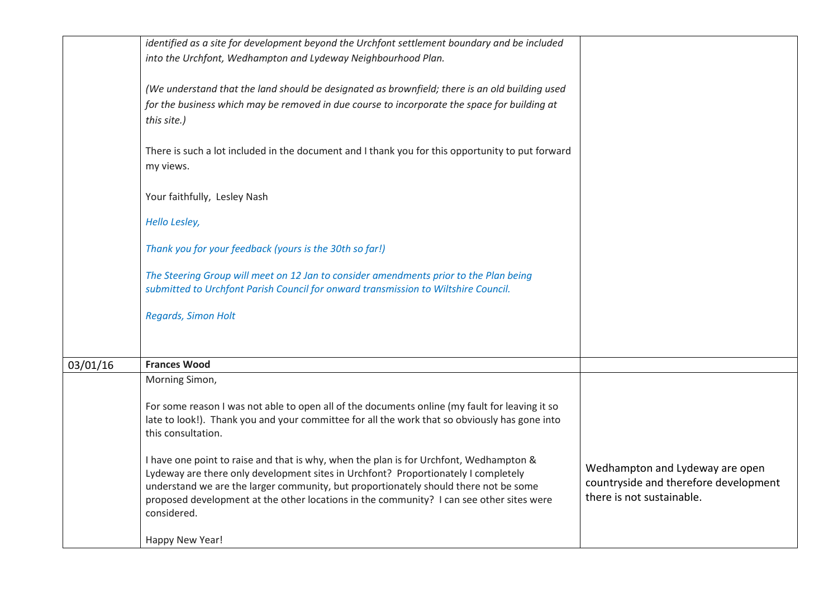|          | identified as a site for development beyond the Urchfont settlement boundary and be included<br>into the Urchfont, Wedhampton and Lydeway Neighbourhood Plan.<br>(We understand that the land should be designated as brownfield; there is an old building used<br>for the business which may be removed in due course to incorporate the space for building at<br>this site.)<br>There is such a lot included in the document and I thank you for this opportunity to put forward<br>my views.<br>Your faithfully, Lesley Nash |                                                                                                       |
|----------|---------------------------------------------------------------------------------------------------------------------------------------------------------------------------------------------------------------------------------------------------------------------------------------------------------------------------------------------------------------------------------------------------------------------------------------------------------------------------------------------------------------------------------|-------------------------------------------------------------------------------------------------------|
|          | Hello Lesley,<br>Thank you for your feedback (yours is the 30th so far!)                                                                                                                                                                                                                                                                                                                                                                                                                                                        |                                                                                                       |
|          | The Steering Group will meet on 12 Jan to consider amendments prior to the Plan being<br>submitted to Urchfont Parish Council for onward transmission to Wiltshire Council.<br>Regards, Simon Holt                                                                                                                                                                                                                                                                                                                              |                                                                                                       |
| 03/01/16 | <b>Frances Wood</b>                                                                                                                                                                                                                                                                                                                                                                                                                                                                                                             |                                                                                                       |
|          | Morning Simon,<br>For some reason I was not able to open all of the documents online (my fault for leaving it so<br>late to look!). Thank you and your committee for all the work that so obviously has gone into<br>this consultation.<br>I have one point to raise and that is why, when the plan is for Urchfont, Wedhampton &<br>Lydeway are there only development sites in Urchfont? Proportionately I completely<br>understand we are the larger community, but proportionately should there not be some                 | Wedhampton and Lydeway are open<br>countryside and therefore development<br>there is not sustainable. |
|          | proposed development at the other locations in the community? I can see other sites were<br>considered.<br>Happy New Year!                                                                                                                                                                                                                                                                                                                                                                                                      |                                                                                                       |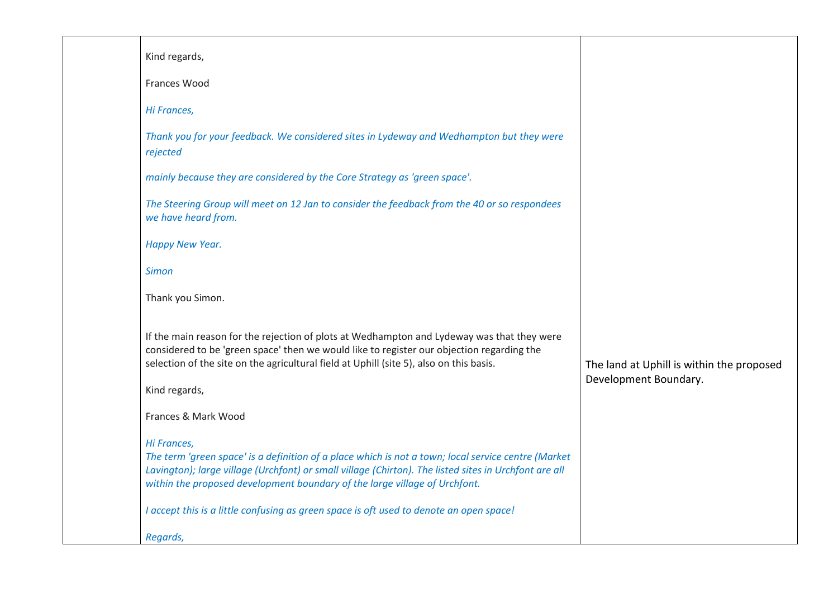| Kind regards,                                                                                                                                                                                                                                                                                                                                                                                        |                                                                    |
|------------------------------------------------------------------------------------------------------------------------------------------------------------------------------------------------------------------------------------------------------------------------------------------------------------------------------------------------------------------------------------------------------|--------------------------------------------------------------------|
| Frances Wood                                                                                                                                                                                                                                                                                                                                                                                         |                                                                    |
| Hi Frances,                                                                                                                                                                                                                                                                                                                                                                                          |                                                                    |
| Thank you for your feedback. We considered sites in Lydeway and Wedhampton but they were<br>rejected                                                                                                                                                                                                                                                                                                 |                                                                    |
| mainly because they are considered by the Core Strategy as 'green space'.                                                                                                                                                                                                                                                                                                                            |                                                                    |
| The Steering Group will meet on 12 Jan to consider the feedback from the 40 or so respondees<br>we have heard from.                                                                                                                                                                                                                                                                                  |                                                                    |
| Happy New Year.                                                                                                                                                                                                                                                                                                                                                                                      |                                                                    |
| <b>Simon</b>                                                                                                                                                                                                                                                                                                                                                                                         |                                                                    |
| Thank you Simon.                                                                                                                                                                                                                                                                                                                                                                                     |                                                                    |
| If the main reason for the rejection of plots at Wedhampton and Lydeway was that they were<br>considered to be 'green space' then we would like to register our objection regarding the<br>selection of the site on the agricultural field at Uphill (site 5), also on this basis.<br>Kind regards,                                                                                                  | The land at Uphill is within the proposed<br>Development Boundary. |
| Frances & Mark Wood                                                                                                                                                                                                                                                                                                                                                                                  |                                                                    |
| Hi Frances,<br>The term 'green space' is a definition of a place which is not a town; local service centre (Market<br>Lavington); large village (Urchfont) or small village (Chirton). The listed sites in Urchfont are all<br>within the proposed development boundary of the large village of Urchfont.<br>I accept this is a little confusing as green space is oft used to denote an open space! |                                                                    |
| Regards,                                                                                                                                                                                                                                                                                                                                                                                             |                                                                    |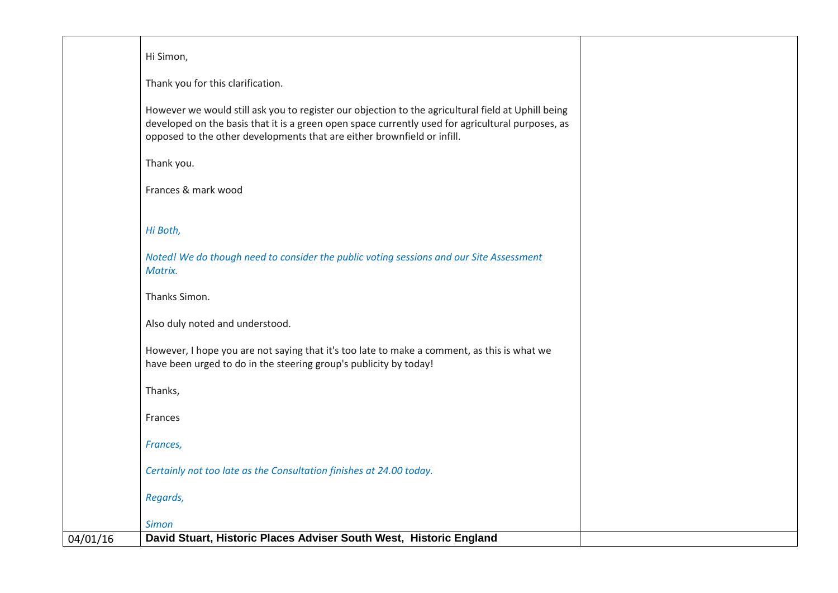|          | Hi Simon,                                                                                                                                                                                                                                                                          |  |
|----------|------------------------------------------------------------------------------------------------------------------------------------------------------------------------------------------------------------------------------------------------------------------------------------|--|
|          | Thank you for this clarification.                                                                                                                                                                                                                                                  |  |
|          | However we would still ask you to register our objection to the agricultural field at Uphill being<br>developed on the basis that it is a green open space currently used for agricultural purposes, as<br>opposed to the other developments that are either brownfield or infill. |  |
|          | Thank you.                                                                                                                                                                                                                                                                         |  |
|          | Frances & mark wood                                                                                                                                                                                                                                                                |  |
|          | Hi Both,                                                                                                                                                                                                                                                                           |  |
|          | Noted! We do though need to consider the public voting sessions and our Site Assessment<br>Matrix.                                                                                                                                                                                 |  |
|          | Thanks Simon.                                                                                                                                                                                                                                                                      |  |
|          | Also duly noted and understood.                                                                                                                                                                                                                                                    |  |
|          | However, I hope you are not saying that it's too late to make a comment, as this is what we<br>have been urged to do in the steering group's publicity by today!                                                                                                                   |  |
|          | Thanks,                                                                                                                                                                                                                                                                            |  |
|          | Frances                                                                                                                                                                                                                                                                            |  |
|          | Frances,                                                                                                                                                                                                                                                                           |  |
|          | Certainly not too late as the Consultation finishes at 24.00 today.                                                                                                                                                                                                                |  |
|          | Regards,                                                                                                                                                                                                                                                                           |  |
|          | <b>Simon</b>                                                                                                                                                                                                                                                                       |  |
| 04/01/16 | David Stuart, Historic Places Adviser South West, Historic England                                                                                                                                                                                                                 |  |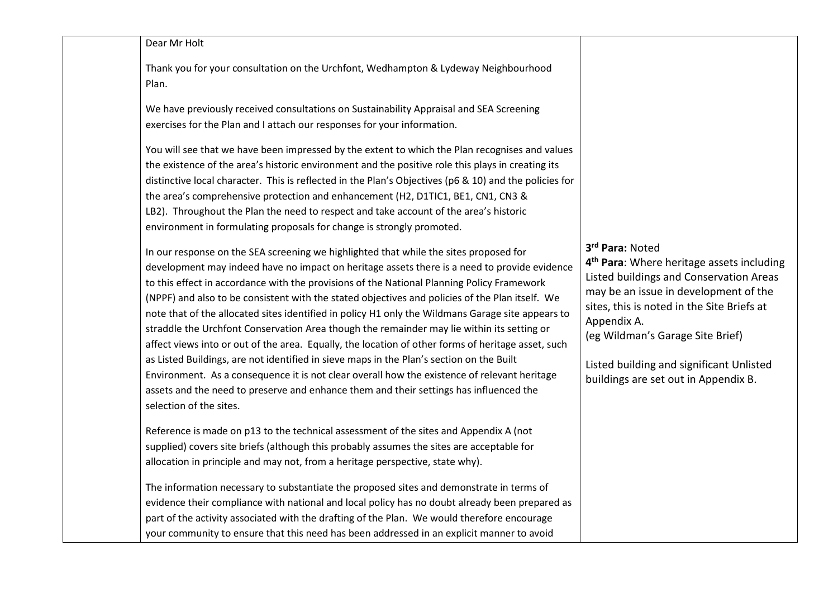| Dear Mr Holt |  |
|--------------|--|

Thank you for your consultation on the Urchfont, Wedhampton & Lydeway Neighbourhood Plan.

We have previously received consultations on Sustainability Appraisal and SEA Screening exercises for the Plan and I attach our responses for your information.

You will see that we have been impressed by the extent to which the Plan recognises and values the existence of the area's historic environment and the positive role this plays in creating its distinctive local character. This is reflected in the Plan's Objectives (p6 & 10) and the policies for the area's comprehensive protection and enhancement (H2, D1TIC1, BE1, CN1, CN3 & LB2). Throughout the Plan the need to respect and take account of the area's historic environment in formulating proposals for change is strongly promoted.

In our response on the SEA screening we highlighted that while the sites proposed for development may indeed have no impact on heritage assets there is a need to provide evidence to this effect in accordance with the provisions of the National Planning Policy Framework (NPPF) and also to be consistent with the stated objectives and policies of the Plan itself. We note that of the allocated sites identified in policy H1 only the Wildmans Garage site appears to straddle the Urchfont Conservation Area though the remainder may lie within its setting or affect views into or out of the area. Equally, the location of other forms of heritage asset, such as Listed Buildings, are not identified in sieve maps in the Plan's section on the Built Environment. As a consequence it is not clear overall how the existence of relevant heritage assets and the need to preserve and enhance them and their settings has influenced the selection of the sites.

Reference is made on p13 to the technical assessment of the sites and Appendix A (not supplied) covers site briefs (although this probably assumes the sites are acceptable for allocation in principle and may not, from a heritage perspective, state why).

The information necessary to substantiate the proposed sites and demonstrate in terms of evidence their compliance with national and local policy has no doubt already been prepared as part of the activity associated with the drafting of the Plan. We would therefore encourage your community to ensure that this need has been addressed in an explicit manner to avoid

**3rd Para:** Noted

**4th Para**: Where heritage assets including Listed buildings and Conservation Areas may be an issue in development of the sites, this is noted in the Site Briefs at Appendix A. (eg Wildman's Garage Site Brief) Listed building and significant Unlisted buildings are set out in Appendix B.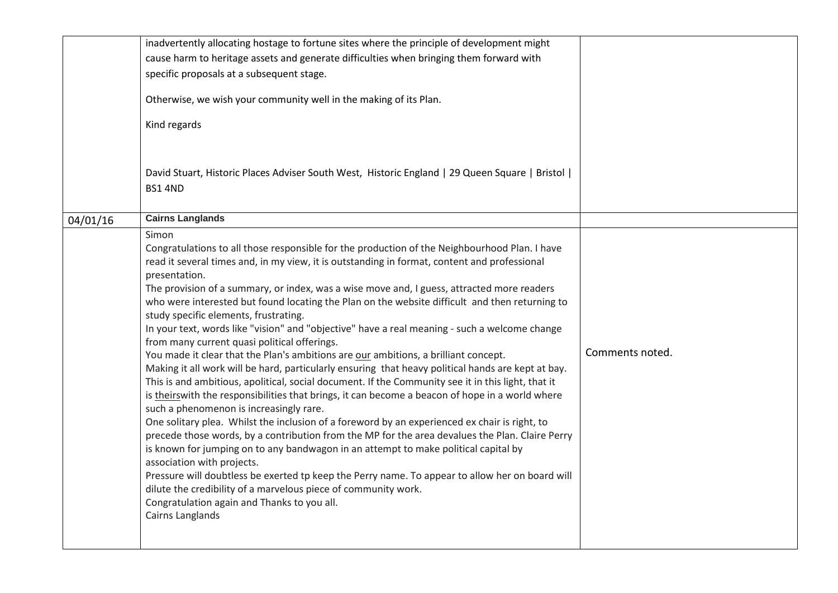|          | inadvertently allocating hostage to fortune sites where the principle of development might                                                                                                                                                                                                                                                                                                                                                                                                                                                                                                                                                                                                                                                                                                                                                                                                                                                                                                                                                                                                                                                                                                                                                                                                                                                                                                                                                                                                                                                                                                                                          |                 |
|----------|-------------------------------------------------------------------------------------------------------------------------------------------------------------------------------------------------------------------------------------------------------------------------------------------------------------------------------------------------------------------------------------------------------------------------------------------------------------------------------------------------------------------------------------------------------------------------------------------------------------------------------------------------------------------------------------------------------------------------------------------------------------------------------------------------------------------------------------------------------------------------------------------------------------------------------------------------------------------------------------------------------------------------------------------------------------------------------------------------------------------------------------------------------------------------------------------------------------------------------------------------------------------------------------------------------------------------------------------------------------------------------------------------------------------------------------------------------------------------------------------------------------------------------------------------------------------------------------------------------------------------------------|-----------------|
|          | cause harm to heritage assets and generate difficulties when bringing them forward with                                                                                                                                                                                                                                                                                                                                                                                                                                                                                                                                                                                                                                                                                                                                                                                                                                                                                                                                                                                                                                                                                                                                                                                                                                                                                                                                                                                                                                                                                                                                             |                 |
|          |                                                                                                                                                                                                                                                                                                                                                                                                                                                                                                                                                                                                                                                                                                                                                                                                                                                                                                                                                                                                                                                                                                                                                                                                                                                                                                                                                                                                                                                                                                                                                                                                                                     |                 |
|          | specific proposals at a subsequent stage.                                                                                                                                                                                                                                                                                                                                                                                                                                                                                                                                                                                                                                                                                                                                                                                                                                                                                                                                                                                                                                                                                                                                                                                                                                                                                                                                                                                                                                                                                                                                                                                           |                 |
|          | Otherwise, we wish your community well in the making of its Plan.                                                                                                                                                                                                                                                                                                                                                                                                                                                                                                                                                                                                                                                                                                                                                                                                                                                                                                                                                                                                                                                                                                                                                                                                                                                                                                                                                                                                                                                                                                                                                                   |                 |
|          | Kind regards                                                                                                                                                                                                                                                                                                                                                                                                                                                                                                                                                                                                                                                                                                                                                                                                                                                                                                                                                                                                                                                                                                                                                                                                                                                                                                                                                                                                                                                                                                                                                                                                                        |                 |
|          | David Stuart, Historic Places Adviser South West, Historic England   29 Queen Square   Bristol  <br><b>BS1 4ND</b>                                                                                                                                                                                                                                                                                                                                                                                                                                                                                                                                                                                                                                                                                                                                                                                                                                                                                                                                                                                                                                                                                                                                                                                                                                                                                                                                                                                                                                                                                                                  |                 |
| 04/01/16 | <b>Cairns Langlands</b>                                                                                                                                                                                                                                                                                                                                                                                                                                                                                                                                                                                                                                                                                                                                                                                                                                                                                                                                                                                                                                                                                                                                                                                                                                                                                                                                                                                                                                                                                                                                                                                                             |                 |
|          | Simon<br>Congratulations to all those responsible for the production of the Neighbourhood Plan. I have<br>read it several times and, in my view, it is outstanding in format, content and professional<br>presentation.<br>The provision of a summary, or index, was a wise move and, I guess, attracted more readers<br>who were interested but found locating the Plan on the website difficult and then returning to<br>study specific elements, frustrating.<br>In your text, words like "vision" and "objective" have a real meaning - such a welcome change<br>from many current quasi political offerings.<br>You made it clear that the Plan's ambitions are our ambitions, a brilliant concept.<br>Making it all work will be hard, particularly ensuring that heavy political hands are kept at bay.<br>This is and ambitious, apolitical, social document. If the Community see it in this light, that it<br>is theirswith the responsibilities that brings, it can become a beacon of hope in a world where<br>such a phenomenon is increasingly rare.<br>One solitary plea. Whilst the inclusion of a foreword by an experienced ex chair is right, to<br>precede those words, by a contribution from the MP for the area devalues the Plan. Claire Perry<br>is known for jumping on to any bandwagon in an attempt to make political capital by<br>association with projects.<br>Pressure will doubtless be exerted tp keep the Perry name. To appear to allow her on board will<br>dilute the credibility of a marvelous piece of community work.<br>Congratulation again and Thanks to you all.<br>Cairns Langlands | Comments noted. |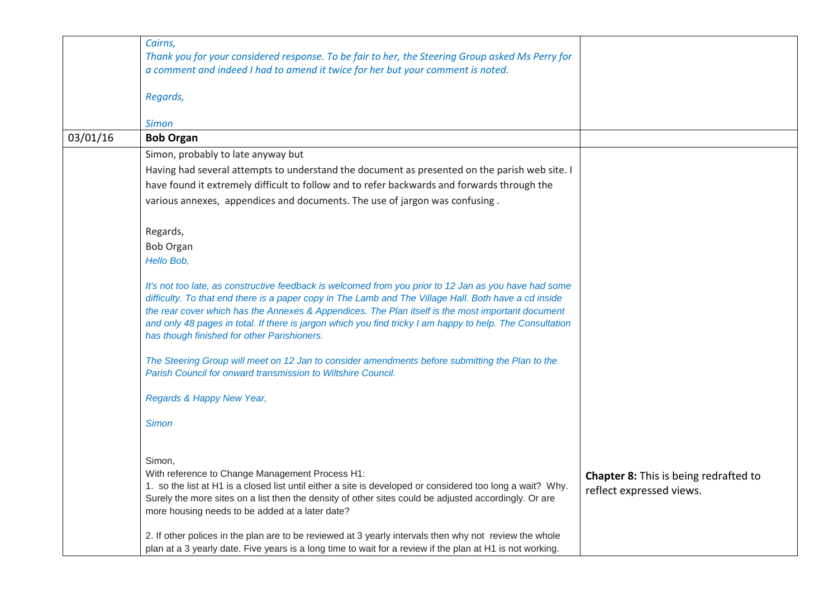|          | Cairns,<br>Thank you for your considered response. To be fair to her, the Steering Group asked Ms Perry for<br>a comment and indeed I had to amend it twice for her but your comment is noted.                                                                                                                                                                                                                                                                                  |                                                                          |
|----------|---------------------------------------------------------------------------------------------------------------------------------------------------------------------------------------------------------------------------------------------------------------------------------------------------------------------------------------------------------------------------------------------------------------------------------------------------------------------------------|--------------------------------------------------------------------------|
|          | Regards,                                                                                                                                                                                                                                                                                                                                                                                                                                                                        |                                                                          |
|          | <b>Simon</b>                                                                                                                                                                                                                                                                                                                                                                                                                                                                    |                                                                          |
| 03/01/16 | <b>Bob Organ</b>                                                                                                                                                                                                                                                                                                                                                                                                                                                                |                                                                          |
|          | Simon, probably to late anyway but                                                                                                                                                                                                                                                                                                                                                                                                                                              |                                                                          |
|          | Having had several attempts to understand the document as presented on the parish web site. I                                                                                                                                                                                                                                                                                                                                                                                   |                                                                          |
|          | have found it extremely difficult to follow and to refer backwards and forwards through the                                                                                                                                                                                                                                                                                                                                                                                     |                                                                          |
|          | various annexes, appendices and documents. The use of jargon was confusing.                                                                                                                                                                                                                                                                                                                                                                                                     |                                                                          |
|          | Regards,                                                                                                                                                                                                                                                                                                                                                                                                                                                                        |                                                                          |
|          | <b>Bob Organ</b>                                                                                                                                                                                                                                                                                                                                                                                                                                                                |                                                                          |
|          | Hello Bob,                                                                                                                                                                                                                                                                                                                                                                                                                                                                      |                                                                          |
|          | It's not too late, as constructive feedback is welcomed from you prior to 12 Jan as you have had some<br>difficulty. To that end there is a paper copy in The Lamb and The Village Hall. Both have a cd inside<br>the rear cover which has the Annexes & Appendices. The Plan itself is the most important document<br>and only 48 pages in total. If there is jargon which you find tricky I am happy to help. The Consultation<br>has though finished for other Parishioners. |                                                                          |
|          | The Steering Group will meet on 12 Jan to consider amendments before submitting the Plan to the<br>Parish Council for onward transmission to Wiltshire Council.                                                                                                                                                                                                                                                                                                                 |                                                                          |
|          | Regards & Happy New Year,                                                                                                                                                                                                                                                                                                                                                                                                                                                       |                                                                          |
|          | <b>Simon</b>                                                                                                                                                                                                                                                                                                                                                                                                                                                                    |                                                                          |
|          | Simon,<br>With reference to Change Management Process H1:<br>1. so the list at H1 is a closed list until either a site is developed or considered too long a wait? Why.<br>Surely the more sites on a list then the density of other sites could be adjusted accordingly. Or are<br>more housing needs to be added at a later date?                                                                                                                                             | <b>Chapter 8:</b> This is being redrafted to<br>reflect expressed views. |
|          | 2. If other polices in the plan are to be reviewed at 3 yearly intervals then why not review the whole<br>plan at a 3 yearly date. Five years is a long time to wait for a review if the plan at H1 is not working.                                                                                                                                                                                                                                                             |                                                                          |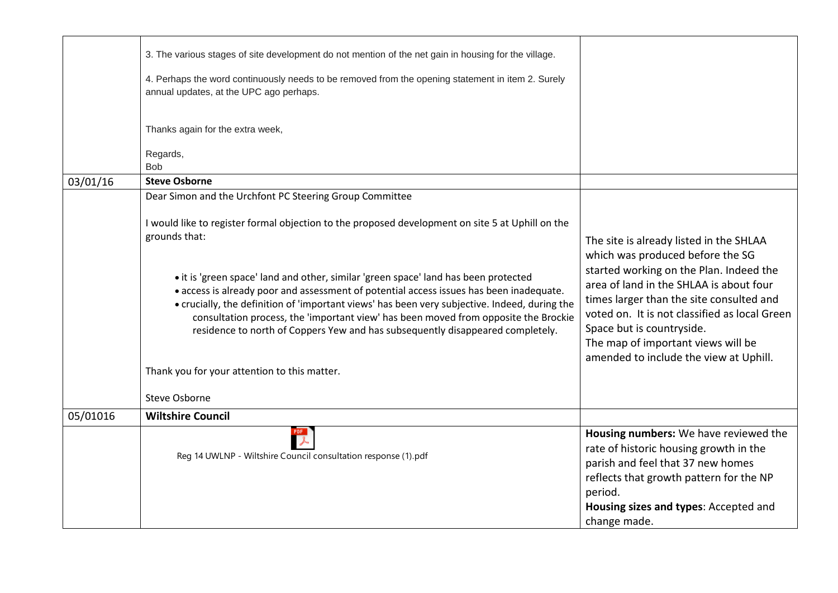|          | 3. The various stages of site development do not mention of the net gain in housing for the village.                                                                                                                                                                                                                                                                                                                                                     |                                                                                                                                                                                                                                                                                        |
|----------|----------------------------------------------------------------------------------------------------------------------------------------------------------------------------------------------------------------------------------------------------------------------------------------------------------------------------------------------------------------------------------------------------------------------------------------------------------|----------------------------------------------------------------------------------------------------------------------------------------------------------------------------------------------------------------------------------------------------------------------------------------|
|          | 4. Perhaps the word continuously needs to be removed from the opening statement in item 2. Surely<br>annual updates, at the UPC ago perhaps.                                                                                                                                                                                                                                                                                                             |                                                                                                                                                                                                                                                                                        |
|          | Thanks again for the extra week,                                                                                                                                                                                                                                                                                                                                                                                                                         |                                                                                                                                                                                                                                                                                        |
|          | Regards,                                                                                                                                                                                                                                                                                                                                                                                                                                                 |                                                                                                                                                                                                                                                                                        |
|          | <b>Bob</b>                                                                                                                                                                                                                                                                                                                                                                                                                                               |                                                                                                                                                                                                                                                                                        |
| 03/01/16 | <b>Steve Osborne</b>                                                                                                                                                                                                                                                                                                                                                                                                                                     |                                                                                                                                                                                                                                                                                        |
|          | Dear Simon and the Urchfont PC Steering Group Committee                                                                                                                                                                                                                                                                                                                                                                                                  |                                                                                                                                                                                                                                                                                        |
|          | I would like to register formal objection to the proposed development on site 5 at Uphill on the<br>grounds that:                                                                                                                                                                                                                                                                                                                                        | The site is already listed in the SHLAA                                                                                                                                                                                                                                                |
|          | • it is 'green space' land and other, similar 'green space' land has been protected<br>• access is already poor and assessment of potential access issues has been inadequate.<br>• crucially, the definition of 'important views' has been very subjective. Indeed, during the<br>consultation process, the 'important view' has been moved from opposite the Brockie<br>residence to north of Coppers Yew and has subsequently disappeared completely. | which was produced before the SG<br>started working on the Plan. Indeed the<br>area of land in the SHLAA is about four<br>times larger than the site consulted and<br>voted on. It is not classified as local Green<br>Space but is countryside.<br>The map of important views will be |
|          | Thank you for your attention to this matter.                                                                                                                                                                                                                                                                                                                                                                                                             | amended to include the view at Uphill.                                                                                                                                                                                                                                                 |
|          | <b>Steve Osborne</b>                                                                                                                                                                                                                                                                                                                                                                                                                                     |                                                                                                                                                                                                                                                                                        |
| 05/01016 | <b>Wiltshire Council</b>                                                                                                                                                                                                                                                                                                                                                                                                                                 |                                                                                                                                                                                                                                                                                        |
|          | Reg 14 UWLNP - Wiltshire Council consultation response (1).pdf                                                                                                                                                                                                                                                                                                                                                                                           | Housing numbers: We have reviewed the<br>rate of historic housing growth in the<br>parish and feel that 37 new homes<br>reflects that growth pattern for the NP<br>period.                                                                                                             |
|          |                                                                                                                                                                                                                                                                                                                                                                                                                                                          | Housing sizes and types: Accepted and<br>change made.                                                                                                                                                                                                                                  |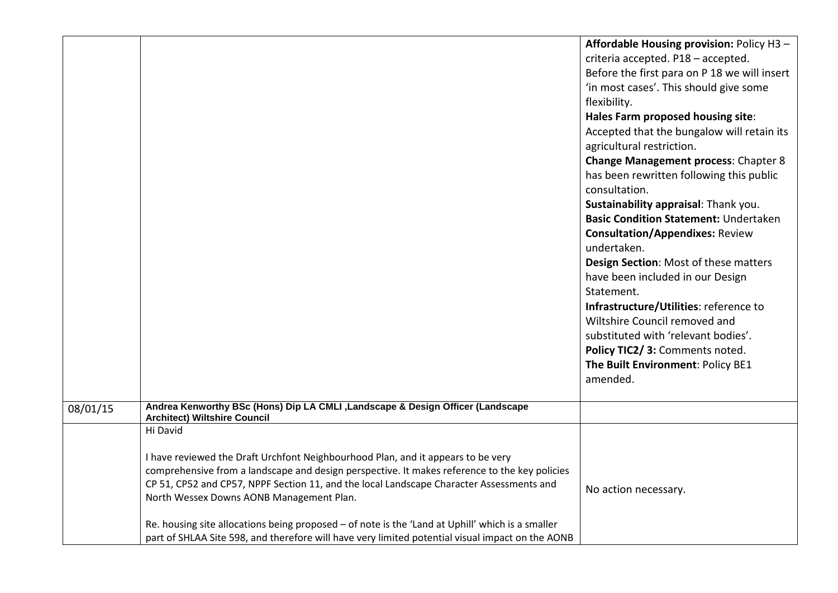|          |                                                                                                                                                                                           | Affordable Housing provision: Policy H3 -    |
|----------|-------------------------------------------------------------------------------------------------------------------------------------------------------------------------------------------|----------------------------------------------|
|          |                                                                                                                                                                                           | criteria accepted. P18 - accepted.           |
|          |                                                                                                                                                                                           | Before the first para on P 18 we will insert |
|          |                                                                                                                                                                                           | 'in most cases'. This should give some       |
|          |                                                                                                                                                                                           | flexibility.                                 |
|          |                                                                                                                                                                                           | Hales Farm proposed housing site:            |
|          |                                                                                                                                                                                           | Accepted that the bungalow will retain its   |
|          |                                                                                                                                                                                           | agricultural restriction.                    |
|          |                                                                                                                                                                                           | <b>Change Management process: Chapter 8</b>  |
|          |                                                                                                                                                                                           | has been rewritten following this public     |
|          |                                                                                                                                                                                           | consultation.                                |
|          |                                                                                                                                                                                           | Sustainability appraisal: Thank you.         |
|          |                                                                                                                                                                                           | <b>Basic Condition Statement: Undertaken</b> |
|          |                                                                                                                                                                                           | <b>Consultation/Appendixes: Review</b>       |
|          |                                                                                                                                                                                           | undertaken.                                  |
|          |                                                                                                                                                                                           | Design Section: Most of these matters        |
|          |                                                                                                                                                                                           | have been included in our Design             |
|          |                                                                                                                                                                                           | Statement.                                   |
|          |                                                                                                                                                                                           | Infrastructure/Utilities: reference to       |
|          |                                                                                                                                                                                           | Wiltshire Council removed and                |
|          |                                                                                                                                                                                           | substituted with 'relevant bodies'.          |
|          |                                                                                                                                                                                           | Policy TIC2/ 3: Comments noted.              |
|          |                                                                                                                                                                                           | The Built Environment: Policy BE1            |
|          |                                                                                                                                                                                           | amended.                                     |
|          |                                                                                                                                                                                           |                                              |
| 08/01/15 | Andrea Kenworthy BSc (Hons) Dip LA CMLI , Landscape & Design Officer (Landscape<br><b>Architect) Wiltshire Council</b>                                                                    |                                              |
|          | Hi David                                                                                                                                                                                  |                                              |
|          |                                                                                                                                                                                           |                                              |
|          | I have reviewed the Draft Urchfont Neighbourhood Plan, and it appears to be very                                                                                                          |                                              |
|          | comprehensive from a landscape and design perspective. It makes reference to the key policies<br>CP 51, CP52 and CP57, NPPF Section 11, and the local Landscape Character Assessments and |                                              |
|          | North Wessex Downs AONB Management Plan.                                                                                                                                                  | No action necessary.                         |
|          |                                                                                                                                                                                           |                                              |
|          | Re. housing site allocations being proposed - of note is the 'Land at Uphill' which is a smaller                                                                                          |                                              |
|          | part of SHLAA Site 598, and therefore will have very limited potential visual impact on the AONB                                                                                          |                                              |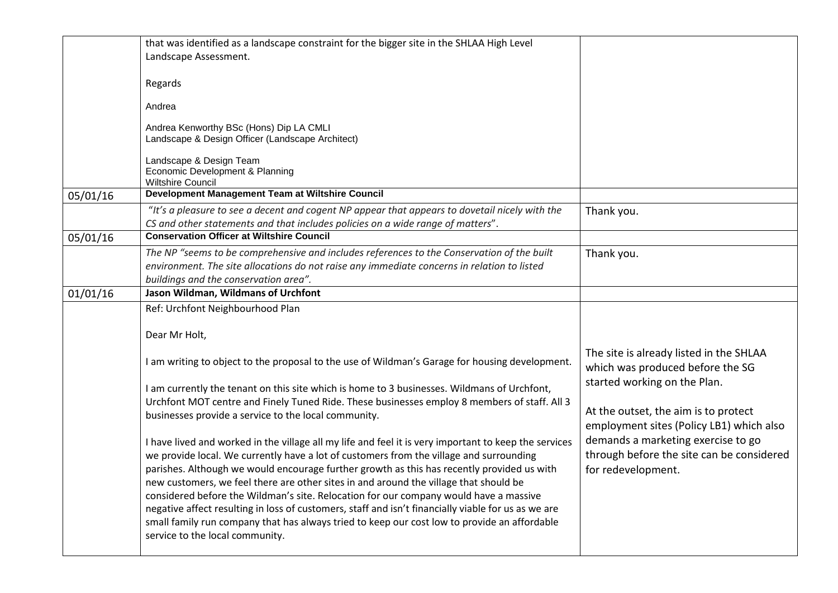|          | that was identified as a landscape constraint for the bigger site in the SHLAA High Level                                                                                                                                                                                                                                                                                               |                                                                                                                                                   |
|----------|-----------------------------------------------------------------------------------------------------------------------------------------------------------------------------------------------------------------------------------------------------------------------------------------------------------------------------------------------------------------------------------------|---------------------------------------------------------------------------------------------------------------------------------------------------|
|          | Landscape Assessment.                                                                                                                                                                                                                                                                                                                                                                   |                                                                                                                                                   |
|          |                                                                                                                                                                                                                                                                                                                                                                                         |                                                                                                                                                   |
|          | Regards                                                                                                                                                                                                                                                                                                                                                                                 |                                                                                                                                                   |
|          | Andrea                                                                                                                                                                                                                                                                                                                                                                                  |                                                                                                                                                   |
|          | Andrea Kenworthy BSc (Hons) Dip LA CMLI<br>Landscape & Design Officer (Landscape Architect)                                                                                                                                                                                                                                                                                             |                                                                                                                                                   |
|          | Landscape & Design Team<br>Economic Development & Planning<br><b>Wiltshire Council</b>                                                                                                                                                                                                                                                                                                  |                                                                                                                                                   |
| 05/01/16 | Development Management Team at Wiltshire Council                                                                                                                                                                                                                                                                                                                                        |                                                                                                                                                   |
|          | "It's a pleasure to see a decent and cogent NP appear that appears to dovetail nicely with the<br>CS and other statements and that includes policies on a wide range of matters".                                                                                                                                                                                                       | Thank you.                                                                                                                                        |
| 05/01/16 | <b>Conservation Officer at Wiltshire Council</b>                                                                                                                                                                                                                                                                                                                                        |                                                                                                                                                   |
|          | The NP "seems to be comprehensive and includes references to the Conservation of the built<br>environment. The site allocations do not raise any immediate concerns in relation to listed<br>buildings and the conservation area".                                                                                                                                                      | Thank you.                                                                                                                                        |
| 01/01/16 | Jason Wildman, Wildmans of Urchfont                                                                                                                                                                                                                                                                                                                                                     |                                                                                                                                                   |
|          | Ref: Urchfont Neighbourhood Plan                                                                                                                                                                                                                                                                                                                                                        |                                                                                                                                                   |
|          | Dear Mr Holt,                                                                                                                                                                                                                                                                                                                                                                           |                                                                                                                                                   |
|          | I am writing to object to the proposal to the use of Wildman's Garage for housing development.                                                                                                                                                                                                                                                                                          | The site is already listed in the SHLAA<br>which was produced before the SG                                                                       |
|          | I am currently the tenant on this site which is home to 3 businesses. Wildmans of Urchfont,<br>Urchfont MOT centre and Finely Tuned Ride. These businesses employ 8 members of staff. All 3<br>businesses provide a service to the local community.                                                                                                                                     | started working on the Plan.<br>At the outset, the aim is to protect                                                                              |
|          | I have lived and worked in the village all my life and feel it is very important to keep the services<br>we provide local. We currently have a lot of customers from the village and surrounding<br>parishes. Although we would encourage further growth as this has recently provided us with<br>new customers, we feel there are other sites in and around the village that should be | employment sites (Policy LB1) which also<br>demands a marketing exercise to go<br>through before the site can be considered<br>for redevelopment. |
|          | considered before the Wildman's site. Relocation for our company would have a massive<br>negative affect resulting in loss of customers, staff and isn't financially viable for us as we are<br>small family run company that has always tried to keep our cost low to provide an affordable<br>service to the local community.                                                         |                                                                                                                                                   |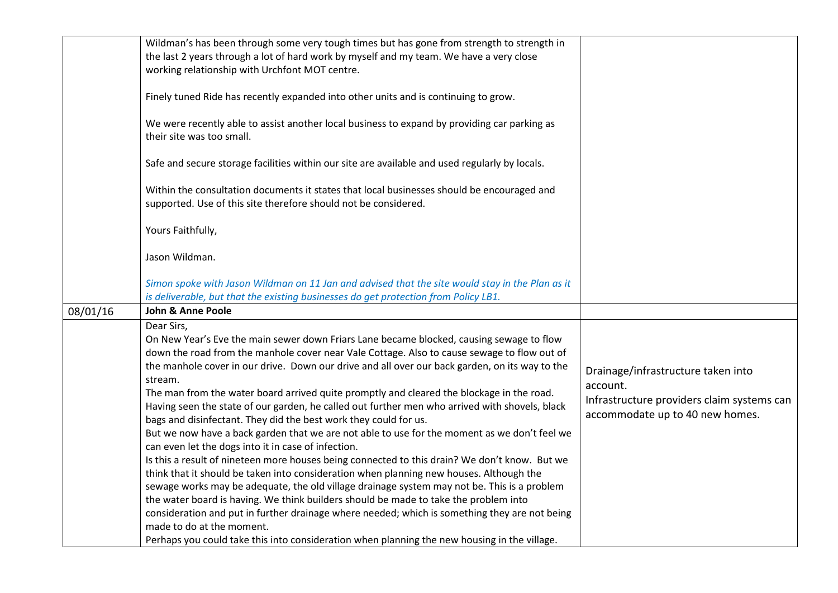|          | Wildman's has been through some very tough times but has gone from strength to strength in<br>the last 2 years through a lot of hard work by myself and my team. We have a very close<br>working relationship with Urchfont MOT centre.                                                                                                                                                                                                                                                                                                                                                                                                                                                                                                                                                                                                                                                                                                                                                                                                                                                                                                                                                                                                                                                                                                                       |                                                                                                                                 |
|----------|---------------------------------------------------------------------------------------------------------------------------------------------------------------------------------------------------------------------------------------------------------------------------------------------------------------------------------------------------------------------------------------------------------------------------------------------------------------------------------------------------------------------------------------------------------------------------------------------------------------------------------------------------------------------------------------------------------------------------------------------------------------------------------------------------------------------------------------------------------------------------------------------------------------------------------------------------------------------------------------------------------------------------------------------------------------------------------------------------------------------------------------------------------------------------------------------------------------------------------------------------------------------------------------------------------------------------------------------------------------|---------------------------------------------------------------------------------------------------------------------------------|
|          | Finely tuned Ride has recently expanded into other units and is continuing to grow.                                                                                                                                                                                                                                                                                                                                                                                                                                                                                                                                                                                                                                                                                                                                                                                                                                                                                                                                                                                                                                                                                                                                                                                                                                                                           |                                                                                                                                 |
|          | We were recently able to assist another local business to expand by providing car parking as<br>their site was too small.                                                                                                                                                                                                                                                                                                                                                                                                                                                                                                                                                                                                                                                                                                                                                                                                                                                                                                                                                                                                                                                                                                                                                                                                                                     |                                                                                                                                 |
|          | Safe and secure storage facilities within our site are available and used regularly by locals.                                                                                                                                                                                                                                                                                                                                                                                                                                                                                                                                                                                                                                                                                                                                                                                                                                                                                                                                                                                                                                                                                                                                                                                                                                                                |                                                                                                                                 |
|          | Within the consultation documents it states that local businesses should be encouraged and<br>supported. Use of this site therefore should not be considered.                                                                                                                                                                                                                                                                                                                                                                                                                                                                                                                                                                                                                                                                                                                                                                                                                                                                                                                                                                                                                                                                                                                                                                                                 |                                                                                                                                 |
|          | Yours Faithfully,                                                                                                                                                                                                                                                                                                                                                                                                                                                                                                                                                                                                                                                                                                                                                                                                                                                                                                                                                                                                                                                                                                                                                                                                                                                                                                                                             |                                                                                                                                 |
|          | Jason Wildman.                                                                                                                                                                                                                                                                                                                                                                                                                                                                                                                                                                                                                                                                                                                                                                                                                                                                                                                                                                                                                                                                                                                                                                                                                                                                                                                                                |                                                                                                                                 |
|          | Simon spoke with Jason Wildman on 11 Jan and advised that the site would stay in the Plan as it<br>is deliverable, but that the existing businesses do get protection from Policy LB1.                                                                                                                                                                                                                                                                                                                                                                                                                                                                                                                                                                                                                                                                                                                                                                                                                                                                                                                                                                                                                                                                                                                                                                        |                                                                                                                                 |
| 08/01/16 | <b>John &amp; Anne Poole</b>                                                                                                                                                                                                                                                                                                                                                                                                                                                                                                                                                                                                                                                                                                                                                                                                                                                                                                                                                                                                                                                                                                                                                                                                                                                                                                                                  |                                                                                                                                 |
|          | Dear Sirs,<br>On New Year's Eve the main sewer down Friars Lane became blocked, causing sewage to flow<br>down the road from the manhole cover near Vale Cottage. Also to cause sewage to flow out of<br>the manhole cover in our drive. Down our drive and all over our back garden, on its way to the<br>stream.<br>The man from the water board arrived quite promptly and cleared the blockage in the road.<br>Having seen the state of our garden, he called out further men who arrived with shovels, black<br>bags and disinfectant. They did the best work they could for us.<br>But we now have a back garden that we are not able to use for the moment as we don't feel we<br>can even let the dogs into it in case of infection.<br>Is this a result of nineteen more houses being connected to this drain? We don't know. But we<br>think that it should be taken into consideration when planning new houses. Although the<br>sewage works may be adequate, the old village drainage system may not be. This is a problem<br>the water board is having. We think builders should be made to take the problem into<br>consideration and put in further drainage where needed; which is something they are not being<br>made to do at the moment.<br>Perhaps you could take this into consideration when planning the new housing in the village. | Drainage/infrastructure taken into<br>account.<br>Infrastructure providers claim systems can<br>accommodate up to 40 new homes. |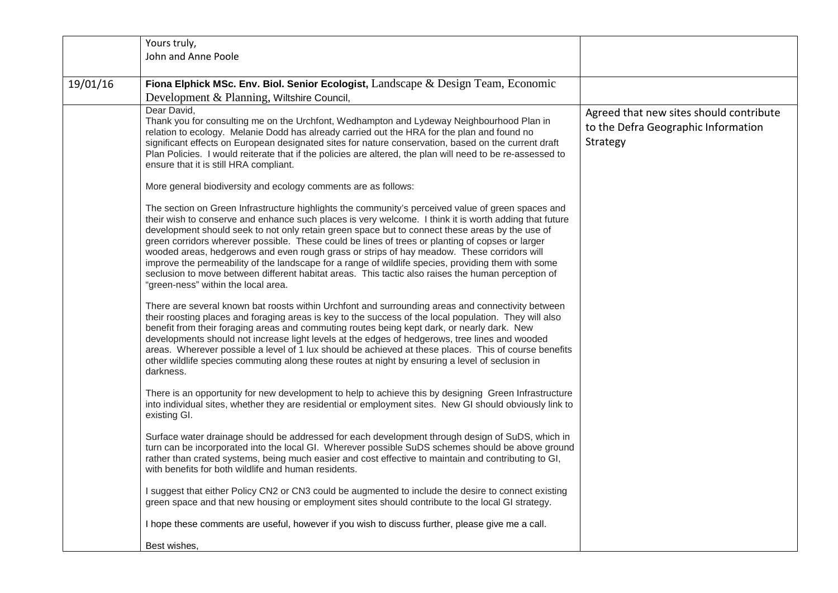|          | Yours truly,                                                                                                                                                                                                                                                                                                                                                                                                                                                                                                                                                                                                                                                                                                                                                          |                                                 |
|----------|-----------------------------------------------------------------------------------------------------------------------------------------------------------------------------------------------------------------------------------------------------------------------------------------------------------------------------------------------------------------------------------------------------------------------------------------------------------------------------------------------------------------------------------------------------------------------------------------------------------------------------------------------------------------------------------------------------------------------------------------------------------------------|-------------------------------------------------|
|          | John and Anne Poole                                                                                                                                                                                                                                                                                                                                                                                                                                                                                                                                                                                                                                                                                                                                                   |                                                 |
|          |                                                                                                                                                                                                                                                                                                                                                                                                                                                                                                                                                                                                                                                                                                                                                                       |                                                 |
| 19/01/16 | Fiona Elphick MSc. Env. Biol. Senior Ecologist, Landscape $\&$ Design Team, Economic                                                                                                                                                                                                                                                                                                                                                                                                                                                                                                                                                                                                                                                                                  |                                                 |
|          | Development & Planning, Wiltshire Council,                                                                                                                                                                                                                                                                                                                                                                                                                                                                                                                                                                                                                                                                                                                            |                                                 |
|          | Dear David,                                                                                                                                                                                                                                                                                                                                                                                                                                                                                                                                                                                                                                                                                                                                                           | Agreed that new sites should contribute         |
|          | Thank you for consulting me on the Urchfont, Wedhampton and Lydeway Neighbourhood Plan in<br>relation to ecology. Melanie Dodd has already carried out the HRA for the plan and found no<br>significant effects on European designated sites for nature conservation, based on the current draft<br>Plan Policies. I would reiterate that if the policies are altered, the plan will need to be re-assessed to<br>ensure that it is still HRA compliant.                                                                                                                                                                                                                                                                                                              | to the Defra Geographic Information<br>Strategy |
|          | More general biodiversity and ecology comments are as follows:                                                                                                                                                                                                                                                                                                                                                                                                                                                                                                                                                                                                                                                                                                        |                                                 |
|          | The section on Green Infrastructure highlights the community's perceived value of green spaces and<br>their wish to conserve and enhance such places is very welcome. I think it is worth adding that future<br>development should seek to not only retain green space but to connect these areas by the use of<br>green corridors wherever possible. These could be lines of trees or planting of copses or larger<br>wooded areas, hedgerows and even rough grass or strips of hay meadow. These corridors will<br>improve the permeability of the landscape for a range of wildlife species, providing them with some<br>seclusion to move between different habitat areas. This tactic also raises the human perception of<br>"green-ness" within the local area. |                                                 |
|          | There are several known bat roosts within Urchfont and surrounding areas and connectivity between<br>their roosting places and foraging areas is key to the success of the local population. They will also<br>benefit from their foraging areas and commuting routes being kept dark, or nearly dark. New<br>developments should not increase light levels at the edges of hedgerows, tree lines and wooded<br>areas. Wherever possible a level of 1 lux should be achieved at these places. This of course benefits<br>other wildlife species commuting along these routes at night by ensuring a level of seclusion in<br>darkness.                                                                                                                                |                                                 |
|          | There is an opportunity for new development to help to achieve this by designing Green Infrastructure<br>into individual sites, whether they are residential or employment sites. New GI should obviously link to<br>existing GI.                                                                                                                                                                                                                                                                                                                                                                                                                                                                                                                                     |                                                 |
|          | Surface water drainage should be addressed for each development through design of SuDS, which in<br>turn can be incorporated into the local GI. Wherever possible SuDS schemes should be above ground<br>rather than crated systems, being much easier and cost effective to maintain and contributing to GI,<br>with benefits for both wildlife and human residents.                                                                                                                                                                                                                                                                                                                                                                                                 |                                                 |
|          | I suggest that either Policy CN2 or CN3 could be augmented to include the desire to connect existing<br>green space and that new housing or employment sites should contribute to the local GI strategy.                                                                                                                                                                                                                                                                                                                                                                                                                                                                                                                                                              |                                                 |
|          | I hope these comments are useful, however if you wish to discuss further, please give me a call.                                                                                                                                                                                                                                                                                                                                                                                                                                                                                                                                                                                                                                                                      |                                                 |
|          | Best wishes,                                                                                                                                                                                                                                                                                                                                                                                                                                                                                                                                                                                                                                                                                                                                                          |                                                 |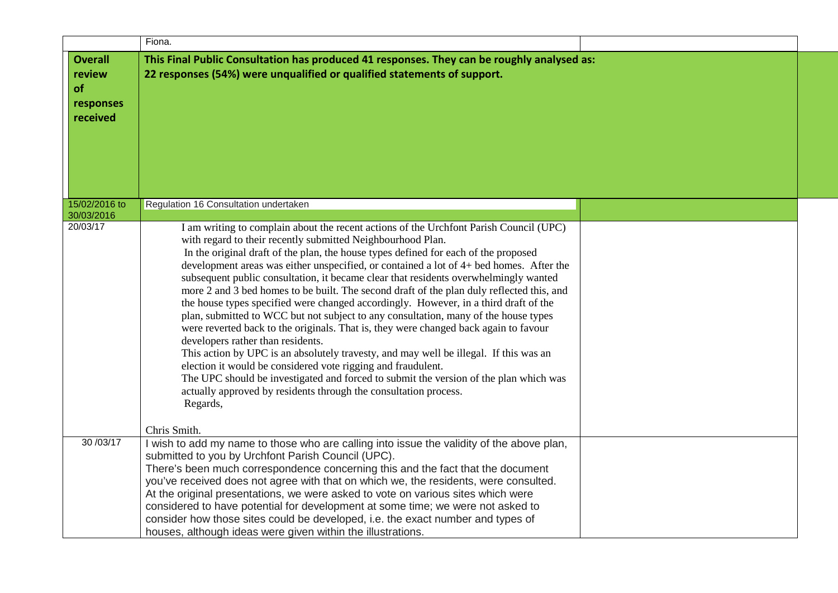|                                                         | Fiona.                                                                                                                                                                                                                                                                                                                                                                                                                                                                                                                                                                                                                                                                                                                                                                                                                                                                                                                                                                                                                                                                                                                                                                     |  |
|---------------------------------------------------------|----------------------------------------------------------------------------------------------------------------------------------------------------------------------------------------------------------------------------------------------------------------------------------------------------------------------------------------------------------------------------------------------------------------------------------------------------------------------------------------------------------------------------------------------------------------------------------------------------------------------------------------------------------------------------------------------------------------------------------------------------------------------------------------------------------------------------------------------------------------------------------------------------------------------------------------------------------------------------------------------------------------------------------------------------------------------------------------------------------------------------------------------------------------------------|--|
| <b>Overall</b><br>review<br>of<br>responses<br>received | This Final Public Consultation has produced 41 responses. They can be roughly analysed as:<br>22 responses (54%) were unqualified or qualified statements of support.                                                                                                                                                                                                                                                                                                                                                                                                                                                                                                                                                                                                                                                                                                                                                                                                                                                                                                                                                                                                      |  |
| 15/02/2016 to                                           | Regulation 16 Consultation undertaken                                                                                                                                                                                                                                                                                                                                                                                                                                                                                                                                                                                                                                                                                                                                                                                                                                                                                                                                                                                                                                                                                                                                      |  |
| 30/03/2016<br>20/03/17                                  | I am writing to complain about the recent actions of the Urchfont Parish Council (UPC)<br>with regard to their recently submitted Neighbourhood Plan.<br>In the original draft of the plan, the house types defined for each of the proposed<br>development areas was either unspecified, or contained a lot of 4+ bed homes. After the<br>subsequent public consultation, it became clear that residents overwhelmingly wanted<br>more 2 and 3 bed homes to be built. The second draft of the plan duly reflected this, and<br>the house types specified were changed accordingly. However, in a third draft of the<br>plan, submitted to WCC but not subject to any consultation, many of the house types<br>were reverted back to the originals. That is, they were changed back again to favour<br>developers rather than residents.<br>This action by UPC is an absolutely travesty, and may well be illegal. If this was an<br>election it would be considered vote rigging and fraudulent.<br>The UPC should be investigated and forced to submit the version of the plan which was<br>actually approved by residents through the consultation process.<br>Regards, |  |
| 30/03/17                                                | Chris Smith.<br>I wish to add my name to those who are calling into issue the validity of the above plan,<br>submitted to you by Urchfont Parish Council (UPC).<br>There's been much correspondence concerning this and the fact that the document<br>you've received does not agree with that on which we, the residents, were consulted.<br>At the original presentations, we were asked to vote on various sites which were<br>considered to have potential for development at some time; we were not asked to<br>consider how those sites could be developed, i.e. the exact number and types of<br>houses, although ideas were given within the illustrations.                                                                                                                                                                                                                                                                                                                                                                                                                                                                                                        |  |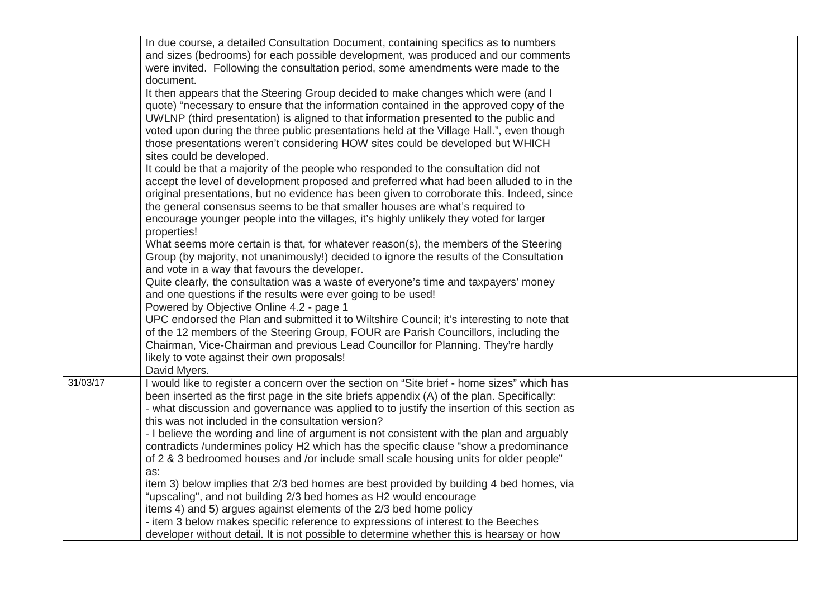|          | In due course, a detailed Consultation Document, containing specifics as to numbers<br>and sizes (bedrooms) for each possible development, was produced and our comments<br>were invited. Following the consultation period, some amendments were made to the<br>document.<br>It then appears that the Steering Group decided to make changes which were (and I<br>quote) "necessary to ensure that the information contained in the approved copy of the<br>UWLNP (third presentation) is aligned to that information presented to the public and |  |
|----------|----------------------------------------------------------------------------------------------------------------------------------------------------------------------------------------------------------------------------------------------------------------------------------------------------------------------------------------------------------------------------------------------------------------------------------------------------------------------------------------------------------------------------------------------------|--|
|          | voted upon during the three public presentations held at the Village Hall.", even though<br>those presentations weren't considering HOW sites could be developed but WHICH<br>sites could be developed.                                                                                                                                                                                                                                                                                                                                            |  |
|          | It could be that a majority of the people who responded to the consultation did not<br>accept the level of development proposed and preferred what had been alluded to in the<br>original presentations, but no evidence has been given to corroborate this. Indeed, since<br>the general consensus seems to be that smaller houses are what's required to<br>encourage younger people into the villages, it's highly unlikely they voted for larger                                                                                               |  |
|          | properties!<br>What seems more certain is that, for whatever reason(s), the members of the Steering<br>Group (by majority, not unanimously!) decided to ignore the results of the Consultation<br>and vote in a way that favours the developer.                                                                                                                                                                                                                                                                                                    |  |
|          | Quite clearly, the consultation was a waste of everyone's time and taxpayers' money<br>and one questions if the results were ever going to be used!<br>Powered by Objective Online 4.2 - page 1                                                                                                                                                                                                                                                                                                                                                    |  |
|          | UPC endorsed the Plan and submitted it to Wiltshire Council; it's interesting to note that<br>of the 12 members of the Steering Group, FOUR are Parish Councillors, including the<br>Chairman, Vice-Chairman and previous Lead Councillor for Planning. They're hardly<br>likely to vote against their own proposals!<br>David Myers.                                                                                                                                                                                                              |  |
| 31/03/17 | I would like to register a concern over the section on "Site brief - home sizes" which has<br>been inserted as the first page in the site briefs appendix (A) of the plan. Specifically:<br>- what discussion and governance was applied to to justify the insertion of this section as<br>this was not included in the consultation version?                                                                                                                                                                                                      |  |
|          | - I believe the wording and line of argument is not consistent with the plan and arguably<br>contradicts /undermines policy H2 which has the specific clause "show a predominance<br>of 2 & 3 bedroomed houses and /or include small scale housing units for older people"                                                                                                                                                                                                                                                                         |  |
|          | as:<br>item 3) below implies that 2/3 bed homes are best provided by building 4 bed homes, via<br>"upscaling", and not building 2/3 bed homes as H2 would encourage                                                                                                                                                                                                                                                                                                                                                                                |  |
|          | items 4) and 5) argues against elements of the 2/3 bed home policy<br>- item 3 below makes specific reference to expressions of interest to the Beeches<br>developer without detail. It is not possible to determine whether this is hearsay or how                                                                                                                                                                                                                                                                                                |  |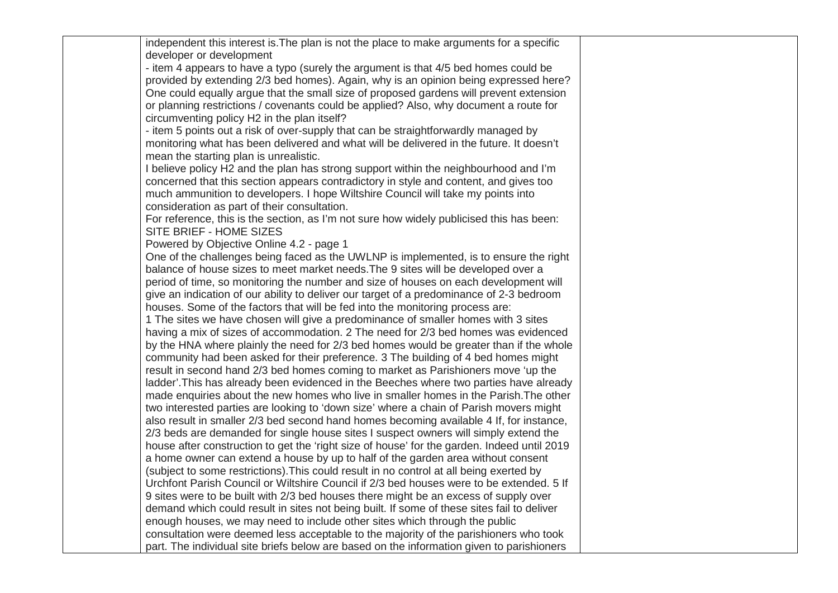| independent this interest is. The plan is not the place to make arguments for a specific                                                                                           |  |
|------------------------------------------------------------------------------------------------------------------------------------------------------------------------------------|--|
| developer or development<br>- item 4 appears to have a typo (surely the argument is that 4/5 bed homes could be                                                                    |  |
| provided by extending 2/3 bed homes). Again, why is an opinion being expressed here?                                                                                               |  |
| One could equally argue that the small size of proposed gardens will prevent extension                                                                                             |  |
| or planning restrictions / covenants could be applied? Also, why document a route for                                                                                              |  |
| circumventing policy H2 in the plan itself?                                                                                                                                        |  |
| - item 5 points out a risk of over-supply that can be straightforwardly managed by                                                                                                 |  |
| monitoring what has been delivered and what will be delivered in the future. It doesn't                                                                                            |  |
| mean the starting plan is unrealistic.                                                                                                                                             |  |
| I believe policy H2 and the plan has strong support within the neighbourhood and I'm                                                                                               |  |
| concerned that this section appears contradictory in style and content, and gives too                                                                                              |  |
| much ammunition to developers. I hope Wiltshire Council will take my points into                                                                                                   |  |
| consideration as part of their consultation.                                                                                                                                       |  |
| For reference, this is the section, as I'm not sure how widely publicised this has been:                                                                                           |  |
| SITE BRIEF - HOME SIZES                                                                                                                                                            |  |
| Powered by Objective Online 4.2 - page 1                                                                                                                                           |  |
| One of the challenges being faced as the UWLNP is implemented, is to ensure the right                                                                                              |  |
| balance of house sizes to meet market needs. The 9 sites will be developed over a<br>period of time, so monitoring the number and size of houses on each development will          |  |
| give an indication of our ability to deliver our target of a predominance of 2-3 bedroom                                                                                           |  |
| houses. Some of the factors that will be fed into the monitoring process are:                                                                                                      |  |
| 1 The sites we have chosen will give a predominance of smaller homes with 3 sites                                                                                                  |  |
| having a mix of sizes of accommodation. 2 The need for 2/3 bed homes was evidenced                                                                                                 |  |
| by the HNA where plainly the need for 2/3 bed homes would be greater than if the whole                                                                                             |  |
| community had been asked for their preference. 3 The building of 4 bed homes might                                                                                                 |  |
| result in second hand 2/3 bed homes coming to market as Parishioners move 'up the                                                                                                  |  |
| ladder'. This has already been evidenced in the Beeches where two parties have already                                                                                             |  |
| made enquiries about the new homes who live in smaller homes in the Parish. The other                                                                                              |  |
| two interested parties are looking to 'down size' where a chain of Parish movers might                                                                                             |  |
| also result in smaller 2/3 bed second hand homes becoming available 4 If, for instance,                                                                                            |  |
| 2/3 beds are demanded for single house sites I suspect owners will simply extend the                                                                                               |  |
| house after construction to get the 'right size of house' for the garden. Indeed until 2019                                                                                        |  |
| a home owner can extend a house by up to half of the garden area without consent                                                                                                   |  |
| (subject to some restrictions). This could result in no control at all being exerted by                                                                                            |  |
| Urchfont Parish Council or Wiltshire Council if 2/3 bed houses were to be extended. 5 If                                                                                           |  |
| 9 sites were to be built with 2/3 bed houses there might be an excess of supply over                                                                                               |  |
| demand which could result in sites not being built. If some of these sites fail to deliver                                                                                         |  |
| enough houses, we may need to include other sites which through the public                                                                                                         |  |
| consultation were deemed less acceptable to the majority of the parishioners who took<br>part. The individual site briefs below are based on the information given to parishioners |  |
|                                                                                                                                                                                    |  |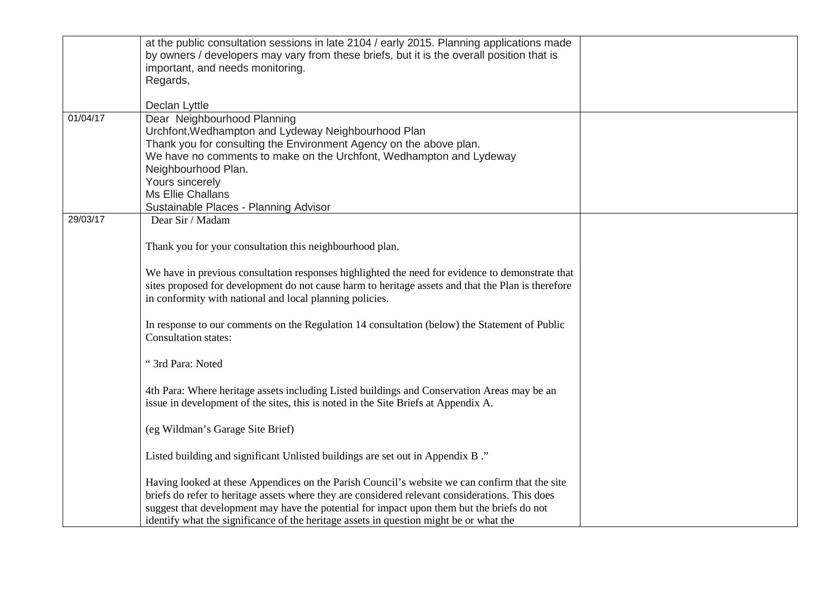|          | at the public consultation sessions in late 2104 / early 2015. Planning applications made<br>by owners / developers may vary from these briefs, but it is the overall position that is<br>important, and needs monitoring.<br>Regards,<br>Declan Lyttle                                                                                                                                   |  |
|----------|-------------------------------------------------------------------------------------------------------------------------------------------------------------------------------------------------------------------------------------------------------------------------------------------------------------------------------------------------------------------------------------------|--|
| 01/04/17 | Dear Neighbourhood Planning<br>Urchfont, Wedhampton and Lydeway Neighbourhood Plan                                                                                                                                                                                                                                                                                                        |  |
|          | Thank you for consulting the Environment Agency on the above plan.<br>We have no comments to make on the Urchfont, Wedhampton and Lydeway<br>Neighbourhood Plan.<br>Yours sincerely                                                                                                                                                                                                       |  |
|          | Ms Ellie Challans                                                                                                                                                                                                                                                                                                                                                                         |  |
| 29/03/17 | Sustainable Places - Planning Advisor<br>Dear Sir / Madam                                                                                                                                                                                                                                                                                                                                 |  |
|          | Thank you for your consultation this neighbourhood plan.                                                                                                                                                                                                                                                                                                                                  |  |
|          | We have in previous consultation responses highlighted the need for evidence to demonstrate that<br>sites proposed for development do not cause harm to heritage assets and that the Plan is therefore<br>in conformity with national and local planning policies.                                                                                                                        |  |
|          | In response to our comments on the Regulation 14 consultation (below) the Statement of Public<br>Consultation states:                                                                                                                                                                                                                                                                     |  |
|          | "3rd Para: Noted                                                                                                                                                                                                                                                                                                                                                                          |  |
|          | 4th Para: Where heritage assets including Listed buildings and Conservation Areas may be an<br>issue in development of the sites, this is noted in the Site Briefs at Appendix A.                                                                                                                                                                                                         |  |
|          | (eg Wildman's Garage Site Brief)                                                                                                                                                                                                                                                                                                                                                          |  |
|          | Listed building and significant Unlisted buildings are set out in Appendix B."                                                                                                                                                                                                                                                                                                            |  |
|          | Having looked at these Appendices on the Parish Council's website we can confirm that the site<br>briefs do refer to heritage assets where they are considered relevant considerations. This does<br>suggest that development may have the potential for impact upon them but the briefs do not<br>identify what the significance of the heritage assets in question might be or what the |  |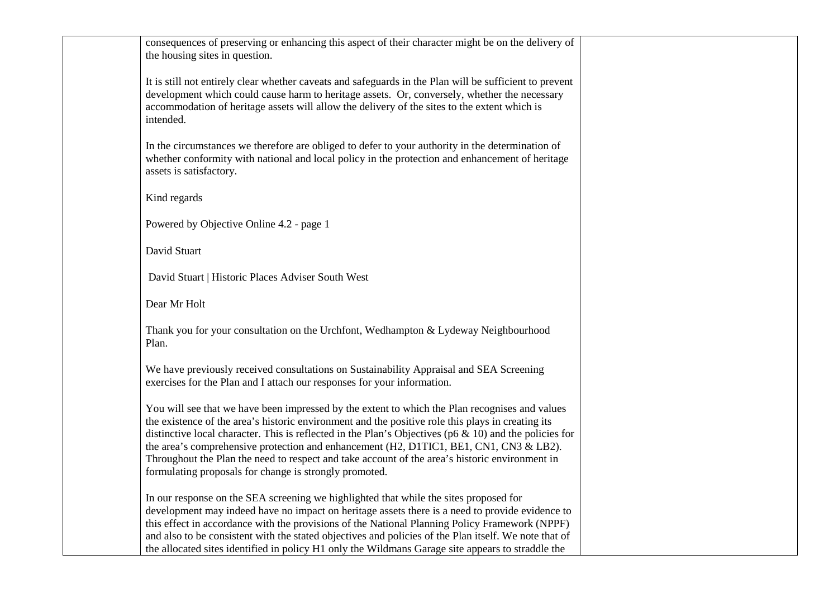| consequences of preserving or enhancing this aspect of their character might be on the delivery of<br>the housing sites in question.                                                                                                                                                                                                                                                                                                                                                                                                                                     |  |
|--------------------------------------------------------------------------------------------------------------------------------------------------------------------------------------------------------------------------------------------------------------------------------------------------------------------------------------------------------------------------------------------------------------------------------------------------------------------------------------------------------------------------------------------------------------------------|--|
| It is still not entirely clear whether caveats and safeguards in the Plan will be sufficient to prevent<br>development which could cause harm to heritage assets. Or, conversely, whether the necessary<br>accommodation of heritage assets will allow the delivery of the sites to the extent which is<br>intended.                                                                                                                                                                                                                                                     |  |
| In the circumstances we therefore are obliged to defer to your authority in the determination of<br>whether conformity with national and local policy in the protection and enhancement of heritage<br>assets is satisfactory.                                                                                                                                                                                                                                                                                                                                           |  |
| Kind regards                                                                                                                                                                                                                                                                                                                                                                                                                                                                                                                                                             |  |
| Powered by Objective Online 4.2 - page 1                                                                                                                                                                                                                                                                                                                                                                                                                                                                                                                                 |  |
| David Stuart                                                                                                                                                                                                                                                                                                                                                                                                                                                                                                                                                             |  |
| David Stuart   Historic Places Adviser South West                                                                                                                                                                                                                                                                                                                                                                                                                                                                                                                        |  |
| Dear Mr Holt                                                                                                                                                                                                                                                                                                                                                                                                                                                                                                                                                             |  |
| Thank you for your consultation on the Urchfont, Wedhampton & Lydeway Neighbourhood<br>Plan.                                                                                                                                                                                                                                                                                                                                                                                                                                                                             |  |
| We have previously received consultations on Sustainability Appraisal and SEA Screening<br>exercises for the Plan and I attach our responses for your information.                                                                                                                                                                                                                                                                                                                                                                                                       |  |
| You will see that we have been impressed by the extent to which the Plan recognises and values<br>the existence of the area's historic environment and the positive role this plays in creating its<br>distinctive local character. This is reflected in the Plan's Objectives ( $p6 \& 10$ ) and the policies for<br>the area's comprehensive protection and enhancement (H2, D1TIC1, BE1, CN1, CN3 & LB2).<br>Throughout the Plan the need to respect and take account of the area's historic environment in<br>formulating proposals for change is strongly promoted. |  |
| In our response on the SEA screening we highlighted that while the sites proposed for<br>development may indeed have no impact on heritage assets there is a need to provide evidence to<br>this effect in accordance with the provisions of the National Planning Policy Framework (NPPF)<br>and also to be consistent with the stated objectives and policies of the Plan itself. We note that of<br>the allocated sites identified in policy H1 only the Wildmans Garage site appears to straddle the                                                                 |  |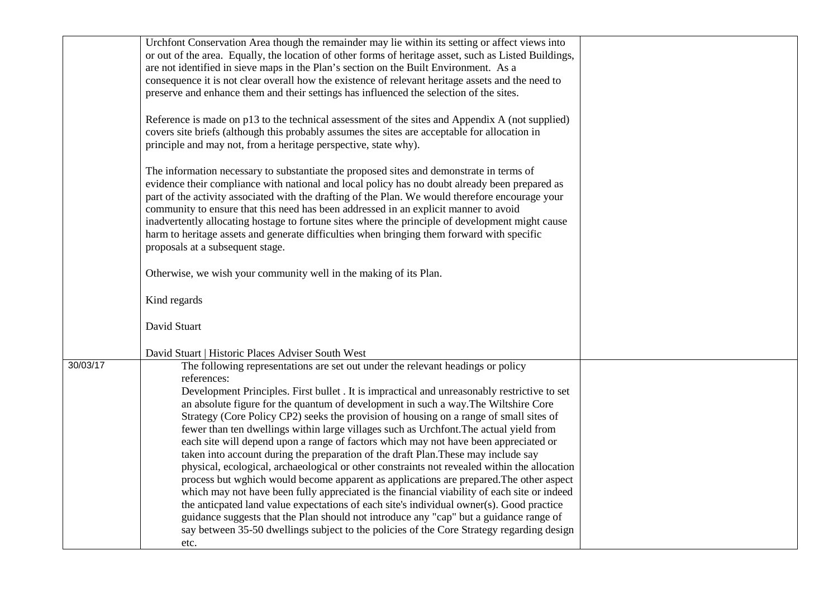|          | Urchfont Conservation Area though the remainder may lie within its setting or affect views into       |  |
|----------|-------------------------------------------------------------------------------------------------------|--|
|          | or out of the area. Equally, the location of other forms of heritage asset, such as Listed Buildings, |  |
|          | are not identified in sieve maps in the Plan's section on the Built Environment. As a                 |  |
|          |                                                                                                       |  |
|          | consequence it is not clear overall how the existence of relevant heritage assets and the need to     |  |
|          | preserve and enhance them and their settings has influenced the selection of the sites.               |  |
|          |                                                                                                       |  |
|          | Reference is made on p13 to the technical assessment of the sites and Appendix A (not supplied)       |  |
|          | covers site briefs (although this probably assumes the sites are acceptable for allocation in         |  |
|          | principle and may not, from a heritage perspective, state why).                                       |  |
|          |                                                                                                       |  |
|          | The information necessary to substantiate the proposed sites and demonstrate in terms of              |  |
|          | evidence their compliance with national and local policy has no doubt already been prepared as        |  |
|          | part of the activity associated with the drafting of the Plan. We would therefore encourage your      |  |
|          | community to ensure that this need has been addressed in an explicit manner to avoid                  |  |
|          | inadvertently allocating hostage to fortune sites where the principle of development might cause      |  |
|          | harm to heritage assets and generate difficulties when bringing them forward with specific            |  |
|          | proposals at a subsequent stage.                                                                      |  |
|          |                                                                                                       |  |
|          | Otherwise, we wish your community well in the making of its Plan.                                     |  |
|          |                                                                                                       |  |
|          | Kind regards                                                                                          |  |
|          |                                                                                                       |  |
|          | David Stuart                                                                                          |  |
|          |                                                                                                       |  |
|          |                                                                                                       |  |
| 30/03/17 | David Stuart   Historic Places Adviser South West                                                     |  |
|          | The following representations are set out under the relevant headings or policy                       |  |
|          | references:                                                                                           |  |
|          | Development Principles. First bullet . It is impractical and unreasonably restrictive to set          |  |
|          | an absolute figure for the quantum of development in such a way. The Wiltshire Core                   |  |
|          | Strategy (Core Policy CP2) seeks the provision of housing on a range of small sites of                |  |
|          | fewer than ten dwellings within large villages such as Urchfont. The actual yield from                |  |
|          | each site will depend upon a range of factors which may not have been appreciated or                  |  |
|          | taken into account during the preparation of the draft Plan. These may include say                    |  |
|          | physical, ecological, archaeological or other constraints not revealed within the allocation          |  |
|          | process but wghich would become apparent as applications are prepared. The other aspect               |  |
|          | which may not have been fully appreciated is the financial viability of each site or indeed           |  |
|          | the anticpated land value expectations of each site's individual owner(s). Good practice              |  |
|          | guidance suggests that the Plan should not introduce any "cap" but a guidance range of                |  |
|          | say between 35-50 dwellings subject to the policies of the Core Strategy regarding design             |  |
|          | etc.                                                                                                  |  |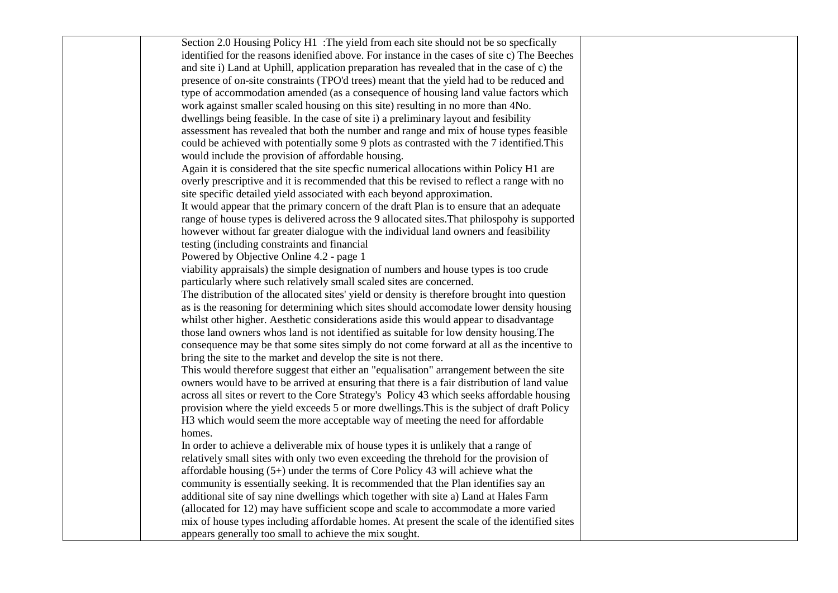| Section 2.0 Housing Policy H1 : The yield from each site should not be so specfically        |  |
|----------------------------------------------------------------------------------------------|--|
| identified for the reasons idenified above. For instance in the cases of site c) The Beeches |  |
| and site i) Land at Uphill, application preparation has revealed that in the case of c) the  |  |
| presence of on-site constraints (TPO'd trees) meant that the yield had to be reduced and     |  |
| type of accommodation amended (as a consequence of housing land value factors which          |  |
| work against smaller scaled housing on this site) resulting in no more than 4No.             |  |
| dwellings being feasible. In the case of site i) a preliminary layout and fesibility         |  |
| assessment has revealed that both the number and range and mix of house types feasible       |  |
| could be achieved with potentially some 9 plots as contrasted with the 7 identified. This    |  |
| would include the provision of affordable housing.                                           |  |
| Again it is considered that the site specfic numerical allocations within Policy H1 are      |  |
| overly prescriptive and it is recommended that this be revised to reflect a range with no    |  |
| site specific detailed yield associated with each beyond approximation.                      |  |
| It would appear that the primary concern of the draft Plan is to ensure that an adequate     |  |
| range of house types is delivered across the 9 allocated sites. That philospohy is supported |  |
| however without far greater dialogue with the individual land owners and feasibility         |  |
| testing (including constraints and financial                                                 |  |
| Powered by Objective Online 4.2 - page 1                                                     |  |
| viability appraisals) the simple designation of numbers and house types is too crude         |  |
| particularly where such relatively small scaled sites are concerned.                         |  |
| The distribution of the allocated sites' yield or density is therefore brought into question |  |
| as is the reasoning for determining which sites should accomodate lower density housing      |  |
| whilst other higher. Aesthetic considerations aside this would appear to disadvantage        |  |
| those land owners whos land is not identified as suitable for low density housing. The       |  |
| consequence may be that some sites simply do not come forward at all as the incentive to     |  |
| bring the site to the market and develop the site is not there.                              |  |
| This would therefore suggest that either an "equalisation" arrangement between the site      |  |
| owners would have to be arrived at ensuring that there is a fair distribution of land value  |  |
| across all sites or revert to the Core Strategy's Policy 43 which seeks affordable housing   |  |
| provision where the yield exceeds 5 or more dwellings. This is the subject of draft Policy   |  |
| H3 which would seem the more acceptable way of meeting the need for affordable               |  |
| homes.                                                                                       |  |
| In order to achieve a deliverable mix of house types it is unlikely that a range of          |  |
| relatively small sites with only two even exceeding the threhold for the provision of        |  |
| affordable housing $(5+)$ under the terms of Core Policy 43 will achieve what the            |  |
| community is essentially seeking. It is recommended that the Plan identifies say an          |  |
| additional site of say nine dwellings which together with site a) Land at Hales Farm         |  |
| (allocated for 12) may have sufficient scope and scale to accommodate a more varied          |  |
| mix of house types including affordable homes. At present the scale of the identified sites  |  |
| appears generally too small to achieve the mix sought.                                       |  |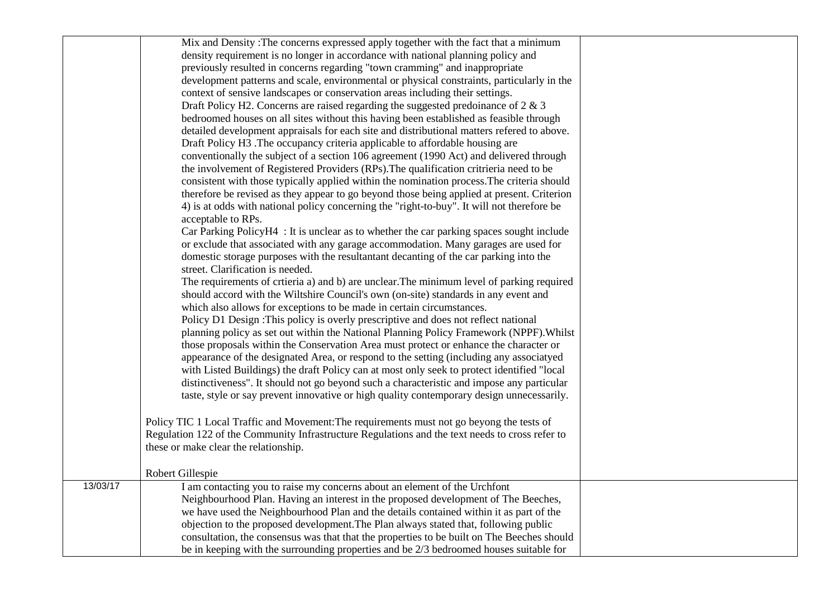|          | Mix and Density: The concerns expressed apply together with the fact that a minimum             |  |
|----------|-------------------------------------------------------------------------------------------------|--|
|          | density requirement is no longer in accordance with national planning policy and                |  |
|          | previously resulted in concerns regarding "town cramming" and inappropriate                     |  |
|          | development patterns and scale, environmental or physical constraints, particularly in the      |  |
|          | context of sensive landscapes or conservation areas including their settings.                   |  |
|          | Draft Policy H2. Concerns are raised regarding the suggested predoinance of $2 \& 3$            |  |
|          | bedroomed houses on all sites without this having been established as feasible through          |  |
|          | detailed development appraisals for each site and distributional matters refered to above.      |  |
|          | Draft Policy H3 .The occupancy criteria applicable to affordable housing are                    |  |
|          | conventionally the subject of a section 106 agreement (1990 Act) and delivered through          |  |
|          | the involvement of Registered Providers (RPs). The qualification critrieria need to be          |  |
|          | consistent with those typically applied within the nomination process. The criteria should      |  |
|          | therefore be revised as they appear to go beyond those being applied at present. Criterion      |  |
|          | 4) is at odds with national policy concerning the "right-to-buy". It will not therefore be      |  |
|          | acceptable to RPs.                                                                              |  |
|          | Car Parking PolicyH4 : It is unclear as to whether the car parking spaces sought include        |  |
|          | or exclude that associated with any garage accommodation. Many garages are used for             |  |
|          | domestic storage purposes with the resultant ant decanting of the car parking into the          |  |
|          | street. Clarification is needed.                                                                |  |
|          | The requirements of crtieria a) and b) are unclear. The minimum level of parking required       |  |
|          | should accord with the Wiltshire Council's own (on-site) standards in any event and             |  |
|          | which also allows for exceptions to be made in certain circumstances.                           |  |
|          | Policy D1 Design : This policy is overly prescriptive and does not reflect national             |  |
|          | planning policy as set out within the National Planning Policy Framework (NPPF). Whilst         |  |
|          | those proposals within the Conservation Area must protect or enhance the character or           |  |
|          | appearance of the designated Area, or respond to the setting (including any associatyed         |  |
|          | with Listed Buildings) the draft Policy can at most only seek to protect identified "local      |  |
|          | distinctiveness". It should not go beyond such a characteristic and impose any particular       |  |
|          | taste, style or say prevent innovative or high quality contemporary design unnecessarily.       |  |
|          |                                                                                                 |  |
|          | Policy TIC 1 Local Traffic and Movement: The requirements must not go beyong the tests of       |  |
|          | Regulation 122 of the Community Infrastructure Regulations and the text needs to cross refer to |  |
|          | these or make clear the relationship.                                                           |  |
|          |                                                                                                 |  |
|          | <b>Robert Gillespie</b>                                                                         |  |
| 13/03/17 | I am contacting you to raise my concerns about an element of the Urchfont                       |  |
|          | Neighbourhood Plan. Having an interest in the proposed development of The Beeches,              |  |
|          | we have used the Neighbourhood Plan and the details contained within it as part of the          |  |
|          | objection to the proposed development. The Plan always stated that, following public            |  |
|          | consultation, the consensus was that that the properties to be built on The Beeches should      |  |
|          | be in keeping with the surrounding properties and be 2/3 bedroomed houses suitable for          |  |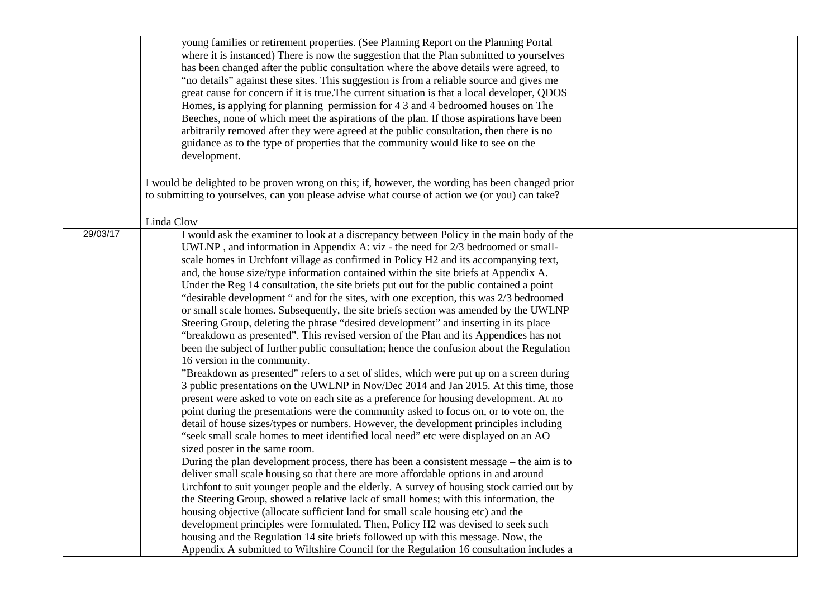|          | young families or retirement properties. (See Planning Report on the Planning Portal<br>where it is instanced) There is now the suggestion that the Plan submitted to yourselves<br>has been changed after the public consultation where the above details were agreed, to<br>"no details" against these sites. This suggestion is from a reliable source and gives me<br>great cause for concern if it is true. The current situation is that a local developer, QDOS<br>Homes, is applying for planning permission for 4.3 and 4 bedroomed houses on The<br>Beeches, none of which meet the aspirations of the plan. If those aspirations have been<br>arbitrarily removed after they were agreed at the public consultation, then there is no<br>guidance as to the type of properties that the community would like to see on the<br>development.                                                                                                                                                                                                                                                                                                                                                                        |  |
|----------|------------------------------------------------------------------------------------------------------------------------------------------------------------------------------------------------------------------------------------------------------------------------------------------------------------------------------------------------------------------------------------------------------------------------------------------------------------------------------------------------------------------------------------------------------------------------------------------------------------------------------------------------------------------------------------------------------------------------------------------------------------------------------------------------------------------------------------------------------------------------------------------------------------------------------------------------------------------------------------------------------------------------------------------------------------------------------------------------------------------------------------------------------------------------------------------------------------------------------|--|
|          | I would be delighted to be proven wrong on this; if, however, the wording has been changed prior<br>to submitting to yourselves, can you please advise what course of action we (or you) can take?                                                                                                                                                                                                                                                                                                                                                                                                                                                                                                                                                                                                                                                                                                                                                                                                                                                                                                                                                                                                                           |  |
|          | Linda Clow                                                                                                                                                                                                                                                                                                                                                                                                                                                                                                                                                                                                                                                                                                                                                                                                                                                                                                                                                                                                                                                                                                                                                                                                                   |  |
| 29/03/17 | I would ask the examiner to look at a discrepancy between Policy in the main body of the<br>UWLNP, and information in Appendix A: viz - the need for 2/3 bedroomed or small-<br>scale homes in Urchfont village as confirmed in Policy H2 and its accompanying text,<br>and, the house size/type information contained within the site briefs at Appendix A.<br>Under the Reg 14 consultation, the site briefs put out for the public contained a point<br>"desirable development" and for the sites, with one exception, this was 2/3 bedroomed<br>or small scale homes. Subsequently, the site briefs section was amended by the UWLNP<br>Steering Group, deleting the phrase "desired development" and inserting in its place<br>"breakdown as presented". This revised version of the Plan and its Appendices has not<br>been the subject of further public consultation; hence the confusion about the Regulation<br>16 version in the community.<br>"Breakdown as presented" refers to a set of slides, which were put up on a screen during                                                                                                                                                                           |  |
|          | 3 public presentations on the UWLNP in Nov/Dec 2014 and Jan 2015. At this time, those<br>present were asked to vote on each site as a preference for housing development. At no<br>point during the presentations were the community asked to focus on, or to vote on, the<br>detail of house sizes/types or numbers. However, the development principles including<br>"seek small scale homes to meet identified local need" etc were displayed on an AO<br>sized poster in the same room.<br>During the plan development process, there has been a consistent message – the aim is to<br>deliver small scale housing so that there are more affordable options in and around<br>Urchfont to suit younger people and the elderly. A survey of housing stock carried out by<br>the Steering Group, showed a relative lack of small homes; with this information, the<br>housing objective (allocate sufficient land for small scale housing etc) and the<br>development principles were formulated. Then, Policy H2 was devised to seek such<br>housing and the Regulation 14 site briefs followed up with this message. Now, the<br>Appendix A submitted to Wiltshire Council for the Regulation 16 consultation includes a |  |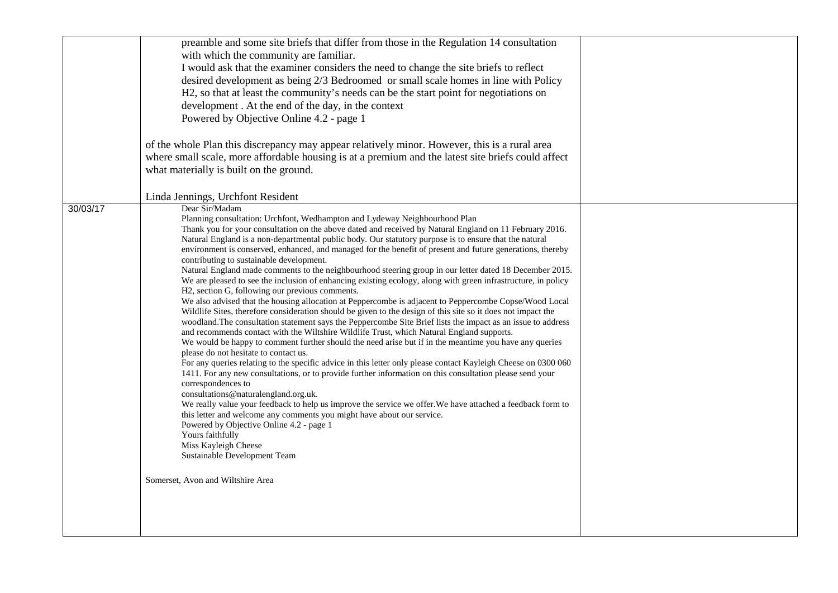|          | preamble and some site briefs that differ from those in the Regulation 14 consultation<br>with which the community are familiar.<br>I would ask that the examiner considers the need to change the site briefs to reflect<br>desired development as being 2/3 Bedroomed or small scale homes in line with Policy<br>H2, so that at least the community's needs can be the start point for negotiations on<br>development. At the end of the day, in the context<br>Powered by Objective Online 4.2 - page 1                                                                                                                                                                                                                                                                                                                                                                                                                                                                                                                                                                                                                                                                                                                                                                                                                                                                                                                                                                                                                                                                                                                                                                                                                                                                                                                                                                                                                                                                                           |  |
|----------|-------------------------------------------------------------------------------------------------------------------------------------------------------------------------------------------------------------------------------------------------------------------------------------------------------------------------------------------------------------------------------------------------------------------------------------------------------------------------------------------------------------------------------------------------------------------------------------------------------------------------------------------------------------------------------------------------------------------------------------------------------------------------------------------------------------------------------------------------------------------------------------------------------------------------------------------------------------------------------------------------------------------------------------------------------------------------------------------------------------------------------------------------------------------------------------------------------------------------------------------------------------------------------------------------------------------------------------------------------------------------------------------------------------------------------------------------------------------------------------------------------------------------------------------------------------------------------------------------------------------------------------------------------------------------------------------------------------------------------------------------------------------------------------------------------------------------------------------------------------------------------------------------------------------------------------------------------------------------------------------------------|--|
|          | of the whole Plan this discrepancy may appear relatively minor. However, this is a rural area<br>where small scale, more affordable housing is at a premium and the latest site briefs could affect<br>what materially is built on the ground.                                                                                                                                                                                                                                                                                                                                                                                                                                                                                                                                                                                                                                                                                                                                                                                                                                                                                                                                                                                                                                                                                                                                                                                                                                                                                                                                                                                                                                                                                                                                                                                                                                                                                                                                                        |  |
|          | Linda Jennings, Urchfont Resident                                                                                                                                                                                                                                                                                                                                                                                                                                                                                                                                                                                                                                                                                                                                                                                                                                                                                                                                                                                                                                                                                                                                                                                                                                                                                                                                                                                                                                                                                                                                                                                                                                                                                                                                                                                                                                                                                                                                                                     |  |
| 30/03/17 | Dear Sir/Madam<br>Planning consultation: Urchfont, Wedhampton and Lydeway Neighbourhood Plan<br>Thank you for your consultation on the above dated and received by Natural England on 11 February 2016.<br>Natural England is a non-departmental public body. Our statutory purpose is to ensure that the natural<br>environment is conserved, enhanced, and managed for the benefit of present and future generations, thereby<br>contributing to sustainable development.<br>Natural England made comments to the neighbourhood steering group in our letter dated 18 December 2015.<br>We are pleased to see the inclusion of enhancing existing ecology, along with green infrastructure, in policy<br>H2, section G, following our previous comments.<br>We also advised that the housing allocation at Peppercombe is adjacent to Peppercombe Copse/Wood Local<br>Wildlife Sites, therefore consideration should be given to the design of this site so it does not impact the<br>woodland. The consultation statement says the Peppercombe Site Brief lists the impact as an issue to address<br>and recommends contact with the Wiltshire Wildlife Trust, which Natural England supports.<br>We would be happy to comment further should the need arise but if in the meantime you have any queries<br>please do not hesitate to contact us.<br>For any queries relating to the specific advice in this letter only please contact Kayleigh Cheese on 0300 060<br>1411. For any new consultations, or to provide further information on this consultation please send your<br>correspondences to<br>consultations@naturalengland.org.uk.<br>We really value your feedback to help us improve the service we offer. We have attached a feedback form to<br>this letter and welcome any comments you might have about our service.<br>Powered by Objective Online 4.2 - page 1<br>Yours faithfully<br>Miss Kayleigh Cheese<br>Sustainable Development Team<br>Somerset, Avon and Wiltshire Area |  |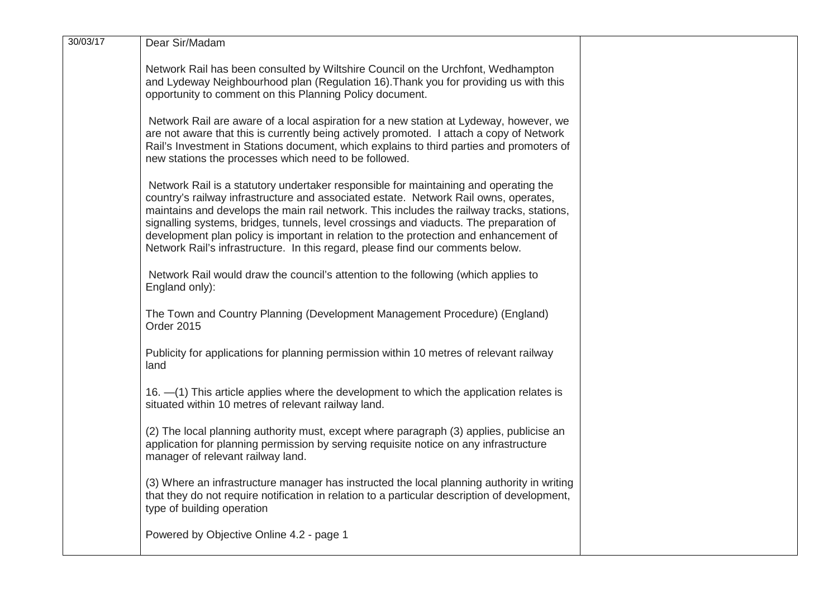| 30/03/17 | Dear Sir/Madam                                                                                                                                                                                                                                                                                                                                                                                                                                                                                                                                 |  |
|----------|------------------------------------------------------------------------------------------------------------------------------------------------------------------------------------------------------------------------------------------------------------------------------------------------------------------------------------------------------------------------------------------------------------------------------------------------------------------------------------------------------------------------------------------------|--|
|          | Network Rail has been consulted by Wiltshire Council on the Urchfont, Wedhampton<br>and Lydeway Neighbourhood plan (Regulation 16). Thank you for providing us with this<br>opportunity to comment on this Planning Policy document.                                                                                                                                                                                                                                                                                                           |  |
|          | Network Rail are aware of a local aspiration for a new station at Lydeway, however, we<br>are not aware that this is currently being actively promoted. I attach a copy of Network<br>Rail's Investment in Stations document, which explains to third parties and promoters of<br>new stations the processes which need to be followed.                                                                                                                                                                                                        |  |
|          | Network Rail is a statutory undertaker responsible for maintaining and operating the<br>country's railway infrastructure and associated estate. Network Rail owns, operates,<br>maintains and develops the main rail network. This includes the railway tracks, stations,<br>signalling systems, bridges, tunnels, level crossings and viaducts. The preparation of<br>development plan policy is important in relation to the protection and enhancement of<br>Network Rail's infrastructure. In this regard, please find our comments below. |  |
|          | Network Rail would draw the council's attention to the following (which applies to<br>England only):                                                                                                                                                                                                                                                                                                                                                                                                                                           |  |
|          | The Town and Country Planning (Development Management Procedure) (England)<br><b>Order 2015</b>                                                                                                                                                                                                                                                                                                                                                                                                                                                |  |
|          | Publicity for applications for planning permission within 10 metres of relevant railway<br>land                                                                                                                                                                                                                                                                                                                                                                                                                                                |  |
|          | 16. - (1) This article applies where the development to which the application relates is<br>situated within 10 metres of relevant railway land.                                                                                                                                                                                                                                                                                                                                                                                                |  |
|          | (2) The local planning authority must, except where paragraph (3) applies, publicise an<br>application for planning permission by serving requisite notice on any infrastructure<br>manager of relevant railway land.                                                                                                                                                                                                                                                                                                                          |  |
|          | (3) Where an infrastructure manager has instructed the local planning authority in writing<br>that they do not require notification in relation to a particular description of development,<br>type of building operation                                                                                                                                                                                                                                                                                                                      |  |
|          | Powered by Objective Online 4.2 - page 1                                                                                                                                                                                                                                                                                                                                                                                                                                                                                                       |  |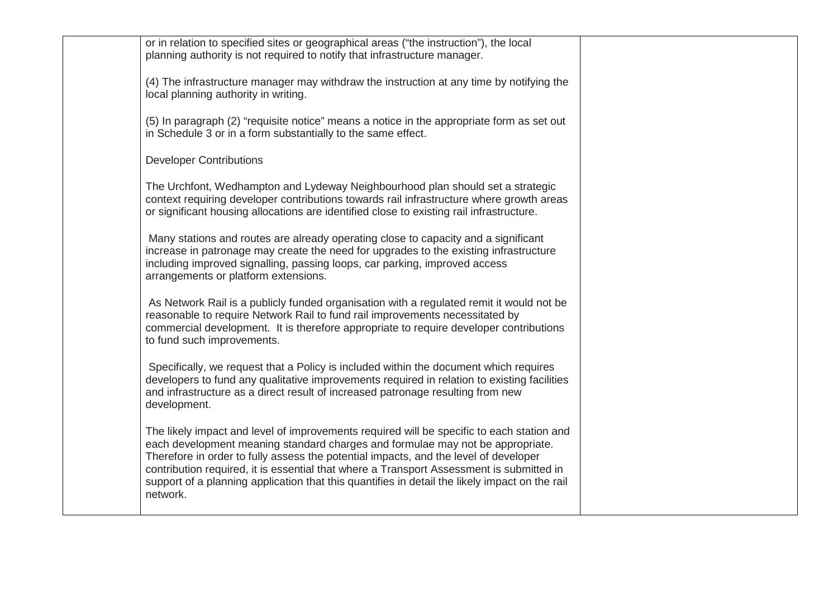| or in relation to specified sites or geographical areas ("the instruction"), the local<br>planning authority is not required to notify that infrastructure manager.<br>(4) The infrastructure manager may withdraw the instruction at any time by notifying the<br>local planning authority in writing.<br>(5) In paragraph (2) "requisite notice" means a notice in the appropriate form as set out<br>in Schedule 3 or in a form substantially to the same effect.<br><b>Developer Contributions</b><br>The Urchfont, Wedhampton and Lydeway Neighbourhood plan should set a strategic<br>context requiring developer contributions towards rail infrastructure where growth areas<br>or significant housing allocations are identified close to existing rail infrastructure.<br>Many stations and routes are already operating close to capacity and a significant<br>increase in patronage may create the need for upgrades to the existing infrastructure<br>including improved signalling, passing loops, car parking, improved access<br>arrangements or platform extensions.<br>As Network Rail is a publicly funded organisation with a regulated remit it would not be<br>reasonable to require Network Rail to fund rail improvements necessitated by<br>commercial development. It is therefore appropriate to require developer contributions<br>to fund such improvements.<br>Specifically, we request that a Policy is included within the document which requires<br>developers to fund any qualitative improvements required in relation to existing facilities<br>and infrastructure as a direct result of increased patronage resulting from new<br>development.<br>The likely impact and level of improvements required will be specific to each station and<br>each development meaning standard charges and formulae may not be appropriate.<br>Therefore in order to fully assess the potential impacts, and the level of developer<br>contribution required, it is essential that where a Transport Assessment is submitted in<br>support of a planning application that this quantifies in detail the likely impact on the rail<br>network. |  |  |
|-----------------------------------------------------------------------------------------------------------------------------------------------------------------------------------------------------------------------------------------------------------------------------------------------------------------------------------------------------------------------------------------------------------------------------------------------------------------------------------------------------------------------------------------------------------------------------------------------------------------------------------------------------------------------------------------------------------------------------------------------------------------------------------------------------------------------------------------------------------------------------------------------------------------------------------------------------------------------------------------------------------------------------------------------------------------------------------------------------------------------------------------------------------------------------------------------------------------------------------------------------------------------------------------------------------------------------------------------------------------------------------------------------------------------------------------------------------------------------------------------------------------------------------------------------------------------------------------------------------------------------------------------------------------------------------------------------------------------------------------------------------------------------------------------------------------------------------------------------------------------------------------------------------------------------------------------------------------------------------------------------------------------------------------------------------------------------------------------------------------------------------------------------------------------|--|--|
|                                                                                                                                                                                                                                                                                                                                                                                                                                                                                                                                                                                                                                                                                                                                                                                                                                                                                                                                                                                                                                                                                                                                                                                                                                                                                                                                                                                                                                                                                                                                                                                                                                                                                                                                                                                                                                                                                                                                                                                                                                                                                                                                                                       |  |  |
|                                                                                                                                                                                                                                                                                                                                                                                                                                                                                                                                                                                                                                                                                                                                                                                                                                                                                                                                                                                                                                                                                                                                                                                                                                                                                                                                                                                                                                                                                                                                                                                                                                                                                                                                                                                                                                                                                                                                                                                                                                                                                                                                                                       |  |  |
|                                                                                                                                                                                                                                                                                                                                                                                                                                                                                                                                                                                                                                                                                                                                                                                                                                                                                                                                                                                                                                                                                                                                                                                                                                                                                                                                                                                                                                                                                                                                                                                                                                                                                                                                                                                                                                                                                                                                                                                                                                                                                                                                                                       |  |  |
|                                                                                                                                                                                                                                                                                                                                                                                                                                                                                                                                                                                                                                                                                                                                                                                                                                                                                                                                                                                                                                                                                                                                                                                                                                                                                                                                                                                                                                                                                                                                                                                                                                                                                                                                                                                                                                                                                                                                                                                                                                                                                                                                                                       |  |  |
|                                                                                                                                                                                                                                                                                                                                                                                                                                                                                                                                                                                                                                                                                                                                                                                                                                                                                                                                                                                                                                                                                                                                                                                                                                                                                                                                                                                                                                                                                                                                                                                                                                                                                                                                                                                                                                                                                                                                                                                                                                                                                                                                                                       |  |  |
|                                                                                                                                                                                                                                                                                                                                                                                                                                                                                                                                                                                                                                                                                                                                                                                                                                                                                                                                                                                                                                                                                                                                                                                                                                                                                                                                                                                                                                                                                                                                                                                                                                                                                                                                                                                                                                                                                                                                                                                                                                                                                                                                                                       |  |  |
|                                                                                                                                                                                                                                                                                                                                                                                                                                                                                                                                                                                                                                                                                                                                                                                                                                                                                                                                                                                                                                                                                                                                                                                                                                                                                                                                                                                                                                                                                                                                                                                                                                                                                                                                                                                                                                                                                                                                                                                                                                                                                                                                                                       |  |  |
|                                                                                                                                                                                                                                                                                                                                                                                                                                                                                                                                                                                                                                                                                                                                                                                                                                                                                                                                                                                                                                                                                                                                                                                                                                                                                                                                                                                                                                                                                                                                                                                                                                                                                                                                                                                                                                                                                                                                                                                                                                                                                                                                                                       |  |  |
|                                                                                                                                                                                                                                                                                                                                                                                                                                                                                                                                                                                                                                                                                                                                                                                                                                                                                                                                                                                                                                                                                                                                                                                                                                                                                                                                                                                                                                                                                                                                                                                                                                                                                                                                                                                                                                                                                                                                                                                                                                                                                                                                                                       |  |  |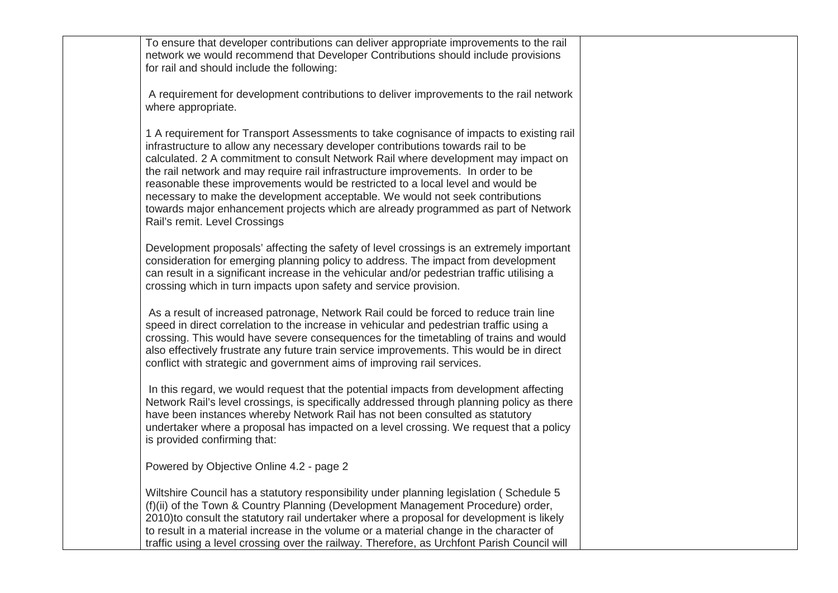To ensure that developer contributions can deliver appropriate improvements to the rail network we would recommend that Developer Contributions should include provisions for rail and should include the following:

A requirement for development contributions to deliver improvements to the rail network where appropriate.

1 A requirement for Transport Assessments to take cognisance of impacts to existing rail infrastructure to allow any necessary developer contributions towards rail to be calculated. 2 A commitment to consult Network Rail where development may impact on the rail network and may require rail infrastructure improvements. In order to be reasonable these improvements would be restricted to a local level and would be necessary to make the development acceptable. We would not seek contributions towards major enhancement projects which are already programmed as part of Network Rail's remit. Level Crossings

Development proposals' affecting the safety of level crossings is an extremely important consideration for emerging planning policy to address. The impact from development can result in a significant increase in the vehicular and/or pedestrian traffic utilising a crossing which in turn impacts upon safety and service provision.

As a result of increased patronage, Network Rail could be forced to reduce train line speed in direct correlation to the increase in vehicular and pedestrian traffic using a crossing. This would have severe consequences for the timetabling of trains and would also effectively frustrate any future train service improvements. This would be in direct conflict with strategic and government aims of improving rail services.

In this regard, we would request that the potential impacts from development affecting Network Rail's level crossings, is specifically addressed through planning policy as there have been instances whereby Network Rail has not been consulted as statutory undertaker where a proposal has impacted on a level crossing. We request that a policy is provided confirming that:

Powered by Objective Online 4.2 - page 2

Wiltshire Council has a statutory responsibility under planning legislation ( Schedule 5 (f)(ii) of the Town & Country Planning (Development Management Procedure) order, 2010)to consult the statutory rail undertaker where a proposal for development is likely to result in a material increase in the volume or a material change in the character of traffic using a level crossing over the railway. Therefore, as Urchfont Parish Council will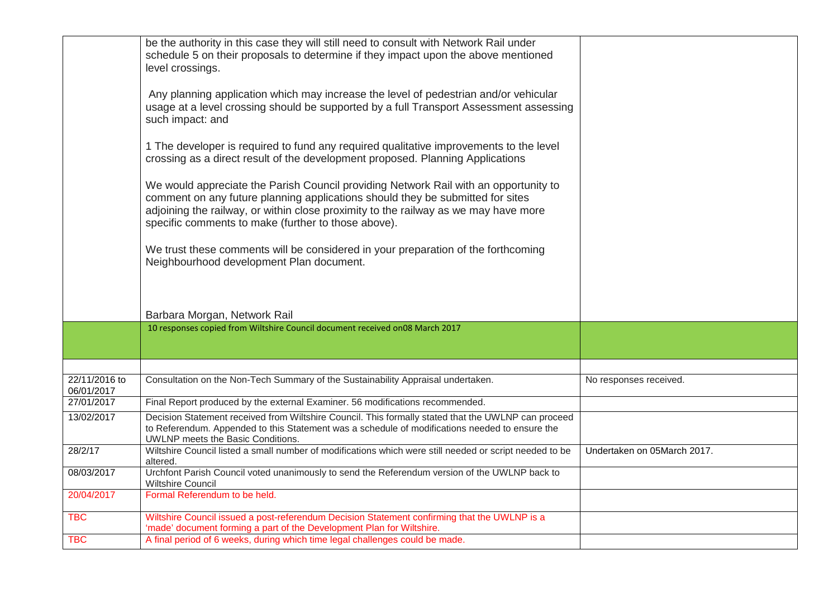|                             | be the authority in this case they will still need to consult with Network Rail under<br>schedule 5 on their proposals to determine if they impact upon the above mentioned<br>level crossings.                                                                                                                      |                             |
|-----------------------------|----------------------------------------------------------------------------------------------------------------------------------------------------------------------------------------------------------------------------------------------------------------------------------------------------------------------|-----------------------------|
|                             | Any planning application which may increase the level of pedestrian and/or vehicular<br>usage at a level crossing should be supported by a full Transport Assessment assessing<br>such impact: and                                                                                                                   |                             |
|                             | 1 The developer is required to fund any required qualitative improvements to the level<br>crossing as a direct result of the development proposed. Planning Applications                                                                                                                                             |                             |
|                             | We would appreciate the Parish Council providing Network Rail with an opportunity to<br>comment on any future planning applications should they be submitted for sites<br>adjoining the railway, or within close proximity to the railway as we may have more<br>specific comments to make (further to those above). |                             |
|                             | We trust these comments will be considered in your preparation of the forthcoming<br>Neighbourhood development Plan document.                                                                                                                                                                                        |                             |
|                             | Barbara Morgan, Network Rail                                                                                                                                                                                                                                                                                         |                             |
|                             | 10 responses copied from Wiltshire Council document received on08 March 2017                                                                                                                                                                                                                                         |                             |
|                             |                                                                                                                                                                                                                                                                                                                      |                             |
| 22/11/2016 to<br>06/01/2017 | Consultation on the Non-Tech Summary of the Sustainability Appraisal undertaken.                                                                                                                                                                                                                                     | No responses received.      |
| 27/01/2017                  | Final Report produced by the external Examiner. 56 modifications recommended.                                                                                                                                                                                                                                        |                             |
| 13/02/2017                  | Decision Statement received from Wiltshire Council. This formally stated that the UWLNP can proceed<br>to Referendum. Appended to this Statement was a schedule of modifications needed to ensure the<br>UWLNP meets the Basic Conditions.                                                                           |                             |
| 28/2/17                     | Wiltshire Council listed a small number of modifications which were still needed or script needed to be<br>altered.                                                                                                                                                                                                  | Undertaken on 05March 2017. |
| 08/03/2017                  | Urchfont Parish Council voted unanimously to send the Referendum version of the UWLNP back to<br><b>Wiltshire Council</b>                                                                                                                                                                                            |                             |
| 20/04/2017                  | Formal Referendum to be held.                                                                                                                                                                                                                                                                                        |                             |
| <b>TBC</b>                  | Wiltshire Council issued a post-referendum Decision Statement confirming that the UWLNP is a<br>'made' document forming a part of the Development Plan for Wiltshire.                                                                                                                                                |                             |
| <b>TBC</b>                  | A final period of 6 weeks, during which time legal challenges could be made.                                                                                                                                                                                                                                         |                             |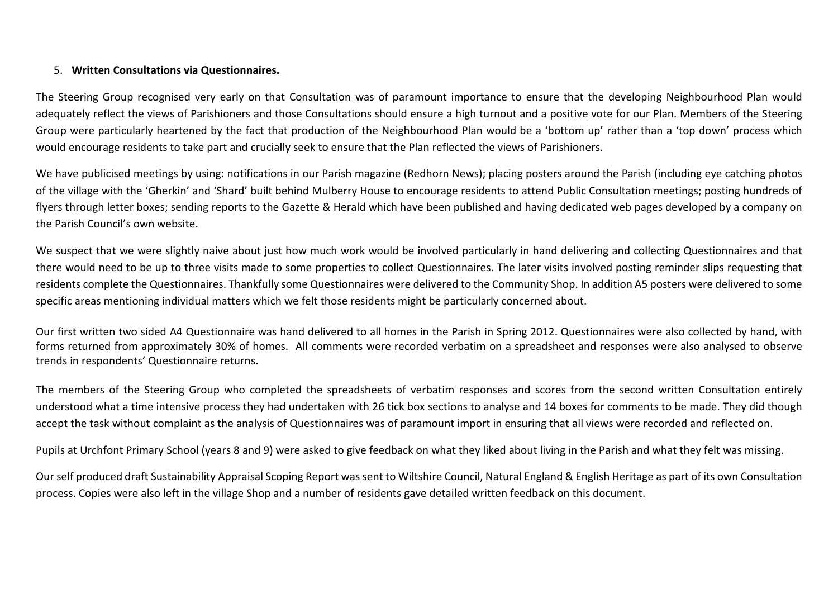#### 5. **Written Consultations via Questionnaires.**

The Steering Group recognised very early on that Consultation was of paramount importance to ensure that the developing Neighbourhood Plan would adequately reflect the views of Parishioners and those Consultations should ensure a high turnout and a positive vote for our Plan. Members of the Steering Group were particularly heartened by the fact that production of the Neighbourhood Plan would be a 'bottom up' rather than a 'top down' process which would encourage residents to take part and crucially seek to ensure that the Plan reflected the views of Parishioners.

We have publicised meetings by using: notifications in our Parish magazine (Redhorn News); placing posters around the Parish (including eye catching photos of the village with the 'Gherkin' and 'Shard' built behind Mulberry House to encourage residents to attend Public Consultation meetings; posting hundreds of flyers through letter boxes; sending reports to the Gazette & Herald which have been published and having dedicated web pages developed by a company on the Parish Council's own website.

We suspect that we were slightly naive about just how much work would be involved particularly in hand delivering and collecting Questionnaires and that there would need to be up to three visits made to some properties to collect Questionnaires. The later visits involved posting reminder slips requesting that residents complete the Questionnaires. Thankfully some Questionnaires were delivered to the Community Shop. In addition A5 posters were delivered to some specific areas mentioning individual matters which we felt those residents might be particularly concerned about.

Our first written two sided A4 Questionnaire was hand delivered to all homes in the Parish in Spring 2012. Questionnaires were also collected by hand, with forms returned from approximately 30% of homes. All comments were recorded verbatim on a spreadsheet and responses were also analysed to observe trends in respondents' Questionnaire returns.

The members of the Steering Group who completed the spreadsheets of verbatim responses and scores from the second written Consultation entirely understood what a time intensive process they had undertaken with 26 tick box sections to analyse and 14 boxes for comments to be made. They did though accept the task without complaint as the analysis of Questionnaires was of paramount import in ensuring that all views were recorded and reflected on.

Pupils at Urchfont Primary School (years 8 and 9) were asked to give feedback on what they liked about living in the Parish and what they felt was missing.

Our self produced draft Sustainability Appraisal Scoping Report was sent to Wiltshire Council, Natural England & English Heritage as part of its own Consultation process. Copies were also left in the village Shop and a number of residents gave detailed written feedback on this document.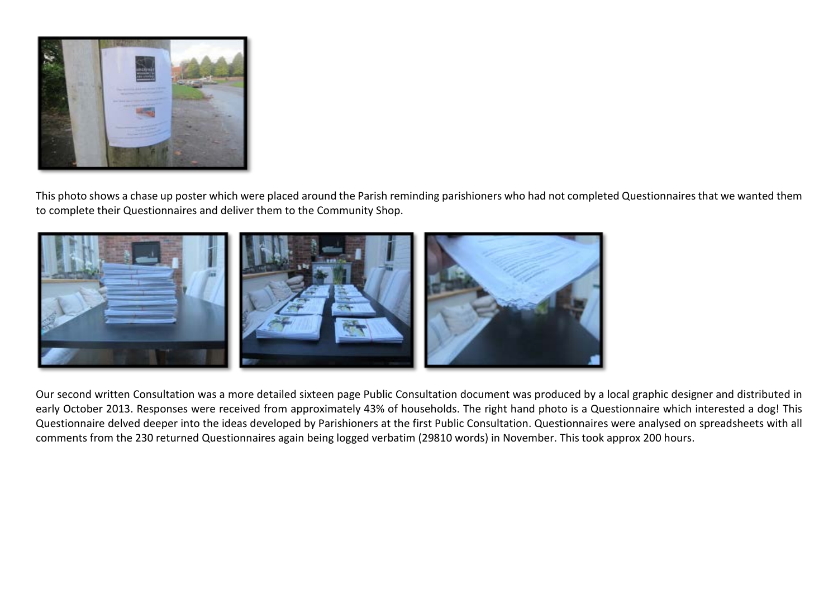

This photo shows a chase up poster which were placed around the Parish reminding parishioners who had not completed Questionnaires that we wanted them to complete their Questionnaires and deliver them to the Community Shop.



Our second written Consultation was a more detailed sixteen page Public Consultation document was produced by a local graphic designer and distributed in early October 2013. Responses were received from approximately 43% of households. The right hand photo is a Questionnaire which interested a dog! This Questionnaire delved deeper into the ideas developed by Parishioners at the first Public Consultation. Questionnaires were analysed on spreadsheets with all comments from the 230 returned Questionnaires again being logged verbatim (29810 words) in November. This took approx 200 hours.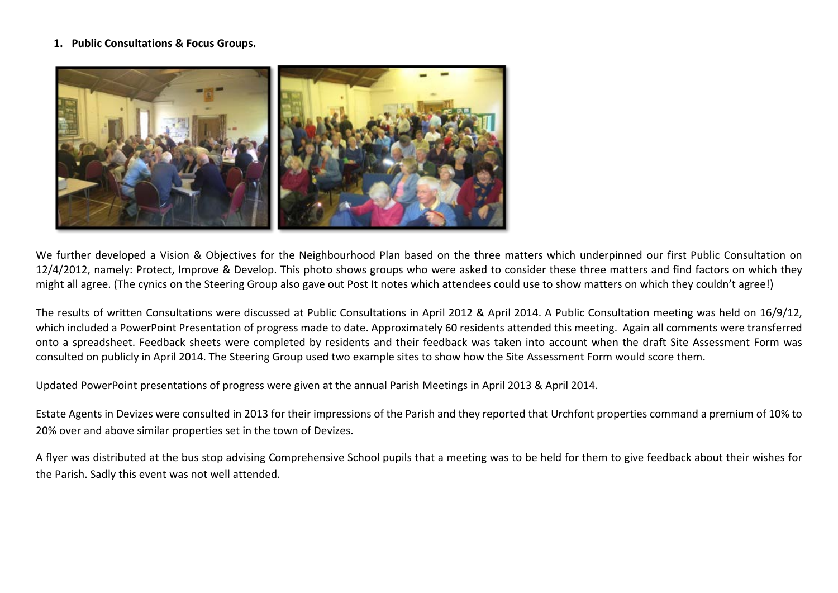#### **1. Public Consultations & Focus Groups.**



We further developed a Vision & Objectives for the Neighbourhood Plan based on the three matters which underpinned our first Public Consultation on 12/4/2012, namely: Protect, Improve & Develop. This photo shows groups who were asked to consider these three matters and find factors on which they might all agree. (The cynics on the Steering Group also gave out Post It notes which attendees could use to show matters on which they couldn't agree!)

The results of written Consultations were discussed at Public Consultations in April 2012 & April 2014. A Public Consultation meeting was held on 16/9/12, which included a PowerPoint Presentation of progress made to date. Approximately 60 residents attended this meeting. Again all comments were transferred onto a spreadsheet. Feedback sheets were completed by residents and their feedback was taken into account when the draft Site Assessment Form was consulted on publicly in April 2014. The Steering Group used two example sites to show how the Site Assessment Form would score them.

Updated PowerPoint presentations of progress were given at the annual Parish Meetings in April 2013 & April 2014.

Estate Agents in Devizes were consulted in 2013 for their impressions of the Parish and they reported that Urchfont properties command a premium of 10% to 20% over and above similar properties set in the town of Devizes.

A flyer was distributed at the bus stop advising Comprehensive School pupils that a meeting was to be held for them to give feedback about their wishes for the Parish. Sadly this event was not well attended.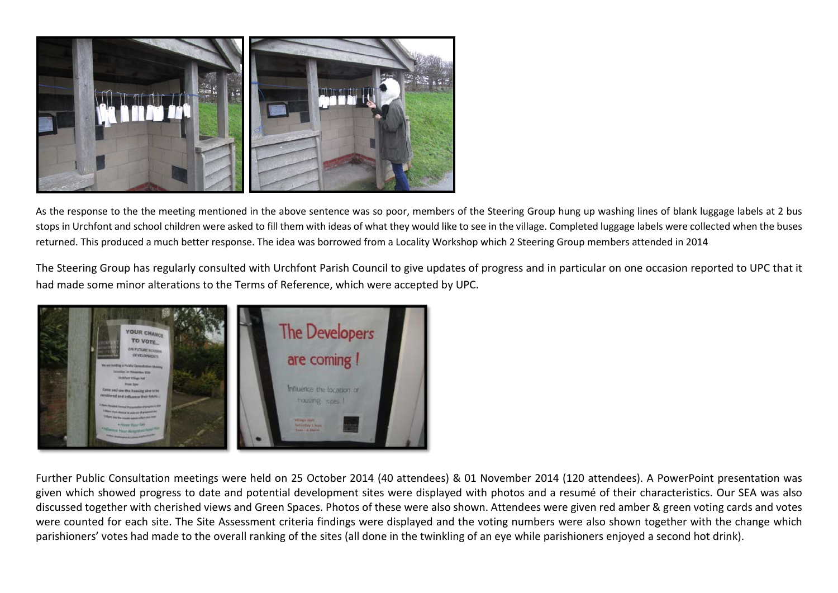

As the response to the the meeting mentioned in the above sentence was so poor, members of the Steering Group hung up washing lines of blank luggage labels at 2 bus stops in Urchfont and school children were asked to fill them with ideas of what they would like to see in the village. Completed luggage labels were collected when the buses returned. This produced a much better response. The idea was borrowed from a Locality Workshop which 2 Steering Group members attended in 2014

The Steering Group has regularly consulted with Urchfont Parish Council to give updates of progress and in particular on one occasion reported to UPC that it had made some minor alterations to the Terms of Reference, which were accepted by UPC.



Further Public Consultation meetings were held on 25 October 2014 (40 attendees) & 01 November 2014 (120 attendees). A PowerPoint presentation was given which showed progress to date and potential development sites were displayed with photos and a resumé of their characteristics. Our SEA was also discussed together with cherished views and Green Spaces. Photos of these were also shown. Attendees were given red amber & green voting cards and votes were counted for each site. The Site Assessment criteria findings were displayed and the voting numbers were also shown together with the change which parishioners' votes had made to the overall ranking of the sites (all done in the twinkling of an eye while parishioners enjoyed a second hot drink).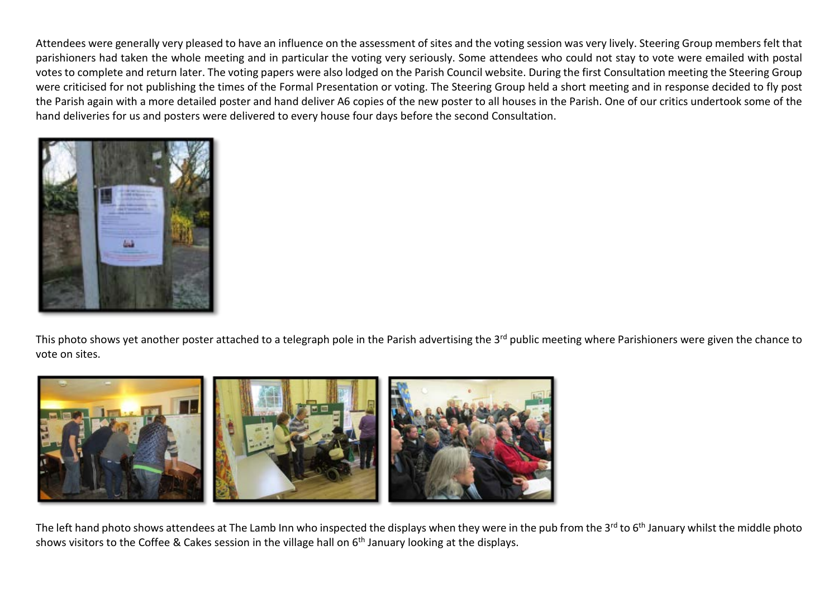Attendees were generally very pleased to have an influence on the assessment of sites and the voting session was very lively. Steering Group members felt that parishioners had taken the whole meeting and in particular the voting very seriously. Some attendees who could not stay to vote were emailed with postal votes to complete and return later. The voting papers were also lodged on the Parish Council website. During the first Consultation meeting the Steering Group were criticised for not publishing the times of the Formal Presentation or voting. The Steering Group held a short meeting and in response decided to fly post the Parish again with a more detailed poster and hand deliver A6 copies of the new poster to all houses in the Parish. One of our critics undertook some of the hand deliveries for us and posters were delivered to every house four days before the second Consultation.



This photo shows yet another poster attached to a telegraph pole in the Parish advertising the 3<sup>rd</sup> public meeting where Parishioners were given the chance to vote on sites.



The left hand photo shows attendees at The Lamb Inn who inspected the displays when they were in the pub from the 3<sup>rd</sup> to 6<sup>th</sup> January whilst the middle photo shows visitors to the Coffee & Cakes session in the village hall on 6<sup>th</sup> January looking at the displays.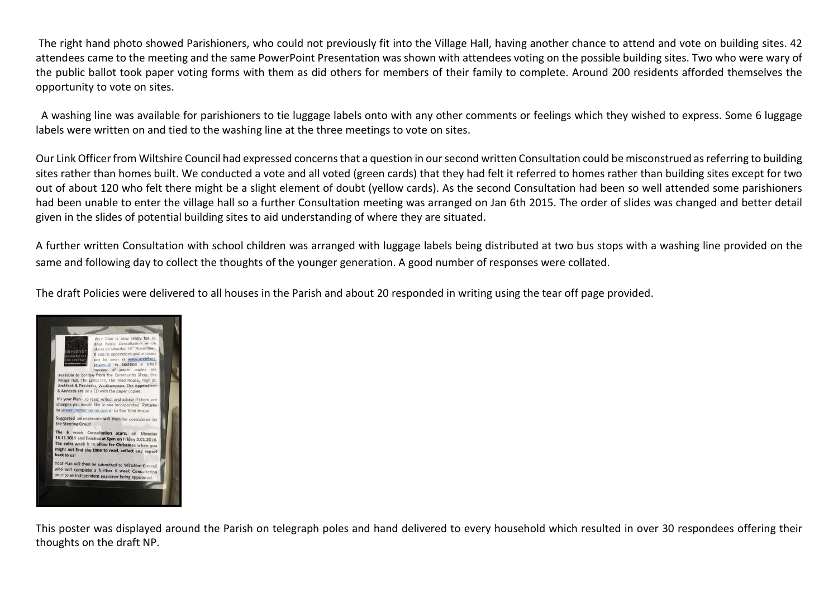The right hand photo showed Parishioners, who could not previously fit into the Village Hall, having another chance to attend and vote on building sites. 42 attendees came to the meeting and the same PowerPoint Presentation was shown with attendees voting on the possible building sites. Two who were wary of the public ballot took paper voting forms with them as did others for members of their family to complete. Around 200 residents afforded themselves the opportunity to vote on sites.

 A washing line was available for parishioners to tie luggage labels onto with any other comments or feelings which they wished to express. Some 6 luggage labels were written on and tied to the washing line at the three meetings to vote on sites.

Our Link Officer from Wiltshire Council had expressed concerns that a question in our second written Consultation could be misconstrued as referring to building sites rather than homes built. We conducted a vote and all voted (green cards) that they had felt it referred to homes rather than building sites except for two out of about 120 who felt there might be a slight element of doubt (yellow cards). As the second Consultation had been so well attended some parishioners had been unable to enter the village hall so a further Consultation meeting was arranged on Jan 6th 2015. The order of slides was changed and better detail given in the slides of potential building sites to aid understanding of where they are situated.

A further written Consultation with school children was arranged with luggage labels being distributed at two bus stops with a washing line provided on the same and following day to collect the thoughts of the younger generation. A good number of responses were collated.

The draft Policies were delivered to all houses in the Parish and about 20 responded in writing using the tear off page provided.



This poster was displayed around the Parish on telegraph poles and hand delivered to every household which resulted in over 30 respondees offering their thoughts on the draft NP.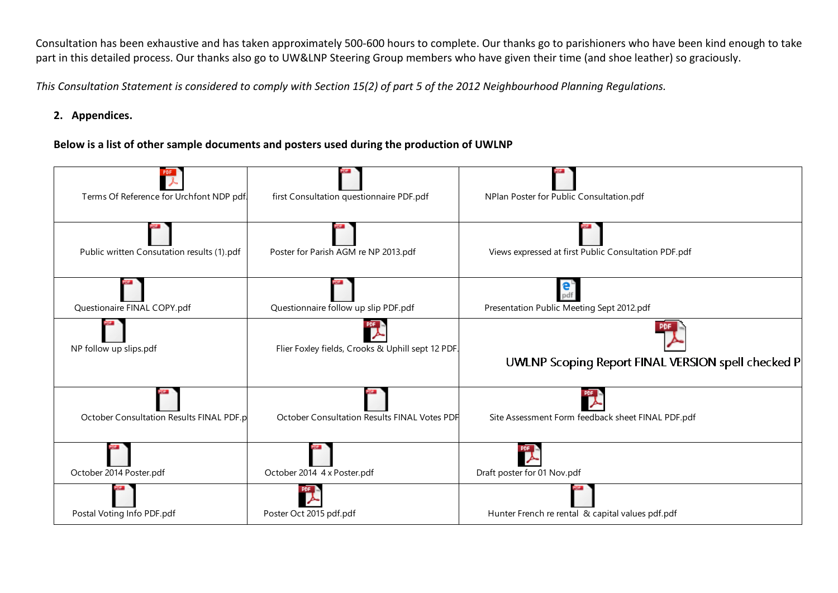Consultation has been exhaustive and has taken approximately 500-600 hours to complete. Our thanks go to parishioners who have been kind enough to take part in this detailed process. Our thanks also go to UW&LNP Steering Group members who have given their time (and shoe leather) so graciously.

*This Consultation Statement is considered to comply with Section 15(2) of part 5 of the 2012 Neighbourhood Planning Regulations.*

## **2. Appendices.**

## **Below is a list of other sample documents and posters used during the production of UWLNP**